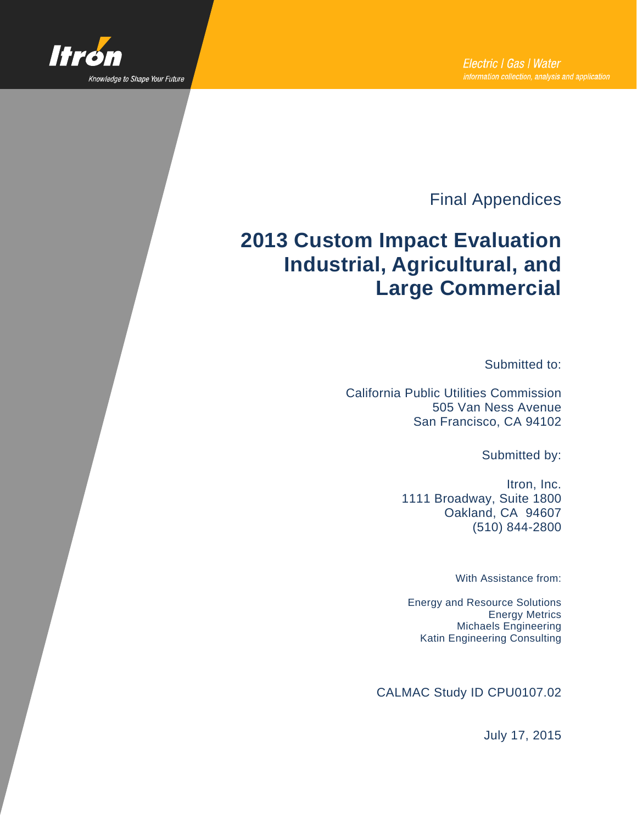

Final Appendices

# **2013 Custom Impact Evaluation Industrial, Agricultural, and Large Commercial**

Submitted to:

California Public Utilities Commission 505 Van Ness Avenue San Francisco, CA 94102

Submitted by:

Itron, Inc. 1111 Broadway, Suite 1800 Oakland, CA 94607 (510) 844-2800

With Assistance from:

Energy and Resource Solutions Energy Metrics Michaels Engineering Katin Engineering Consulting

CALMAC Study ID CPU0107.02

July 17, 2015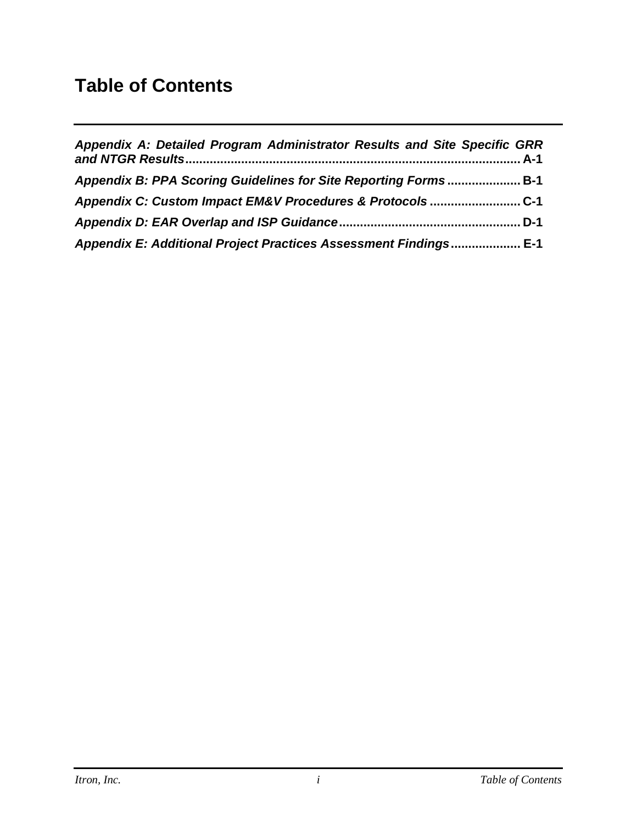## <span id="page-1-0"></span>**Table of Contents**

| Appendix A: Detailed Program Administrator Results and Site Specific GRR |  |
|--------------------------------------------------------------------------|--|
| Appendix B: PPA Scoring Guidelines for Site Reporting Forms B-1          |  |
| Appendix C: Custom Impact EM&V Procedures & Protocols C-1                |  |
|                                                                          |  |
| Appendix E: Additional Project Practices Assessment Findings E-1         |  |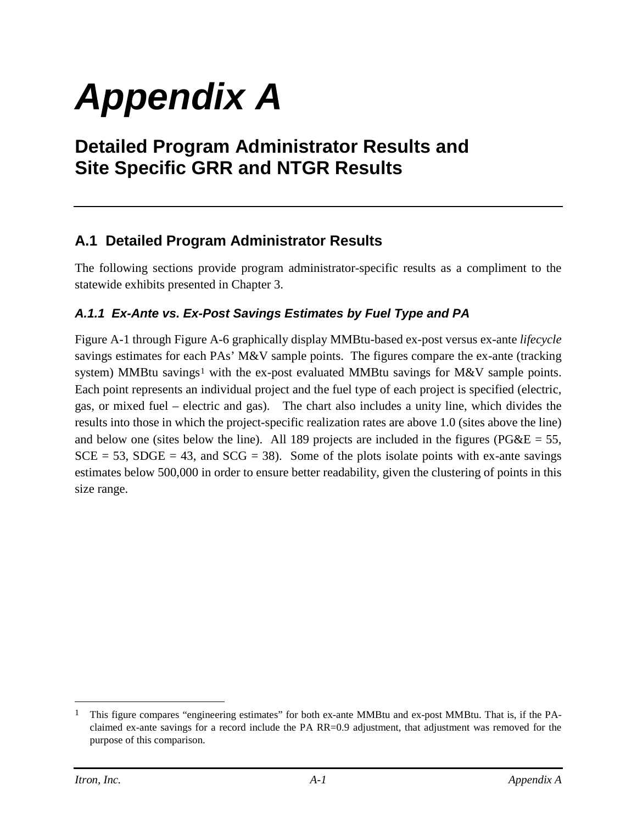# *Appendix A*

## **Detailed Program Administrator Results and Site Specific GRR and NTGR Results**

#### **A.1 Detailed Program Administrator Results**

The following sections provide program administrator-specific results as a compliment to the statewide exhibits presented in Chapter 3.

#### *A.1.1 Ex-Ante vs. Ex-Post Savings Estimates by Fuel Type and PA*

[Figure A-1](#page-3-0) through [Figure A-6](#page-8-0) graphically display MMBtu-based ex-post versus ex-ante *lifecycle* savings estimates for each PAs' M&V sample points. The figures compare the ex-ante (tracking system) MMBtu savings<sup>[1](#page-2-0)</sup> with the ex-post evaluated MMBtu savings for M&V sample points. Each point represents an individual project and the fuel type of each project is specified (electric, gas, or mixed fuel – electric and gas). The chart also includes a unity line, which divides the results into those in which the project-specific realization rates are above 1.0 (sites above the line) and below one (sites below the line). All 189 projects are included in the figures ( $P6\&E = 55$ ,  $SCE = 53$ ,  $SDGE = 43$ , and  $SCG = 38$ ). Some of the plots isolate points with ex-ante savings estimates below 500,000 in order to ensure better readability, given the clustering of points in this size range.

 $\overline{a}$ 

<span id="page-2-0"></span><sup>1</sup> This figure compares "engineering estimates" for both ex-ante MMBtu and ex-post MMBtu. That is, if the PAclaimed ex-ante savings for a record include the PA RR=0.9 adjustment, that adjustment was removed for the purpose of this comparison.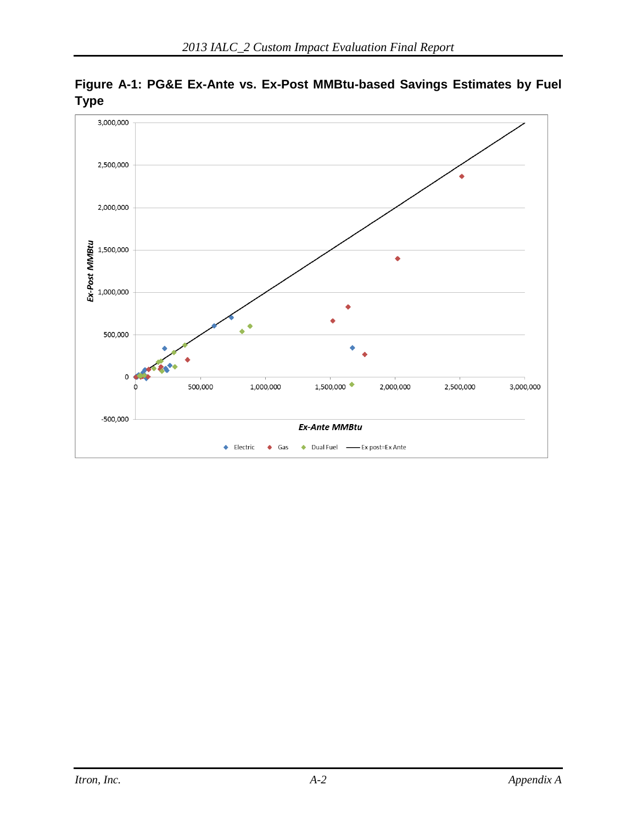

<span id="page-3-0"></span>**Figure A-1: PG&E Ex-Ante vs. Ex-Post MMBtu-based Savings Estimates by Fuel Type**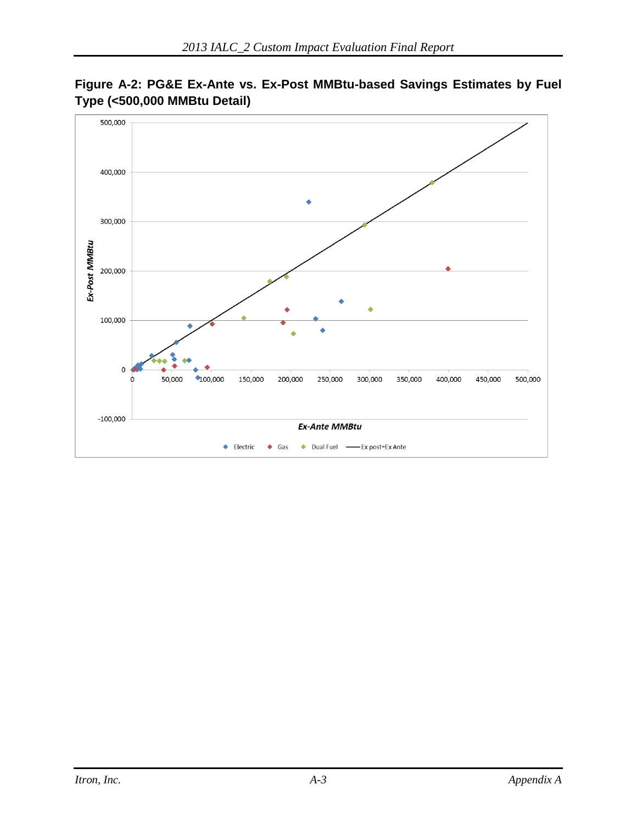

**Figure A-2: PG&E Ex-Ante vs. Ex-Post MMBtu-based Savings Estimates by Fuel Type (<500,000 MMBtu Detail)**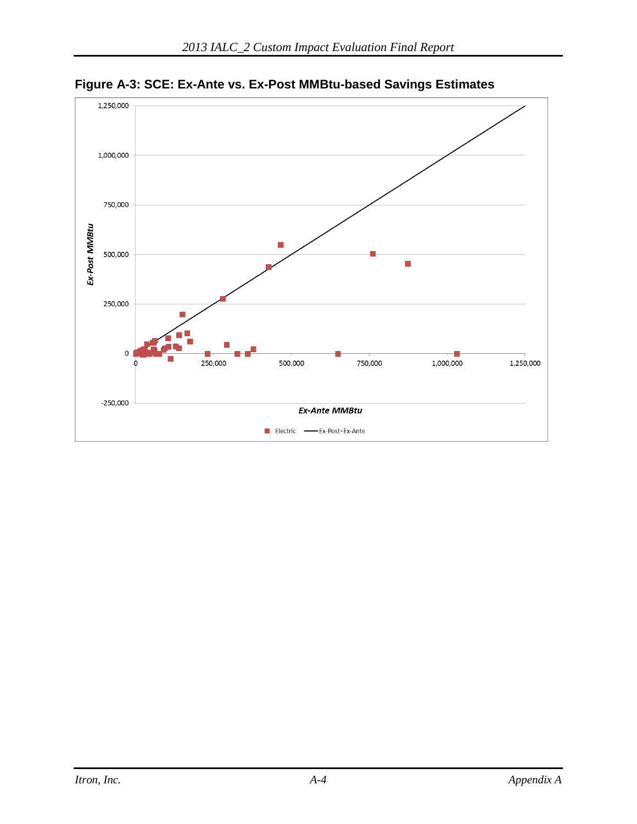

**Figure A-3: SCE: Ex-Ante vs. Ex-Post MMBtu-based Savings Estimates**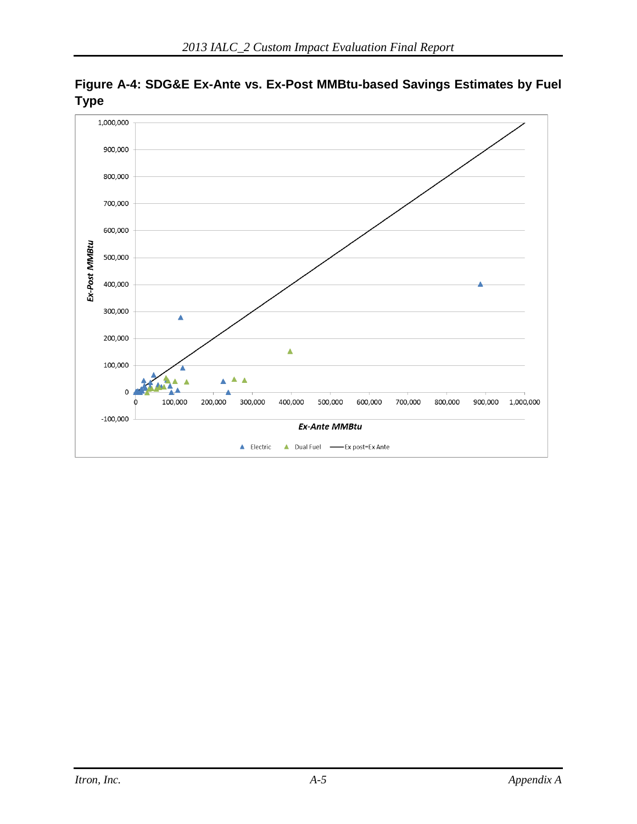

**Figure A-4: SDG&E Ex-Ante vs. Ex-Post MMBtu-based Savings Estimates by Fuel Type**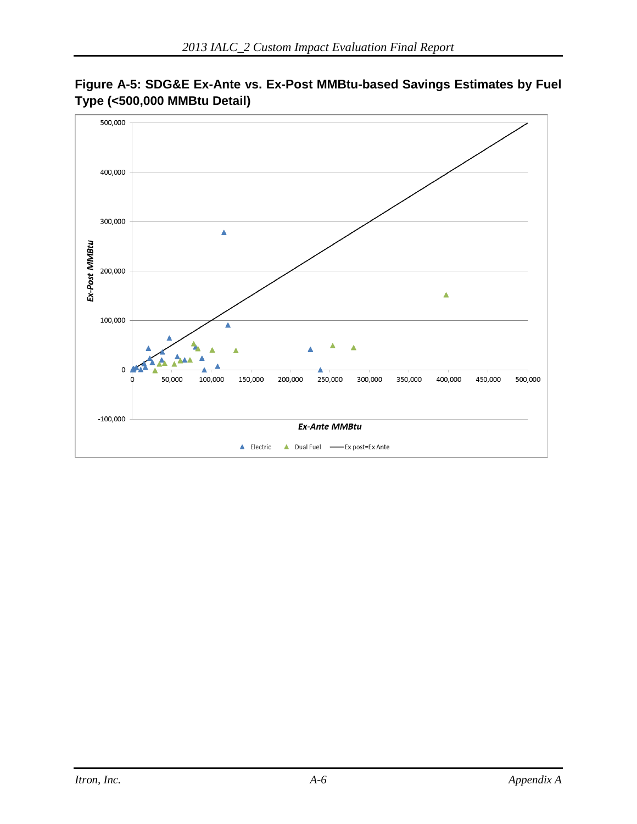

**Figure A-5: SDG&E Ex-Ante vs. Ex-Post MMBtu-based Savings Estimates by Fuel Type (<500,000 MMBtu Detail)**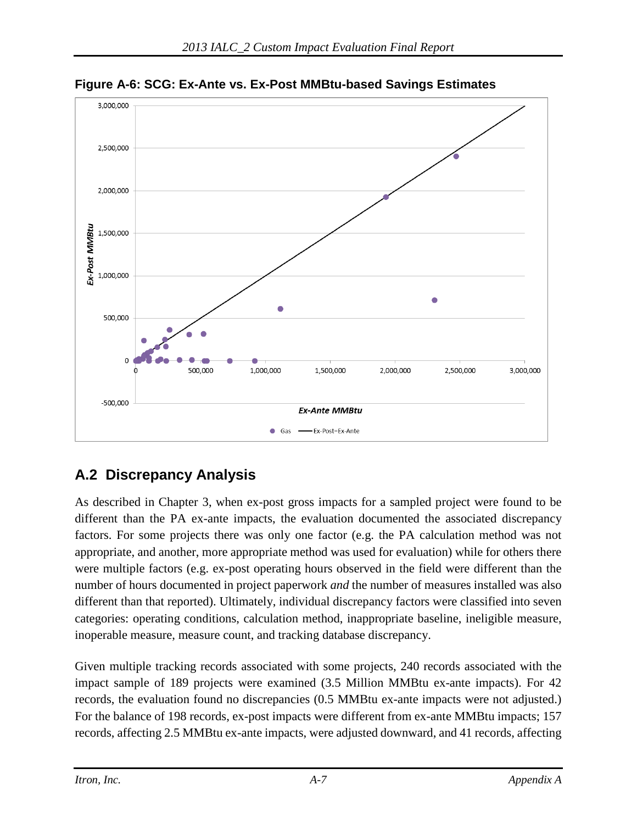

<span id="page-8-0"></span>**Figure A-6: SCG: Ex-Ante vs. Ex-Post MMBtu-based Savings Estimates**

## **A.2 Discrepancy Analysis**

As described in Chapter 3, when ex-post gross impacts for a sampled project were found to be different than the PA ex-ante impacts, the evaluation documented the associated discrepancy factors. For some projects there was only one factor (e.g. the PA calculation method was not appropriate, and another, more appropriate method was used for evaluation) while for others there were multiple factors (e.g. ex-post operating hours observed in the field were different than the number of hours documented in project paperwork *and* the number of measures installed was also different than that reported). Ultimately, individual discrepancy factors were classified into seven categories: operating conditions, calculation method, inappropriate baseline, ineligible measure, inoperable measure, measure count, and tracking database discrepancy.

Given multiple tracking records associated with some projects, 240 records associated with the impact sample of 189 projects were examined (3.5 Million MMBtu ex-ante impacts). For 42 records, the evaluation found no discrepancies (0.5 MMBtu ex-ante impacts were not adjusted.) For the balance of 198 records, ex-post impacts were different from ex-ante MMBtu impacts; 157 records, affecting 2.5 MMBtu ex-ante impacts, were adjusted downward, and 41 records, affecting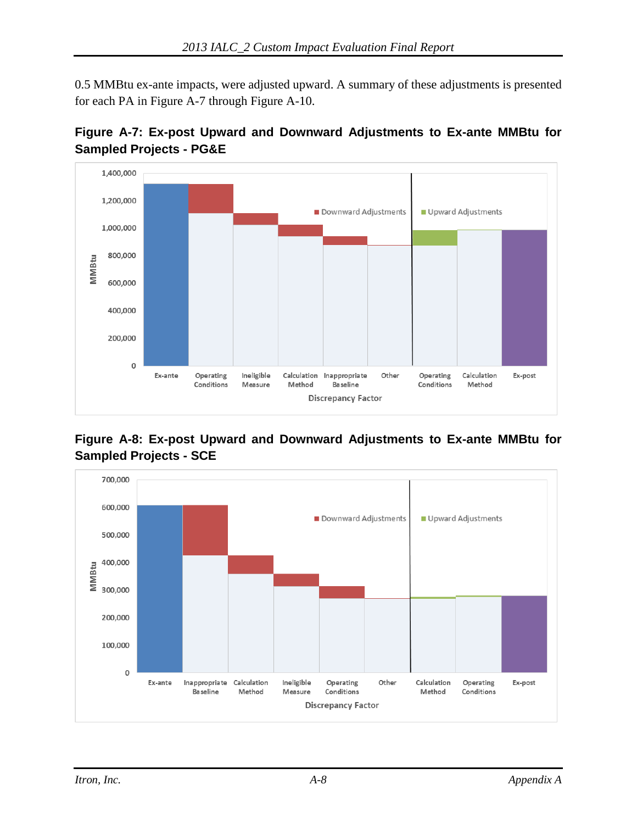0.5 MMBtu ex-ante impacts, were adjusted upward. A summary of these adjustments is presented for each PA in [Figure A-7](#page-9-0) through [Figure A-10.](#page-10-0)

<span id="page-9-0"></span>



#### **Figure A-8: Ex-post Upward and Downward Adjustments to Ex-ante MMBtu for Sampled Projects - SCE**

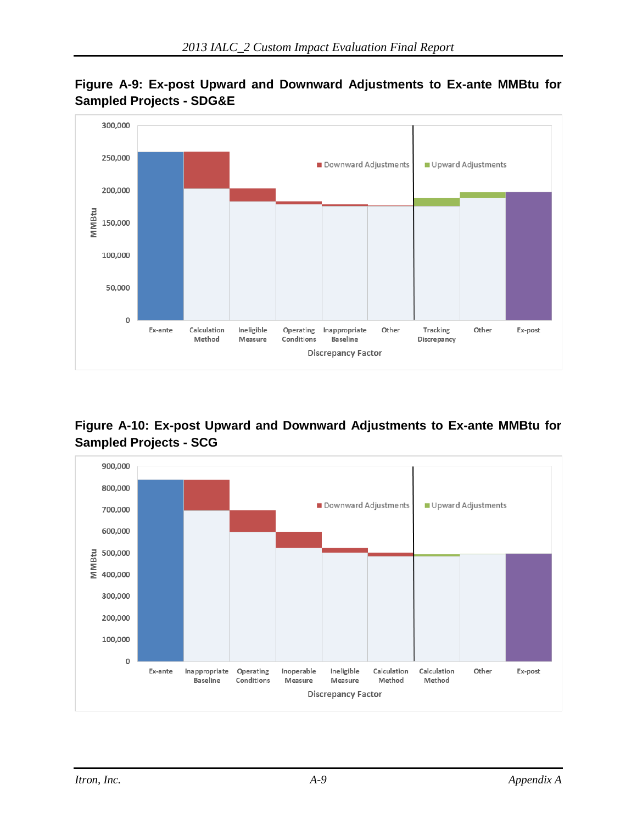



#### <span id="page-10-0"></span>**Figure A-10: Ex-post Upward and Downward Adjustments to Ex-ante MMBtu for Sampled Projects - SCG**

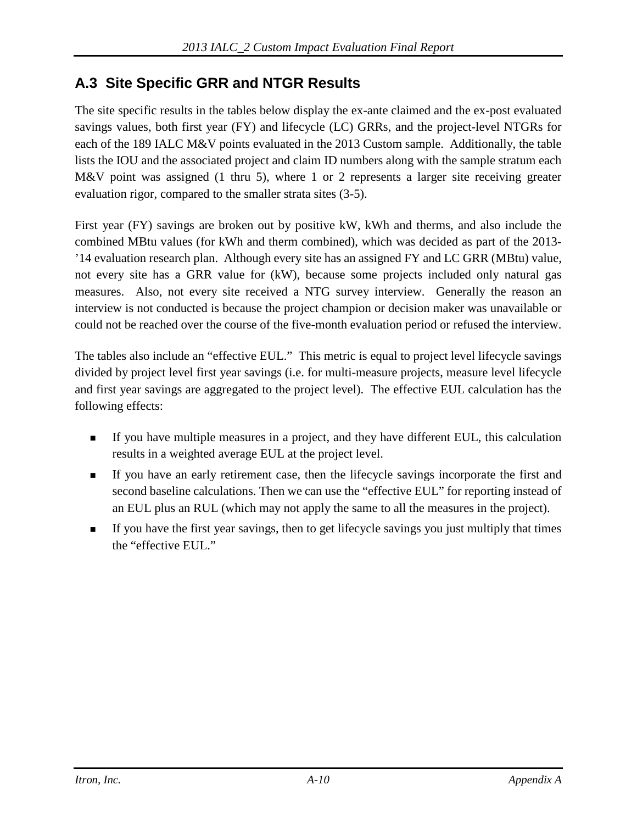The site specific results in the tables below display the ex-ante claimed and the ex-post evaluated savings values, both first year (FY) and lifecycle (LC) GRRs, and the project-level NTGRs for each of the 189 IALC M&V points evaluated in the 2013 Custom sample. Additionally, the table lists the IOU and the associated project and claim ID numbers along with the sample stratum each M&V point was assigned (1 thru 5), where 1 or 2 represents a larger site receiving greater evaluation rigor, compared to the smaller strata sites (3-5).

First year (FY) savings are broken out by positive kW, kWh and therms, and also include the combined MBtu values (for kWh and therm combined), which was decided as part of the 2013- '14 evaluation research plan. Although every site has an assigned FY and LC GRR (MBtu) value, not every site has a GRR value for (kW), because some projects included only natural gas measures. Also, not every site received a NTG survey interview. Generally the reason an interview is not conducted is because the project champion or decision maker was unavailable or could not be reached over the course of the five-month evaluation period or refused the interview.

The tables also include an "effective EUL." This metric is equal to project level lifecycle savings divided by project level first year savings (i.e. for multi-measure projects, measure level lifecycle and first year savings are aggregated to the project level). The effective EUL calculation has the following effects:

- If you have multiple measures in a project, and they have different EUL, this calculation results in a weighted average EUL at the project level.
- If you have an early retirement case, then the lifecycle savings incorporate the first and second baseline calculations. Then we can use the "effective EUL" for reporting instead of an EUL plus an RUL (which may not apply the same to all the measures in the project).
- If you have the first year savings, then to get lifecycle savings you just multiply that times the "effective EUL."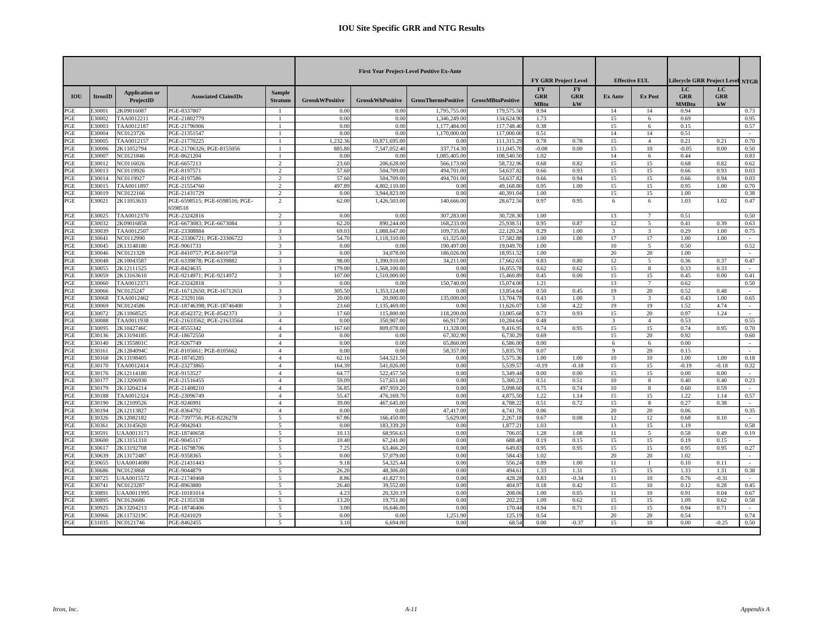|     |                |                                    |                                           |                                 |                        |                         | <b>First Year Project-Level Positive Ex-Ante</b> |                          |                                        | <b>FY GRR Project Level</b>           |                | <b>Effective EUL</b>    |                                  | Lifecycle GRR Project Level NTGR |        |
|-----|----------------|------------------------------------|-------------------------------------------|---------------------------------|------------------------|-------------------------|--------------------------------------------------|--------------------------|----------------------------------------|---------------------------------------|----------------|-------------------------|----------------------------------|----------------------------------|--------|
| IOU | <b>ItronID</b> | <b>Application or</b><br>ProjectID | <b>Associated ClaimIDs</b>                | <b>Sample</b><br><b>Stratum</b> | <b>GrosskWPositive</b> | <b>GrosskWhPositive</b> | <b>GrossThermsPositive</b>                       | <b>GrossMBtuPositive</b> | <b>FY</b><br><b>GRR</b><br><b>MBtu</b> | <b>FY</b><br><b>GRR</b><br>${\bf kW}$ | <b>Ex Ante</b> | <b>Ex Post</b>          | LC<br><b>GRR</b><br><b>MMBtu</b> | LC<br><b>GRR</b><br>${\bf kW}$   |        |
| PGE | 30001          | 2K09016087                         | PGE-8337807                               | -1                              | 0.00                   | 0.00                    | 1,795,755.00                                     | 179,575.5                | 0.94                                   |                                       | 14             | 14                      | 0.94                             |                                  | 0.73   |
| PGE | 30002          | TAA0012211                         | PGE-21802779                              | $\overline{1}$                  | 0.00                   | 0.00                    | 1.346.249.00                                     | 134,624.9                | 1.73                                   |                                       | 15             | 6                       | 0.69                             |                                  | 0.95   |
| PGE | 30003          | TAA0012187                         | PGE-21796906                              | $\overline{1}$                  | 0.00                   | 0.00                    | 1,177,484.00                                     | 117,748.4                | 0.38                                   |                                       | 15             | 6                       | 0.15                             |                                  | 0.57   |
| PGE | 30004          | NC0123726                          | PGE-21351547                              |                                 | 0.00                   | 0.00                    | 1.170,000.00                                     | 117,000.0                | 0.51                                   |                                       | 14             | 14                      | 0.51                             |                                  |        |
| PGE | 30005          | TAA0012157                         | PGE-21770225                              | $\overline{1}$                  | 1.232.36               | 10,871,695.00           | 0.0(                                             | 111,315.2                | 0.78                                   | 0.78                                  | 15             | $\overline{4}$          | 0.21                             | 0.21                             | 0.70   |
| PGE | 30006          | 2K11052794                         | PGE-21706326; PGE-8155056                 |                                 | 885.80                 | 7.547.052.40            | 337,714.30                                       | 111,045.                 | $-0.08$                                | 0.00                                  | 15             | 10                      | $-0.05$                          | 0.00                             | 0.50   |
| PGE | 30007          | NC0121846                          | PGE-8621204                               |                                 | 0.00                   | 0.00                    | 1.085.405.00                                     | 108,540.5                | 1.02                                   |                                       | 14             | 6                       | 0.44                             |                                  | 0.83   |
| PGE | E30012         | NC0116026                          | PGE-6657213                               | 2                               | 23.60                  | 206,628.00              | 566,173.0                                        | 58,732.9                 | 0.68                                   | 0.82                                  | 15             | 15                      | 0.68                             | 0.82                             | 0.62   |
| PGE | 30013          | NC0119926                          | PGE-8197571                               | $\overline{2}$                  | 57.60                  | 504,709.00              | 494,701.00                                       | 54,637.8                 | 0.66                                   | 0.93                                  | 15             | 15                      | 0.66                             | 0.93                             | 0.03   |
| PGE | 30014          | NC0119927                          | PGE-8197586                               | $\overline{2}$                  | 57.60                  | 504,709.00              | 494,701.00                                       | 54,637.8                 | 0.66                                   | 0.94                                  | 15             | 15                      | 0.66                             | 0.94                             | 0.03   |
| PGE | 30015          | TAA0011897                         | PGE-21554760                              | $\mathcal{L}$                   | 497.89                 | 4.802.110.00            | 0.00                                             | 49.168.8                 | 0.95                                   | 1.00                                  | 15             | 15                      | 0.95                             | 1.00                             | 0.70   |
| PGE | 30019          | NC0122166                          | PGE-21431729                              | $\overline{2}$                  | 0.00                   | 3,944,823.00            | 0.00                                             | 40,391.0                 | 1.00                                   |                                       | 15             | 15                      | 1.00                             |                                  | 0.38   |
| PGE | 30021          | 2K11053633                         | PGE-6598515; PGE-6598516; PGE-<br>6598518 | 2                               | 62.00                  | 1,426,503.00            | 140,666.00                                       | 28,672.56                | 0.97                                   | 0.95                                  | 6              | 6                       | 1.03                             | 1.02                             | 0.47   |
| PGE | 30025          | TAA0012370                         | PGE-23242816                              | $\overline{2}$                  | 0.00                   | 0.00                    | 307,283.00                                       | 30,728.3                 | 1.00                                   |                                       | 13             | 7                       | 0.51                             |                                  | 0.50   |
| PGE | 30032          | 2K09016858                         | PGE-6673083: PGE-6673084                  | 3                               | 62.20                  | 890,244.00              | 168,233,00                                       | 25.938.5                 | 0.95                                   | 0.87                                  | 12             | 5                       | 0.41                             | 0.39                             | 0.63   |
| PGE | 30039          | TAA0012507                         | PGE-23308884                              | $\mathcal{R}$                   | 69.03                  | 1,088,647.0             | 109,735.80                                       | 22,120.2                 | 0.29                                   | 1.00                                  | 3              | 3                       | 0.29                             | 1.00                             | 0.75   |
| PGE | 30041          | NC0112990                          | PGE-23306721; PGE-23306722                | $\mathcal{R}$                   | 54.70                  | 1.118.310.00            | 61,325.00                                        | 17.582.8                 | 1.00                                   | 1.00                                  | 17             | 17                      | 1.00                             | 1.00                             | $\sim$ |
| PGE | 30045          | 2K13148180                         | PGE-9061733                               | $\mathcal{R}$                   | 0.00                   | 0.00                    | 190,497.00                                       | 19,049.7                 | 1.00                                   |                                       | 10             | 5                       | 0.50                             |                                  | 0.52   |
| PGE | 30046          | NC0121328                          | PGE-8410757; PGE-8410758                  | 3                               | 0.00                   | 34,078.00               | 186,026.0                                        | 18,951.5                 | 1.00                                   |                                       | 20             | 20                      | 1.00                             |                                  |        |
| PGE | 30048          | 2K10043587                         | PGE-6339878: PGE-6339882                  | $\mathcal{R}$                   | 98.00                  | 1.390.910.00            | 34,211.00                                        | 17,662.6                 | 0.83                                   | 0.80                                  | 12             | 5                       | 0.36                             | 0.37                             | 0.47   |
| PGE | 30055          | 2K12111525                         | PGE-8424635                               | 3                               | 179.00                 | 1,568,100.00            | 0.00                                             | 16,055.7                 | 0.62                                   | 0.62                                  | 15             | 8                       | 0.33                             | 0.33                             |        |
| PGE | 30059          | 2K13163610                         | PGE-9214971; PGE-9214972                  | 3                               | 107.00                 | 1.510,000.00            | 0.00                                             | 15,460.8                 | 0.45                                   | 0.00                                  | 15             | 15                      | 0.45                             | 0.00                             | 0.41   |
| PGE | 30060          | TAA0012371                         | PGE-23242818                              | 3                               | 0.00                   | 0.00                    | 150,740.00                                       | 15,074.0                 | 1.21                                   |                                       | 13             |                         | 0.62                             |                                  | 0.50   |
| PGE | 30066          | NC0125247                          | PGE-16712650; PGE-16712651                | 3                               | 305.50                 | 1.353.124.00            | 0.00                                             | 13,854.6                 | 0.50                                   | 0.45                                  | 19             | 20                      | 0.52                             | 0.48                             | $\sim$ |
| PGE | 30068          | TAA0012462                         | PGE-23291166                              | $\mathcal{R}$                   | 20.00                  | 20,000.0                | 135,000.0                                        | 13,704.7                 | 0.43                                   | 1.00                                  | 3              | $\overline{\mathbf{3}}$ | 0.43                             | 1.00                             | 0.65   |
| PGE | 30069          | NC0124586                          | PGE-18746398; PGE-18746400                | $\mathcal{R}$                   | 23.60                  | 1,135,469.00            | 0.00                                             | 11.626.0                 | 1.50                                   | 4.22                                  | 19             | 19                      | 1.52                             | 4.74                             | $\sim$ |
| PGE | E30072         | 2K11068525                         | PGE-8542372; PGE-8542373                  | $\mathcal{R}$                   | 17.60                  | 115,800.00              | 118,200.00                                       | 13,005.6                 | 0.73                                   | 0.93                                  | 15             | 20                      | 0.97                             | 1.24                             | $\sim$ |
| PGE | 30088          | TAA0011938                         | PGE-21633562; PGE-21633564                | $\overline{4}$                  | 0.00                   | 350,907.00              | 66,917.00                                        | 10,284.6                 | 0.48                                   |                                       | 3              | $\overline{4}$          | 0.53                             |                                  | 0.55   |
| PGE | 30095          | 2K1042746C                         | PGE-8555342                               | $\overline{4}$                  | 167.60                 | 809,078.00              | 11,328.00                                        | 9,416.9                  | 0.74                                   | 0.95                                  | 15             | 15                      | 0.74                             | 0.95                             | 0.70   |
| PGE | 30136          | 2K13194185                         | PGE-18672550                              | $\overline{4}$                  | 0.00                   | 0.00                    | 67,302.90                                        | 6,730.2                  | 0.69                                   |                                       | 15             | 20                      | 0.92                             |                                  | 0.60   |
| PGE | 30140          | 2K1355801C                         | PGE-9267749                               | $\overline{4}$                  | 0.00                   | 0.00                    | 65,860.00                                        | 6,586.0                  | 0.00                                   |                                       | 6              | 6                       | 0.00                             |                                  | $\sim$ |
| PGE | 30161          | 2K1284094C                         | PGE-8105661; PGE-8105662                  | $\overline{4}$                  | 0.00                   | 0.00                    | 58,357.00                                        | 5,835.7                  | 0.07                                   |                                       | $\mathbf Q$    | 20                      | 0.15                             |                                  | $\sim$ |
| PGE | 30168          | 2K13198405                         | PGE-18745285                              | $\mathbf{A}$                    | 62.16                  | 544,521.50              | 0.00                                             | 5,575.3                  | 1.00                                   | 1.00                                  | 10             | 10                      | 1.00                             | 1.00                             | 0.18   |
| PGE | 30170          | TAA0012414                         | PGE-23273865                              | $\overline{4}$                  | 164.39                 | 541,026.00              | 0.00                                             | 5.539.5                  | $-0.19$                                | $-0.18$                               | 15             | 15                      | $-0.19$                          | $-0.18$                          | 0.32   |
| PGE | 30176          | 2K12114180                         | PGE-9153527                               | $\overline{4}$                  | 64.7                   | 522,457.50              | 0.00                                             | 5,349.4                  | 0.00                                   | 0.00                                  | 15             | 15                      | 0.00                             | 0.00                             | $\sim$ |
| PGE | 30177          | 2K13206930                         | PGE-21516455                              | $\overline{4}$                  | 59.09                  | 517,651.60              | 0.00                                             | 5.300.2                  | 0.51                                   | 0.51                                  | 10             | 8                       | 0.40                             | 0.40                             | 0.23   |
| PGE | 30179          | 2K13204214                         | PGE-21408210                              | $\overline{4}$                  | 56.8                   | 497,959.20              | 0.00                                             | 5,098.6                  | 0.75                                   | 0.74                                  | 10             | 8                       | 0.60                             | 0.59                             | $\sim$ |
| PGE | 30188          | TAA0012324                         | PGE-23096749                              | $\overline{4}$                  | 55.4                   | 476,169.70              | 0.00                                             | 4,875.5                  | 1.22                                   | 1.14                                  | 15             | 15                      | 1.22                             | 1.14                             | 0.57   |
| PGE | 30190          | 2K12109526                         | PGE-9246991                               | $\overline{4}$                  | 39.00                  | 467,645.0               | 0.00                                             | 4.788.2                  | 0.51                                   | 0.72                                  | 15             | $\mathbf{8}$            | 0.27                             | 0.38                             |        |
| PGE | 30194          | 2K12113827                         | PGE-8364792                               | $\overline{4}$                  | 0.00                   | 0.00                    | 47,417.00                                        | 4.741.7                  | 0.06                                   |                                       | 20             | 20                      | 0.06                             |                                  | 0.35   |
| PGE | 30326          | 2K12082182                         | PGE-7397756; PGE-8226278                  | 5                               | 67.86                  | 166,450.00              | 5.629.00                                         | 2,267.1                  | 0.67                                   | 0.08                                  | 12             | 12                      | 0.68                             | 0.10                             | $\sim$ |
| PGE | 30361          | 2K13145620                         | PGE-9042043                               | $\overline{\phantom{a}}$        | 0.00                   | 183,339.20              | 0.00                                             | 1,877.2                  | 1.03                                   |                                       | 13             | 15                      | 1.19                             |                                  | 0.58   |
| PGE | 30591          | UAA0013171                         | PGE-18740658                              | 5                               | 10.1                   | 68,956.63               | 0.00                                             | 706.0                    | 1.28                                   | 1.08                                  | 11             | 5                       | 0.58                             | 0.49                             | 0.19   |
| PGE | 30600          | 2K13151310                         | PGE-9045117                               | 5                               | 10.40                  | 67,241.00               | 0.00                                             | 688.4                    | 0.19                                   | 0.15                                  | 15             | 15                      | 0.19                             | 0.15                             |        |
| PGE | 30617          | 2K13192708                         | PGE-16798706                              | $\tilde{\mathbf{z}}$            | 7.25                   | 63,466.2                | 0.00                                             | 649.8                    | 0.95                                   | 0.95                                  | 15             | 15                      | 0.95                             | 0.95                             | 0.27   |
| PGE | 30639          | 2K13172487                         | PGE-9358365                               | 5                               | 0.00                   | 57,079.00               | 0.00                                             | 584.4                    | 1.02                                   |                                       | 20             | 20                      | 1.02                             |                                  | $\sim$ |
| PGE | 30655          | <b>UAA0014080</b>                  | PGE-21431443                              | -5                              | 9.18                   | 54,325.4                | 0.00                                             | 556.2                    | 0.89                                   | 1.00                                  | 11             | $\mathbf{1}$            | 0.10                             | 0.11                             | $\sim$ |
| PGE | 30686          | NC0123868                          | PGE-9044879                               | $\overline{\mathbf{5}}$         | 26.20                  | 48,306.00               | 0.00                                             | 494.6                    | 1.33                                   | 1.31                                  | 15             | 15                      | 1.33                             | 1.31                             | 0.38   |
| PGE | 30725          | UAA0015572                         | PGE-21740468                              | 5                               | 8.86                   | 41,827.91               | 0.00                                             | 428.2                    | 0.83                                   | $-0.34$                               | 11             | 10                      | 0.76                             | $-0.31$                          |        |
| PGE | 30741          | NC0123287                          | PGE-8963880                               | 5                               | 26.40                  | 39,552.00               | 0.00                                             | 404.9                    | 0.18                                   | 0.42                                  | 15             | 10                      | 0.12                             | 0.28                             | 0.45   |
| PGE | 30891          | UAA0011995                         | PGE-10181014                              | $\overline{\mathbf{5}}$         | 4.23                   | 20,320.19               | 0.00                                             | 208.0                    | 1.00                                   | 0.05                                  | 11             | 10                      | 0.91                             | 0.04                             | 0.67   |
| PGE | 30895          | NC0126686                          | PGE-21351538                              | $\overline{\phantom{0}}$        | 13.20                  | 19,751.00               | 0.00                                             | 202.2                    | 1.09                                   | 0.62                                  | 15             | 15                      | 1.09                             | 0.62                             | 0.58   |
| PGE | 30925          | 2K13204213                         | PGE-18746406                              | $\sim$                          | 3.00                   | 16,646.00               | 0.00                                             | 170.4                    | 0.94                                   | 0.71                                  | 15             | 15                      | 0.94                             | 0.71                             | $\sim$ |
| PGE | 30966          | 2K1173219C                         | PGE-9241029                               | 5                               | 0.00                   | 0.00                    | .251.90                                          | 125.1                    | 0.54                                   |                                       | 20             | 20                      | 0.54                             |                                  | 0.74   |
| PGE | 31035          | NC0121746                          | PGE-8462455                               | -5                              | 3.10                   | 6,694.00                | 0.00                                             | 68.5                     | 0.00                                   | $-0.37$                               | 15             | 10                      | 0.00                             | $-0.25$                          | 0.50   |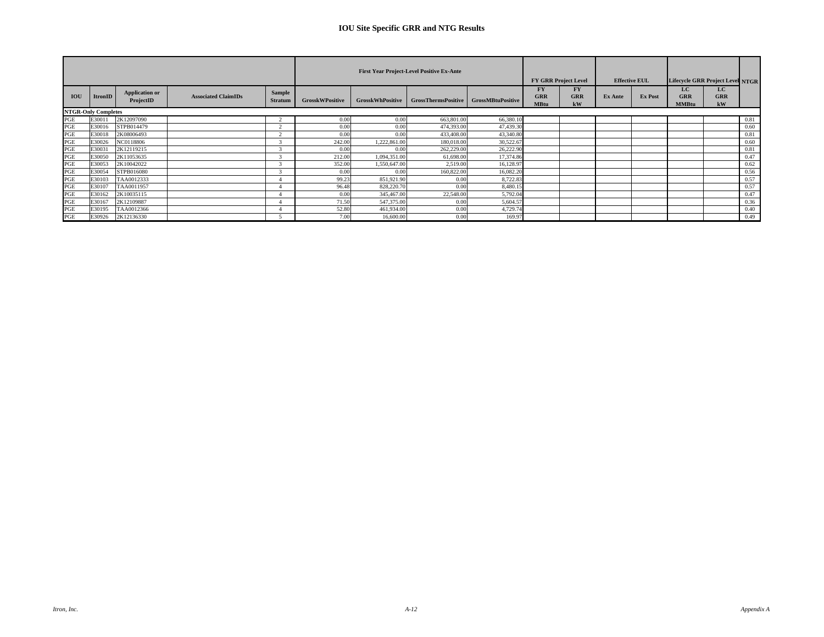|            |                            |                                    |                            |                                 |                        |                         | <b>First Year Project-Level Positive Ex-Ante</b> |           |                                        | <b>FY GRR Project Level</b> |         | <b>Effective EUL</b> | Lifecycle GRR Project Level NTGR |                  |      |
|------------|----------------------------|------------------------------------|----------------------------|---------------------------------|------------------------|-------------------------|--------------------------------------------------|-----------|----------------------------------------|-----------------------------|---------|----------------------|----------------------------------|------------------|------|
| <b>IOU</b> | ItronID                    | <b>Application or</b><br>ProjectID | <b>Associated ClaimIDs</b> | <b>Sample</b><br><b>Stratum</b> | <b>GrosskWPositive</b> | <b>GrosskWhPositive</b> | GrossThermsPositive   GrossMBtuPositive          |           | <b>FY</b><br><b>GRR</b><br><b>MBtu</b> | FY<br><b>GRR</b><br>kW      | Ex Ante | <b>Ex Post</b>       | LC.<br>GRR<br><b>MMBtu</b>       | LC.<br>GRR<br>kW |      |
|            | <b>NTGR-Only Completes</b> |                                    |                            |                                 |                        |                         |                                                  |           |                                        |                             |         |                      |                                  |                  |      |
| PGE        | E30011                     | 2K12097090                         |                            |                                 | 0.00                   | 0.00                    | 663,801.00                                       | 66,380.10 |                                        |                             |         |                      |                                  |                  | 0.81 |
| PGE        | E30016                     | STPB014479                         |                            |                                 | 0.00                   | 0.00                    | 474,393.00                                       | 47,439.30 |                                        |                             |         |                      |                                  |                  | 0.60 |
| PGE        | E30018                     | 2K08006493                         |                            |                                 | 0.00                   | 0.00                    | 433,408.00                                       | 43,340.80 |                                        |                             |         |                      |                                  |                  | 0.81 |
| PGE        | E30026                     | NC0118806                          |                            |                                 | 242.00                 | 1,222,861.00            | 180,018.00                                       | 30,522.67 |                                        |                             |         |                      |                                  |                  | 0.60 |
| PGE        | E3003                      | 2K12119215                         |                            |                                 | 0.00                   | 0.00                    | 262,229.00                                       | 26,222.90 |                                        |                             |         |                      |                                  |                  | 0.81 |
| PGE        | E30050                     | 2K11053635                         |                            |                                 | 212.00                 | 1,094,351.00            | 61,698.00                                        | 17,374.86 |                                        |                             |         |                      |                                  |                  | 0.47 |
| PGE        | E30053                     | 2K10042022                         |                            |                                 | 352.00                 | 1,550,647.00            | 2.519.00                                         | 16,128.97 |                                        |                             |         |                      |                                  |                  | 0.62 |
| PGE        | E30054                     | STPB016080                         |                            |                                 | 0.00                   | 0.00                    | 160,822.00                                       | 16,082.20 |                                        |                             |         |                      |                                  |                  | 0.56 |
| PGE        | E30103                     | TAA0012333                         |                            |                                 | 99.23                  | 851,921.90              | 0.00                                             | 8,722.83  |                                        |                             |         |                      |                                  |                  | 0.57 |
| PGE        | E30107                     | TAA0011957                         |                            |                                 | 96.48                  | 828,220.70              | 0.00                                             | 8.480.15  |                                        |                             |         |                      |                                  |                  | 0.57 |
| PGE        | E30162                     | 2K10035115                         |                            |                                 | 0.00                   | 345,467.00              | 22,548.00                                        | 5,792.04  |                                        |                             |         |                      |                                  |                  | 0.47 |
| PGE        | E30167                     | 2K12109887                         |                            |                                 | 71.50                  | 547,375.00              | 0.00                                             | 5,604.57  |                                        |                             |         |                      |                                  |                  | 0.36 |
| PGE        | E30195                     | TAA0012366                         |                            |                                 | 52.80                  | 461,934.00              | 0.00                                             | 4,729.74  |                                        |                             |         |                      |                                  |                  | 0.40 |
| PGE        | E30926                     | 2K12136330                         |                            |                                 | 7.00                   | 16,600.00               | 0.00                                             | 169.97    |                                        |                             |         |                      |                                  |                  | 0.49 |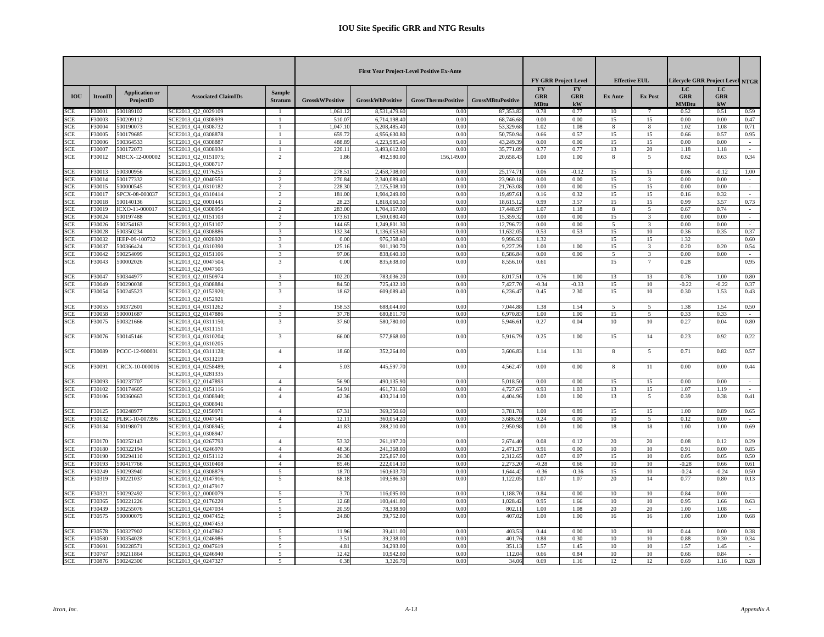|                          |                 |                                    |                                                                 |                                  |                        |                          | <b>First Year Project-Level Positive Ex-Ante</b> |                          |                                        | <b>FY GRR Project Level</b>   |                    | <b>Effective EUL</b>                      |                                   | <b>Lifecycle GRR Project Level NTGR</b> |                |
|--------------------------|-----------------|------------------------------------|-----------------------------------------------------------------|----------------------------------|------------------------|--------------------------|--------------------------------------------------|--------------------------|----------------------------------------|-------------------------------|--------------------|-------------------------------------------|-----------------------------------|-----------------------------------------|----------------|
| <b>IOU</b>               | <b>ItronID</b>  | <b>Application or</b><br>ProjectID | <b>Associated ClaimIDs</b>                                      | <b>Sample</b><br><b>Stratum</b>  | <b>GrosskWPositive</b> | <b>GrosskWhPositive</b>  | <b>GrossThermsPositive</b>                       | <b>GrossMBtuPositive</b> | <b>FY</b><br><b>GRR</b><br><b>MBtu</b> | <b>FY</b><br><b>GRR</b><br>kW | <b>Ex Ante</b>     | <b>Ex Post</b>                            | LC.<br><b>GRR</b><br><b>MMBtu</b> | LC<br><b>GRR</b><br>kW                  |                |
| SCE                      | 30001           | 500189102                          | SCE2013 Q2 0029109                                              |                                  | 1,061.12               | 8,531,479.60             | 0.00                                             | 87,353.82                | 0.78                                   | 0.77                          | 10                 |                                           | 0.52                              | 0.51                                    | 0.59           |
| SCE                      | 30003           | 500209112                          | SCE2013 Q4 0308939                                              | $\overline{1}$                   | 510.07                 | 6,714,198.40             | 0.00                                             | 68,746.68                | 0.00                                   | 0.00                          | 15                 | 15                                        | 0.00                              | 0.00                                    | 0.47           |
| SCE                      | 30004           | 500190073                          | SCE2013 O4 0308732                                              |                                  | 1.047.10               | 5.208.485.40             | 0.00                                             | 53,329.6                 | 1.02                                   | 1.08                          | 8                  | 8                                         | 1.02                              | 1.08                                    | 0.71           |
| SCE                      | 30005           | 500179685                          | GCE2013 Q4 0308878                                              |                                  | 659.72                 | 4,956,630.80             | 0.00                                             | 50,750.9                 | 0.66                                   | 0.57                          | 15                 | 15                                        | 0.66                              | 0.57                                    | 0.95           |
| SCE                      | 30006           | 500364533                          | SCE2013 Q4 0308887                                              |                                  | 488.89                 | 4,223,985.40             | 0.00                                             | 43,249.3                 | 0.00                                   | 0.00                          | 15                 | 15                                        | 0.00                              | 0.00                                    |                |
| SCE                      | 30007           | 500172073                          | GCE2013 Q4 0308934                                              |                                  | 220.11                 | 3.493.612.00             | 0.00                                             | 35,771.09                | 0.77                                   | 0.77                          | 13                 | 20                                        | 1.18                              | 1.18                                    | $\sim$<br>0.34 |
| <b>SCE</b>               | 30012           | MBCX-12-000002                     | SCE2013_Q2_0151075;<br>SCE2013_Q4_0308717                       | 2                                | 1.86                   | 492,580.00               | 156,149.00                                       | 20,658.4                 | 1.00                                   | 1.00                          | 8                  | 5                                         | 0.62                              | 0.63                                    |                |
| <b>SCE</b>               | 30013           | 500300956                          | SCE2013 Q2 0176255                                              | $\overline{2}$                   | 278.5                  | 2,458,708.0              | 0.00                                             | 25,174.7                 | 0.06                                   | $-0.12$                       | 15                 | 15                                        | 0.06                              | $-0.12$                                 | 1.00           |
| SCE                      | 30014           | 500177332                          | SCE2013_Q2_0040551                                              | $\overline{2}$                   | 270.84                 | 2,340,089.40             | 0.00                                             | 23,960.1                 | 0.00                                   | 0.00                          | 15                 | $\overline{3}$                            | 0.00                              | 0.00                                    |                |
| SCE                      | 30015           | 500000545                          | SCE2013_Q4_0310182                                              | $\overline{c}$                   | 228.30                 | 2.125.508.10             | 0.00                                             | 21,763.08                | 0.00                                   | 0.00                          | 15                 | 15                                        | 0.00                              | 0.00                                    | ÷.             |
| SCE                      | 30017           | SPCX-08-000037                     | SCE2013 Q4 0310414                                              | 2                                | 181.00                 | 1,904,249.00             | 0.00                                             | 19,497.6                 | 0.16                                   | 0.32                          | 15                 | 15                                        | 0.16                              | 0.32                                    | $\sim$         |
| <b>SCE</b>               | 30018           | 500140136                          | SCE2013 Q2 0001445                                              | 2                                | 28.23                  | 1,818,060.30             | 0.00                                             | 18,615.1                 | 0.99                                   | 3.57                          | 15                 | 15                                        | 0.99                              | 3.57                                    | 0.73           |
| SCE                      | 30019           | ICXO-11-000017                     | GCE2013_Q4_0308954                                              | $\mathcal{L}$                    | 283.00                 | 1,704,167.0              | 0.00                                             | 17,448.9                 | 1.07                                   | 1.18                          | $\mathbf{\hat{R}}$ | 5                                         | 0.67                              | 0.74                                    |                |
| SCE                      | 30024           | 500197488                          | SCE2013 Q2 0151103                                              | $\overline{2}$                   | 173.61                 | 1,500,080.40             | 0.00                                             | 15,359.3                 | 0.00                                   | 0.00                          | 15                 | $\overline{3}$                            | 0.00                              | 0.00                                    | $\sim$         |
| <b>SCE</b>               | 30026           | 500254163                          | SCE2013_Q2_0151107                                              | 2                                | 144.65                 | 1,249,801.30             | 0.00                                             | 12,796.7                 | 0.00                                   | 0.00                          | 5                  | 3                                         | 0.00                              | 0.00                                    | $\omega$       |
| SCE                      | 30028           | 500350234                          | GCE2013 Q4 0308886                                              | 3                                | 132.34                 | 1.136,053.60             | 0.00                                             | 11,632.0                 | 0.53                                   | 0.53                          | 15                 | 10                                        | 0.36                              | 0.35                                    | 0.37           |
| <b>SCE</b>               | 30032           | IEEP-09-100732                     | SCE2013 Q2 0028920                                              | $\overline{3}$                   | 0.00                   | 976,358.40               | 0.00                                             | 9,996.9                  | 1.32                                   |                               | 15                 | 15                                        | 1.32                              |                                         | 0.60           |
| SCE                      | 30037<br>30042  | 600366424<br>600254099             | SCE2013_Q4_0310390                                              | 3<br>$\overline{\mathbf{3}}$     | 125.16<br>97.06        | 901,190.7                | 0.00                                             | 9,227.2<br>8,586.8       | 1.00<br>0.00                           | 1.00<br>0.00                  | 15<br>5            | $\overline{3}$<br>$\overline{\mathbf{3}}$ | 0.20<br>0.00                      | 0.20<br>0.00                            | 0.54           |
| <b>SCE</b><br><b>SCE</b> | 30043           | 500002026                          | SCE2013 Q2 0151106<br>SCE2013_Q2_0047504;                       | $\overline{3}$                   | 0.00                   | 838,640.10<br>835,638.00 | 0.00<br>0.00                                     | 8,556.1                  | 0.61                                   |                               | 15                 | $\tau$                                    | 0.28                              |                                         | 0.95           |
|                          |                 |                                    | SCE2013_Q2_0047505                                              |                                  |                        |                          |                                                  |                          |                                        |                               |                    |                                           |                                   |                                         |                |
| SCE                      | 30047           | 500344977                          | SCE2013 Q2 0150974                                              | 3                                | 102.20                 | 783,036.20               | 0.00                                             | 8.017.5                  | 0.76                                   | 1.00                          | 13                 | 13                                        | 0.76                              | 1.00                                    | 0.80           |
| <b>SCE</b>               | 30049           | 500290038                          | SCE2013 Q4 0308884                                              | 3                                | 84.50                  | 725,432.10               | 0.00                                             | 7,427.7                  | $-0.34$                                | $-0.33$                       | 15                 | 10                                        | $-0.22$                           | $-0.22$                                 | 0.37           |
| <b>SCE</b>               | 30054           | 500245523                          | SCE2013_Q2_0152920;                                             | $\overline{3}$                   | 18.62                  | 609,089.40               | 0.00                                             | 6,236.4                  | 0.45                                   | 2.30                          | 15                 | 10                                        | 0.30                              | 1.53                                    | 0.43           |
|                          |                 |                                    | CE2013 Q2 0152921                                               |                                  |                        |                          |                                                  |                          |                                        |                               |                    |                                           |                                   |                                         |                |
| SCE                      | 30055           | 500372601                          | SCE2013 Q4 0311262                                              | 3                                | 158.53                 | 688,044.00               | 0.00                                             | 7.044.8                  | 1.38                                   | 1.54                          | 5                  | 5                                         | 1.38                              | 1.54                                    | 0.50           |
| SCE                      | 30058           | 500001687                          | SCE2013 Q2 0147886                                              | 3                                | 37.7                   | 680,811.7                | 0.00                                             | 6,970.8                  | 1.00                                   | 1.00                          | 15                 | 5                                         | 0.33                              | 0.33                                    | $\sim$         |
| <b>SCE</b>               | 30075           | 500321666                          | SCE2013 Q4 0311150;<br>SCE2013_Q4_0311151                       | 3                                | 37.60                  | 580,780.00               | 0.00                                             | 5,946.6                  | 0.27                                   | 0.04                          | 10                 | 10                                        | 0.27                              | 0.04                                    | 0.80           |
| SCE                      | 30076           | 500145146                          | SCE2013_Q4_0310204;<br>SCE2013 Q4 0310205                       | $\overline{\mathbf{3}}$          | 66.00                  | 577,868.00               | 0.00                                             | 5,916.7                  | 0.25                                   | 1.00                          | 15                 | 14                                        | 0.23                              | 0.92                                    | 0.22           |
| <b>SCE</b>               | 30089           | PCCC-12-900001                     | SCE2013 Q4 0311128:<br>SCE2013 Q4 0311219                       | $\overline{4}$                   | 18.60                  | 352,264.00               | 0.00                                             | 3,606.8                  | 1.14                                   | 1.31                          | 8                  | 5                                         | 0.71                              | 0.82                                    | 0.57           |
| <b>SCE</b>               | 30091           | CRCX-10-000016                     | GCE2013 Q4 0258489:<br>CE2013 Q4 0281335                        | $\overline{4}$                   | 5.03                   | 445,597.70               | 0.00                                             | 4,562.4                  | 0.00                                   | 0.00                          | 8                  | 11                                        | 0.00                              | 0.00                                    | 0.44           |
| SCE                      | 30093           | 500237707                          | GCE2013 Q2 0147893                                              | $\overline{4}$                   | 56.90                  | 490,135.90               | 0.00                                             | 5.018.5                  | 0.00                                   | 0.00                          | 15                 | 15                                        | 0.00                              | 0.00                                    | $\sim$         |
| <b>SCE</b>               | 30102           | 500174605                          | SCE2013 Q2 0151116                                              | $\overline{4}$                   | 54.91                  | 461,731.60               | 0.00                                             | 4,727.6                  | 0.93                                   | 1.03                          | 13                 | 15                                        | 1.07                              | 1.19                                    | $\sim$         |
| <b>SCE</b>               | F30106          | 500360663                          | SCE2013 Q4 0308940;                                             | $\overline{4}$                   | 42.36                  | 430,214.10               | 0.00                                             | 4,404.96                 | 1.00                                   | 1.00                          | 13                 | 5                                         | 0.39                              | 0.38                                    | 0.41           |
|                          |                 |                                    | GCE2013 Q4 0308941                                              |                                  |                        |                          |                                                  |                          |                                        |                               |                    |                                           |                                   |                                         |                |
| SCE                      | 30125           | 500248977                          | SCE2013_Q2_0150971                                              | $\overline{4}$                   | 67.31                  | 369,350.60               | 0.00                                             | 3,781.7                  | 1.00                                   | 0.89                          | 15                 | 15                                        | 1.00                              | 0.89                                    | 0.65           |
| SCE<br>SCE               | 30132<br>30134  | PLBC-10-007396<br>500198071        | SCE2013_Q2_0047541<br>SCE2013 Q4 0308945;<br>SCE2013 Q4 0308947 | $\overline{4}$<br>$\overline{4}$ | 12.11<br>41.83         | 360,054.20<br>288,210.00 | 0.00<br>0.00                                     | 3,686.5<br>2,950.9       | 0.24<br>1.00                           | 0.00<br>1.00                  | 10<br>18           | 5<br>18                                   | 0.12<br>1.00                      | 0.00<br>1.00                            | $\sim$<br>0.69 |
| SCE                      | 30170           | 500252143                          | SCE2013_Q4_0267793                                              | $\overline{4}$                   | 53.32                  | 261,197.20               | 0.00                                             | 2,674.4                  | 0.08                                   | 0.12                          | 20                 | 20                                        | 0.08                              | 0.12                                    | 0.29           |
| SCE                      | 30180           | 500322194                          | CE2013 Q4 0246970                                               | $\overline{4}$                   | 48.36                  | 241,368.00               | 0.00                                             | 2,471.3                  | 0.91                                   | 0.00                          | 10                 | 10                                        | 0.91                              | 0.00                                    | 0.85           |
| <b>SCE</b>               | 30190           | 500294110                          | GCE2013_Q2_0151112                                              | $\overline{4}$                   | 26.30                  | 225,867.00               | 0.00                                             | 2,312.6                  | 0.07                                   | 0.07                          | 15                 | 10                                        | 0.05                              | 0.05                                    | 0.50           |
| <b>SCE</b>               | 30193           | 500417766                          | SCE2013_Q4_0310408                                              | $\overline{4}$                   | 85.46                  | 222,014.10               | 0.00                                             | 2,273.2                  | $-0.28$                                | 0.66                          | 10                 | 10                                        | $-0.28$                           | 0.66                                    | 0.61           |
| <b>SCE</b>               | 30249           | 500293940                          | SCE2013 Q4 0308879                                              | 5                                | 18.70                  | 160,603.70               | 0.00                                             | 1,644.4                  | $-0.36$                                | $-0.36$                       | 15                 | 10                                        | $-0.24$                           | $-0.24$                                 | 0.50           |
| <b>SCE</b>               | 30319           | 500221037                          | SCE2013_Q2_0147916;                                             | 5                                | 68.18                  | 109,586.30               | 0.00                                             | 1,122.0                  | 1.07                                   | 1.07                          | 20                 | 14                                        | 0.77                              | 0.80                                    | 0.13           |
|                          |                 |                                    | SCE2013_Q2_0147917                                              |                                  |                        |                          |                                                  |                          |                                        |                               |                    |                                           |                                   |                                         |                |
| <b>SCE</b>               | 30321           | 500292492                          | SCE2013_Q2_0000079                                              | $\overline{5}$                   | 3.70                   | 116,095.00               | 0.00                                             | 1,188.7                  | 0.84                                   | 0.00                          | 10                 | 10                                        | 0.84                              | 0.00                                    |                |
| <b>SCE</b>               | 30365           | 500221226                          | SCE2013 Q2 0176220                                              | 5                                | 12.68                  | 100,441.00               | 0.00                                             | 1,028.4                  | 0.95                                   | 1.66                          | 10                 | 10                                        | 0.95                              | 1.66                                    | 0.63           |
| <b>SCE</b>               | 30439           | 500255076                          | SCE2013_Q4_0247034                                              | 5                                | 20.59                  | 78,338.90                | 0.00                                             | 802.1                    | 1.00                                   | 1.08                          | 20                 | 20                                        | 1.00                              | 1.08                                    | $\sim$         |
| <b>SCE</b>               | 30575           | 500000079                          | SCE2013 Q2 0047452;<br>SCE2013_Q2_0047453                       | 5                                | 24.80                  | 39,752.00                | 0.00                                             | 407.02                   | 1.00                                   | 1.00                          | 16                 | 16                                        | 1.00                              | 1.00                                    | 0.68           |
| <b>SCE</b>               | 30578           | 500327902                          | SCE2013_Q2_0147862                                              | 5                                | 11.96                  | 39,411.00                | 0.00                                             | 403.5                    | 0.44                                   | 0.00                          | 10                 | 10                                        | 0.44                              | 0.00                                    | 0.38           |
| SCE                      | 30580           | 500354028                          | CE2013 Q4 0246986                                               | 5                                | 3.51                   | 39,238.00                | 0.00                                             | 401.7                    | 0.88                                   | 0.30                          | 10                 | 10                                        | 0.88                              | 0.30                                    | 0.34           |
| SCE<br><b>SCE</b>        | 30601<br>F30767 | 500228571<br>500211864             | SCE2013 Q2 0047619<br>SCE2013 O4 0246940                        | 5<br>$\sim$                      | 4.81<br>12.42          | 34,293.00<br>10.942.00   | 0.00<br>0.00                                     | 351.1<br>112.0           | 1.57<br>0.66                           | 1.45<br>0.84                  | 10<br>10           | 10<br>10                                  | 1.57<br>0.66                      | 1.45<br>0.84                            | $\sim$         |
| SCE                      | F30876          | 500242300                          | SCE2013_Q4_0247327                                              | $\overline{5}$                   | 0.38                   | 3,326.70                 | 0.00                                             | 34.06                    | 0.69                                   | 1.16                          | 12                 | 12                                        | 0.69                              | 1.16                                    | 0.28           |
|                          |                 |                                    |                                                                 |                                  |                        |                          |                                                  |                          |                                        |                               |                    |                                           |                                   |                                         |                |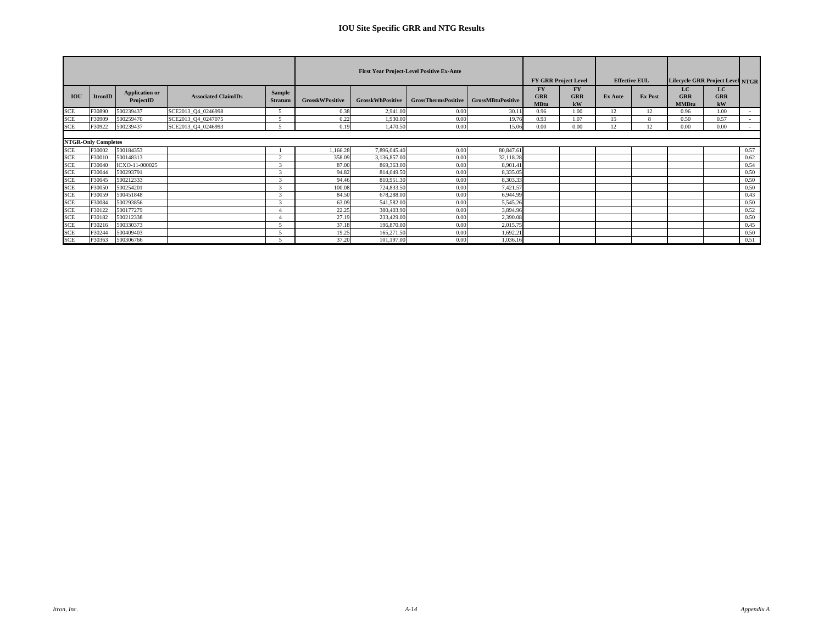|            |                                      |                                    |                            |                                 |                        |                         | <b>First Year Project-Level Positive Ex-Ante</b> |                   |                                        | <b>FY GRR Project Level</b> |         | <b>Effective EUL</b> | Lifecycle GRR Project Level NTGR |                         |      |
|------------|--------------------------------------|------------------------------------|----------------------------|---------------------------------|------------------------|-------------------------|--------------------------------------------------|-------------------|----------------------------------------|-----------------------------|---------|----------------------|----------------------------------|-------------------------|------|
| IOU        | <b>ItronID</b>                       | <b>Application or</b><br>ProjectID | <b>Associated ClaimIDs</b> | <b>Sample</b><br><b>Stratum</b> | <b>GrosskWPositive</b> | <b>GrosskWhPositive</b> | GrossThermsPositive                              | GrossMBtuPositive | <b>FY</b><br><b>GRR</b><br><b>MBtu</b> | FY<br><b>GRR</b><br>kW      | Ex Ante | <b>Ex Post</b>       | LC<br><b>GRR</b><br><b>MMBtu</b> | LC.<br><b>GRR</b><br>kW |      |
| <b>SCE</b> | F30890                               | 500239437                          | SCE2013 Q4 0246998         |                                 | 0.38                   | 2,941.00                | 0.00                                             | 30.11             | 0.96                                   | 1.00                        | 12      | 12                   | 0.96                             | 1.00                    |      |
| <b>SCE</b> | F30909                               | 500259470                          | SCE2013_Q4_0247075         |                                 | 0.22                   | 1,930.00                | 0.00                                             | 19.76             | 0.93                                   | 1.07                        | 15      |                      | 0.50                             | 0.57                    |      |
| <b>SCE</b> | F30922                               | 500239437                          | SCE2013_Q4_0246993         |                                 | 0.19                   | 1,470.50                | 0.00                                             | 15.06             | 0.00                                   | 0.00                        | 12      | 12                   | 0.00                             | 0.00                    |      |
| <b>SCE</b> | <b>NTGR-Only Completes</b><br>F30002 | 500184353                          |                            |                                 | 1,166.28               | 7,896,045.40            | 0.00                                             | 80,847.61         |                                        |                             |         |                      |                                  |                         | 0.57 |
| <b>SCE</b> | F30010                               | 500148313                          |                            | $\sim$                          | 358.09                 | 3,136,857.00            | 0.00                                             | 32,118.28         |                                        |                             |         |                      |                                  |                         | 0.62 |
| <b>SCE</b> | F30040                               | ICXO-11-000025                     |                            |                                 | 87.00                  | 869,363.00              | 0.00                                             | 8,901.41          |                                        |                             |         |                      |                                  |                         | 0.54 |
| <b>SCE</b> | F30044                               | 500293791                          |                            | r.                              | 94.82                  | 814,049.50              | 0.00                                             | 8,335.05          |                                        |                             |         |                      |                                  |                         | 0.50 |
| <b>SCE</b> | F30045                               | 500212333                          |                            |                                 | 94.46                  | 810,951.30              | 0.00                                             | 8,303.33          |                                        |                             |         |                      |                                  |                         | 0.50 |
| <b>SCE</b> | F30050                               | 500254201                          |                            |                                 | 100.08                 | 724,833.50              | 0.00                                             | 7,421.57          |                                        |                             |         |                      |                                  |                         | 0.50 |
| <b>SCE</b> | F30059                               | 500451848                          |                            |                                 | 84.50                  | 678,288.00              | 0.00                                             | 6.944.99          |                                        |                             |         |                      |                                  |                         | 0.43 |
| <b>SCE</b> | F30084                               | 500293856                          |                            |                                 | 63.09                  | 541,582.00              | 0.00                                             | 5,545.26          |                                        |                             |         |                      |                                  |                         | 0.50 |
| <b>SCE</b> | F30122                               | 500177279                          |                            |                                 | 22.25                  | 380,403.90              | 0.00                                             | 3.894.96          |                                        |                             |         |                      |                                  |                         | 0.52 |
| <b>SCE</b> | F30182                               | 500212338                          |                            |                                 | 27.19                  | 233,429.00              | 0.00                                             | 2,390.08          |                                        |                             |         |                      |                                  |                         | 0.50 |
| <b>SCE</b> | F30216                               | 500330373                          |                            |                                 | 37.18                  | 196,870.00              | 0.00                                             | 2,015.75          |                                        |                             |         |                      |                                  |                         | 0.45 |
| <b>SCE</b> | F30244                               | 500409403                          |                            |                                 | 19.25                  | 165,271.50              | 0.00                                             | 1,692.21          |                                        |                             |         |                      |                                  |                         | 0.50 |
| <b>SCE</b> | F30363                               | 500306766                          |                            |                                 | 37.20                  | 101,197.00              | 0.00                                             | 1,036.16          |                                        |                             |         |                      |                                  |                         | 0.51 |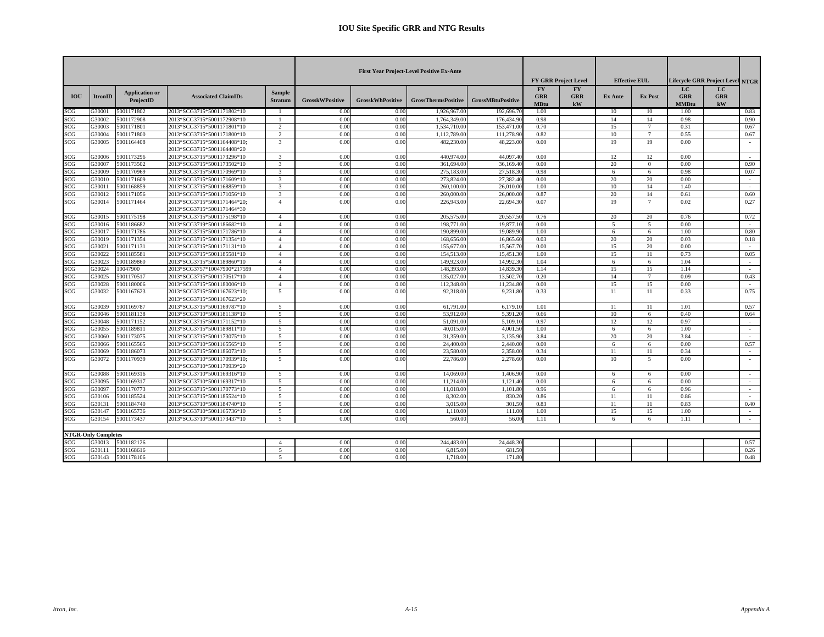|                  |                            |                                    |                                                           |                                 |                        |                         | <b>First Year Project-Level Positive Ex-Ante</b> |                          |                                        | <b>FY GRR Project Level</b>   |                | <b>Effective EUL</b> |                            | <b>Lifecycle GRR Project Level NTGR</b> |        |
|------------------|----------------------------|------------------------------------|-----------------------------------------------------------|---------------------------------|------------------------|-------------------------|--------------------------------------------------|--------------------------|----------------------------------------|-------------------------------|----------------|----------------------|----------------------------|-----------------------------------------|--------|
| <b>IOU</b>       | <b>ItronID</b>             | <b>Application or</b><br>ProjectID | <b>Associated ClaimIDs</b>                                | <b>Sample</b><br><b>Stratum</b> | <b>GrosskWPositive</b> | <b>GrosskWhPositive</b> | <b>GrossThermsPositive</b>                       | <b>GrossMBtuPositive</b> | <b>FY</b><br><b>GRR</b><br><b>MBtu</b> | <b>FY</b><br><b>GRR</b><br>kW | <b>Ex Ante</b> | <b>Ex Post</b>       | LC.<br><b>GRR</b><br>MMBtu | LC<br><b>GRR</b><br>kW                  |        |
| SCG              | 330001                     | 5001171802                         | 2013*SCG3715*5001171802*10                                |                                 | 0.00                   | 0.00                    | 1,926,967.00                                     | 192,696.7                | 1.00                                   |                               | 10             | 10                   | 1.00                       |                                         | 0.83   |
| SCG              | G30002                     | 5001172908                         | 2013*SCG3715*5001172908*10                                |                                 | 0.00                   | 0.00                    | 1.764.349.00                                     | 176,434.90               | 0.98                                   |                               | 14             | 14                   | 0.98                       |                                         | 0.90   |
| SCG              | 330003                     | 5001171801                         | 2013*SCG3715*5001171801*10                                | $\overline{2}$                  | 0.00                   | 0.00                    | 1,534,710.00                                     | 153,471.0                | 0.70                                   |                               | 15             | $\overline{7}$       | 0.31                       |                                         | 0.67   |
| SCG              | G30004                     | 5001171800                         | 2013*SCG3715*5001171800*10                                | $\overline{2}$                  | 0.00                   | 0.00                    | 1.112.789.00                                     | 111.278.9                | 0.82                                   |                               | 10             | 7                    | 0.55                       |                                         | 0.67   |
| SCG              | 330005                     | 5001164408                         | 2013*SCG3715*5001164408*10;<br>2013*SCG3715*5001164408*20 | 3                               | 0.00                   | 0.00                    | 482,230,00                                       | 48.223.00                | 0.00                                   |                               | 19             | 19                   | 0.00                       |                                         | $\sim$ |
| SCG              | G30006                     | 5001173296                         | 2013*SCG3715*5001173296*10                                | $\overline{3}$                  | 0.00                   | 0.00                    | 440,974.00                                       | 44,097.4                 | 0.00                                   |                               | 12             | 12                   | 0.00                       |                                         | $\sim$ |
| SCG              | G30007                     | 5001173502                         | 2013*SCG3715*5001173502*10                                | $\mathcal{E}$                   | 0.00                   | 0.00                    | 361,694.00                                       | 36,169.4                 | 0.00                                   |                               | 20             | $\Omega$             | 0.00                       |                                         | 0.90   |
| SCG              | 330009                     | 5001170969                         | 2013*SCG3715*5001170969*10                                | 3                               | 0.00                   | 0.00                    | 275,183.00                                       | 27.518.3                 | 0.98                                   |                               | 6              | 6                    | 0.98                       |                                         | 0.07   |
| SCG              | 330010                     | 5001171609                         | 2013*SCG3715*5001171609*10                                | $\mathcal{E}$                   | 0.00                   | 0.00                    | 273,824.00                                       | 27,382.4                 | 0.00                                   |                               | 20             | 20                   | 0.00                       |                                         | $\sim$ |
| SCG              | G30011                     | 5001168859                         | 2013*SCG3715*5001168859*10                                | 3                               | 0.00                   | 0.00                    | 260,100.00                                       | 26,010.0                 | 1.00                                   |                               | 10             | 14                   | 1.40                       |                                         | $\sim$ |
| SCG              | G30012                     | 5001171056                         | 2013*SCG3715*5001171056*10                                | 3                               | 0.00                   | 0.00                    | 260,000.00                                       | 26,000.0                 | 0.87                                   |                               | 20             | 14                   | 0.61                       |                                         | 0.60   |
| SCG              | 330014                     | 5001171464                         | 2013*SCG3715*5001171464*20;<br>2013*SCG3715*5001171464*30 | $\mathbf{A}$                    | 0.00                   | 0.00                    | 226,943.00                                       | 22,694.30                | 0.07                                   |                               | 19             | $\tau$               | 0.02                       |                                         | 0.27   |
| SCG              | 330015                     | 5001175198                         | 2013*SCG3715*5001175198*10                                | $\overline{4}$                  | 0.00                   | 0.00                    | 205,575.00                                       | 20,557.5                 | 0.76                                   |                               | 20             | 20                   | 0.76                       |                                         | 0.72   |
| SCG              | G30016                     | 5001186682                         | 2013*SCG3719*5001186682*10                                | $\overline{4}$                  | 0.00                   | 0.00                    | 198,771.00                                       | 19,877.1                 | 0.00                                   |                               | 5              | 5                    | 0.00                       |                                         | $\sim$ |
| SCG              | 330017                     | 5001171786                         | 2013*SCG3715*5001171786*10                                | $\overline{4}$                  | 0.00                   | 0.00                    | 190,899.00                                       | 19,089.9                 | 1.00                                   |                               | 6              | 6                    | 1.00                       |                                         | 0.80   |
| SCG              | 330019                     | 5001171354                         | 2013*SCG3715*5001171354*10                                | $\mathbf{A}$                    | 0.00                   | 0.00                    | 168,656.00                                       | 16,865.6                 | 0.03                                   |                               | 20             | 20                   | 0.03                       |                                         | 0.18   |
| SCG              | 330021                     | 5001171131                         | 2013*SCG3715*5001171131*10                                | $\overline{4}$                  | 0.00                   | 0.00                    | 155,677.00                                       | 15,567.7                 | 0.00                                   |                               | 15             | 20                   | 0.00                       |                                         | $\sim$ |
| SCG              | 330022                     | 5001185581                         | 2013*SCG3715*5001185581*10                                | $\overline{4}$                  | 0.00                   | 0.00                    | 154,513.00                                       | 15.451.3                 | 1.00                                   |                               | 15             | 11                   | 0.73                       |                                         | 0.05   |
| SCG              | 330023                     | 5001189860                         | 2013*SCG3715*5001189860*10                                | $\overline{4}$                  | 0.00                   | 0.00                    | 149,923.00                                       | 14,992.3                 | 1.04                                   |                               | 6              | 6                    | 1.04                       |                                         | $\sim$ |
| SCG              | 330024                     | 10047900                           | 2013*SCG3757*10047900*217599                              | $\mathbf{A}$                    | 0.00                   | 0.00                    | 148,393.00                                       | 14,839.3                 | 1.14                                   |                               | 15             | 15                   | 1.14                       |                                         | $\sim$ |
| SCG              | 330025                     | 5001170517                         | 2013*SCG3715*5001170517*10                                | $\overline{4}$                  | 0.00                   | 0.00                    | 135,027.00                                       | 13,502.7                 | 0.20                                   |                               | 14             | $7\phantom{.0}$      | 0.09                       |                                         | 0.43   |
| SCG              | 330028                     | 5001180006                         | 2013*SCG3715*5001180006*10                                | $\overline{4}$                  | 0.00                   | 0.00                    | 112,348.00                                       | 11,234.80                | 0.00                                   |                               | 15             | 15                   | 0.00                       |                                         | $\sim$ |
| SCG              | 330032                     | 5001167623                         | 2013*SCG3715*5001167623*10;<br>2013*SCG3715*5001167623*20 | 5                               | 0.00                   | 0.00                    | 92,318.00                                        | 9,231.80                 | 0.33                                   |                               | 11             | 11                   | 0.33                       |                                         | 0.75   |
| SCG              | G30039                     | 5001169787                         | 2013*SCG3715*5001169787*10                                | -5                              | 0.00                   | 0.00                    | 61,791.00                                        | 6,179.1                  | 1.01                                   |                               | 11             | 11                   | 1.01                       |                                         | 0.57   |
| SCG              | 330046                     | 5001181138                         | 2013*SCG3710*5001181138*10                                | 5                               | 0.00                   | 0.00                    | 53,912.00                                        | 5.391.2                  | 0.66                                   |                               | 10             | 6                    | 0.40                       |                                         | 0.64   |
| SCG              | 330048                     | 5001171152                         | 2013*SCG3715*5001171152*10                                | $\overline{5}$                  | 0.00                   | 0.00                    | 51,091.00                                        | 5.109.1                  | 0.97                                   |                               | 12             | 12                   | 0.97                       |                                         | $\sim$ |
| SCG              | 330055                     | 500118981                          | 2013*SCG3715*5001189811*10                                | 5                               | 0.00                   | 0.00                    | 40,015.00                                        | 4.001.5                  | 1.00                                   |                               | 6              | 6                    | 1.00                       |                                         | $\sim$ |
| SCG              | 330060                     | 5001173075                         | 2013*SCG3715*5001173075*10                                | 5                               | 0.00                   | 0.00                    | 31,359.00                                        | 3,135.9                  | 3.84                                   |                               | 20             | 20                   | 3.84                       |                                         | $\sim$ |
| SCG              | 330066                     | 5001165565                         | 2013*SCG3710*5001165565*10                                | 5                               | 0.00                   | 0.00                    | 24,400.00                                        | 2,440.0                  | 0.00                                   |                               | 6              | 6                    | 0.00                       |                                         | 0.57   |
| SCG              | 330069                     | 5001186073                         | 2013*SCG3715*5001186073*10                                | 5                               | 0.00                   | 0.00                    | 23,580.00                                        | 2,358.0                  | 0.34                                   |                               | 11             | 11                   | 0.34                       |                                         | $\sim$ |
| SCG              | 330072                     | 5001170939                         | 2013*SCG3710*5001170939*10;<br>2013*SCG3710*5001170939*20 | $\overline{\phantom{a}}$        | 0.00                   | 0.00                    | 22,786.00                                        | 2,278.6                  | 0.00                                   |                               | 10             | $\leq$               | 0.00                       |                                         | $\sim$ |
| SCG              | 330088                     | 5001169316                         | 2013*SCG3710*5001169316*10                                | 5                               | 0.00                   | 0.00                    | 14,069.00                                        | 1.406.9                  | 0.00                                   |                               | 6              | 6                    | 0.00                       |                                         | $\sim$ |
| SCG              | 330095                     | 5001169317                         | 2013*SCG3710*5001169317*10                                | 5                               | 0.00                   | 0.00                    | 11.214.00                                        | 1,121.4                  | 0.00                                   |                               | 6              | 6                    | 0.00                       |                                         | $\sim$ |
| SCG              | 330097                     | 5001170773                         | 2013*SCG3715*5001170773*10                                | 5                               | 0.00                   | 0.00                    | 11.018.00                                        | 1.101.8                  | 0.96                                   |                               | 6              | 6                    | 0.96                       |                                         | $\sim$ |
| SCG              | G30106                     | 5001185524                         | 2013*SCG3715*5001185524*10                                | -5                              | 0.00                   | 0.00                    | 8.302.00                                         | 830.2                    | 0.86                                   |                               | 11             | 11                   | 0.86                       |                                         | $\sim$ |
| SCG              | 330131                     | 5001184740                         | 2013*SCG3710*5001184740*10                                | 5                               | 0.00                   | 0.00                    | 3,015.00                                         | 301.5                    | 0.83                                   |                               | 11             | 11                   | 0.83                       |                                         | 0.40   |
| $\overline{SCG}$ | 330147                     | 5001165736                         | 2013*SCG3710*5001165736*10                                | 5                               | 0.00                   | 0.00                    | 1,110.00                                         | 111.0                    | 1.00                                   |                               | 15             | 15                   | 1.00                       |                                         | $\sim$ |
| SCG              | 330154                     | 5001173437                         | 2013*SCG3710*5001173437*10                                | $\sim$                          | 0.00                   | 0.00                    | 560.0                                            | 56.0                     | 1.11                                   |                               | 6              | 6                    | 1.11                       |                                         | $\sim$ |
|                  | <b>NTGR-Only Completes</b> |                                    |                                                           |                                 |                        |                         |                                                  |                          |                                        |                               |                |                      |                            |                                         |        |
| SCG              | G30013                     | 5001182126                         |                                                           | $\overline{4}$                  | 0.00                   | 0.00                    | 244,483.00                                       | 24.448.30                |                                        |                               |                |                      |                            |                                         | 0.57   |
| SCG              | G30111                     | 5001168616                         |                                                           | 5                               | 0.00                   | 0.00                    | 6,815.00                                         | 681.5                    |                                        |                               |                |                      |                            |                                         | 0.26   |
| SCG              | G30143                     | 5001178106                         |                                                           | $\overline{\phantom{0}}$        | 0.00                   | 0.00                    | 1,718.00                                         | 171.80                   |                                        |                               |                |                      |                            |                                         | 0.48   |
|                  |                            |                                    |                                                           |                                 |                        |                         |                                                  |                          |                                        |                               |                |                      |                            |                                         |        |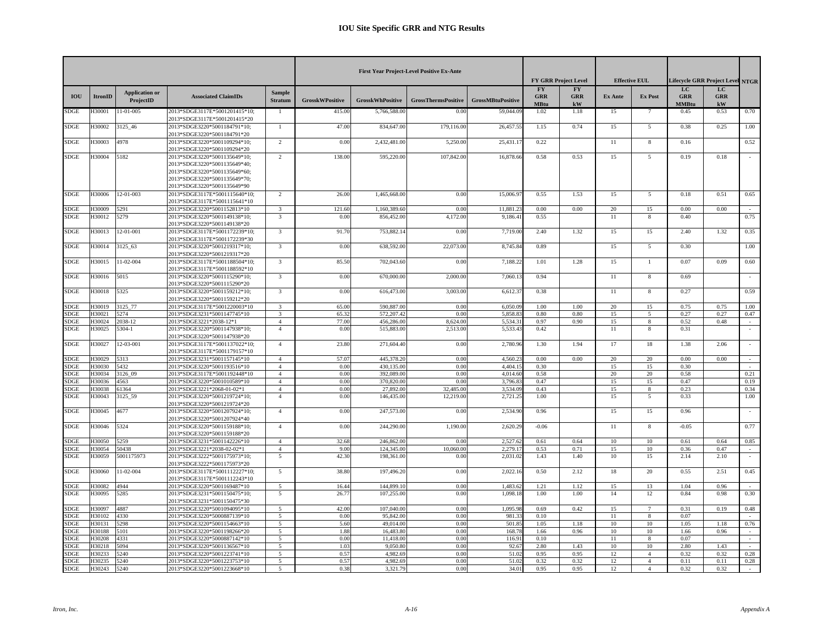|                            |                  |                                    |                                                                                                                                                             |                                  |                        |                          | <b>First Year Project-Level Positive Ex-Ante</b> |                          |                                        | <b>FY GRR Project Level</b>   |                | <b>Effective EUL</b> |                                  | Lifecycle GRR Project Level NTGR |        |
|----------------------------|------------------|------------------------------------|-------------------------------------------------------------------------------------------------------------------------------------------------------------|----------------------------------|------------------------|--------------------------|--------------------------------------------------|--------------------------|----------------------------------------|-------------------------------|----------------|----------------------|----------------------------------|----------------------------------|--------|
| <b>IOU</b>                 | <b>ItronID</b>   | <b>Application or</b><br>ProjectID | <b>Associated ClaimIDs</b>                                                                                                                                  | <b>Sample</b><br><b>Stratum</b>  | <b>GrosskWPositive</b> | <b>GrosskWhPositive</b>  | <b>GrossThermsPositive</b>                       | <b>GrossMBtuPositive</b> | <b>FY</b><br><b>GRR</b><br><b>MBtu</b> | <b>FY</b><br><b>GRR</b><br>kW | <b>Ex Ante</b> | <b>Ex Post</b>       | LC<br><b>GRR</b><br><b>MMBtu</b> | LC<br><b>GRR</b><br>${\bf kW}$   |        |
| <b>SDGE</b>                | H30001           | 11-01-005                          | 2013*SDGE3117E*5001201415*10;<br>2013*SDGE3117E*5001201415*20                                                                                               | $\mathbf{1}$                     | 415.00                 | 5,766,588.00             | 0.0                                              | 59,044.09                | 1.02                                   | 1.18                          | 15             |                      | 0.45                             | 0.53                             | 0.70   |
| <b>SDGE</b>                | H30002           | 3125 46                            | 2013*SDGE3220*5001184791*10;<br>2013*SDGE3220*5001184791*20                                                                                                 | $\overline{1}$                   | 47.00                  | 834,647.00               | 179,116.00                                       | 26,457.5                 | 1.15                                   | 0.74                          | 15             | $\overline{5}$       | 0.38                             | 0.25                             | 1.00   |
| <b>SDGE</b>                | H30003           | 4978                               | 2013*SDGE3220*5001109294*10;<br>2013*SDGE3220*5001109294*20                                                                                                 | $\overline{2}$                   | 0.00                   | 2,432,481.00             | 5,250.00                                         | 25,431.1                 | 0.22                                   |                               | 11             | 8                    | 0.16                             |                                  | 0.52   |
| <b>SDGE</b>                | H30004           | 5182                               | 2013*SDGE3220*5001135649*10;<br>2013*SDGE3220*5001135649*40;<br>2013*SDGE3220*5001135649*60;<br>2013*SDGE3220*5001135649*70;<br>2013*SDGE3220*5001135649*90 | 2                                | 138.00                 | 595,220.00               | 107,842.00                                       | 16,878.6                 | 0.58                                   | 0.53                          | 15             | 5                    | 0.19                             | 0.18                             |        |
| <b>SDGE</b>                | H30006           | 12-01-003                          | 2013*SDGE3117E*5001115640*10;<br>2013*SDGE3117E*5001115641*10                                                                                               | $\overline{2}$                   | 26.00                  | 1,465,668.00             | 0.00                                             | 15,006.9                 | 0.55                                   | 1.53                          | 15             | $\overline{5}$       | 0.18                             | 0.51                             | 0.65   |
| <b>SDGE</b>                | H30009           | 5291                               | 2013*SDGE3220*5001152813*10                                                                                                                                 | 3                                | 121.60                 | 1,160,389.60             | 0.00                                             | 11,881.2                 | 0.00                                   | 0.00                          | 20             | 15                   | 0.00                             | 0.00                             |        |
| <b>SDGE</b>                | H30012           | 5279                               | 2013*SDGE3220*5001149138*10;<br>2013*SDGE3220*5001149138*20                                                                                                 | $\overline{3}$                   | 0.00                   | 856,452.00               | 4,172.00                                         | 9,186.4                  | 0.55                                   |                               | 11             | 8                    | 0.40                             |                                  | 0.75   |
| <b>SDGE</b>                | H30013           | 12-01-001                          | 2013*SDGE3117E*5001172239*10;<br>2013*SDGE3117E*5001172239*30                                                                                               | $\overline{3}$                   | 91.70                  | 753,882.14               | 0.00                                             | 7,719.0                  | 2.40                                   | 1.32                          | 15             | 15                   | 2.40                             | 1.32                             | 0.35   |
| <b>SDGE</b>                | H30014           | 3125 63                            | 2013*SDGE3220*5001219317*10;<br>2013*SDGE3220*5001219317*20                                                                                                 | $\overline{3}$                   | 0.00                   | 638,592.00               | 22,073.00                                        | 8,745.8                  | 0.89                                   |                               | 15             | 5                    | 0.30                             |                                  | 1.00   |
| <b>SDGE</b>                | H30015           | $11 - 02 - 004$                    | 2013*SDGE3117E*5001188504*10;<br>2013*SDGE3117E*5001188592*10                                                                                               | 3                                | 85.50                  | 702,043.60               | 0.00                                             | 7,188.22                 | 1.01                                   | 1.28                          | 15             | $\overline{1}$       | 0.07                             | 0.09                             | 0.60   |
| <b>SDGE</b>                | H30016           | 5015                               | 2013*SDGE3220*5001115290*10:<br>2013*SDGE3220*5001115290*20                                                                                                 | $\overline{3}$                   | 0.00                   | 670,000.00               | 2,000.0                                          | 7.060.1                  | 0.94                                   |                               | 11             | 8                    | 0.69                             |                                  |        |
| <b>SDGE</b>                | H30018           | 5325                               | 2013*SDGE3220*5001159212*10;<br>2013*SDGE3220*5001159212*20                                                                                                 | $\overline{3}$                   | 0.00                   | 616,473.00               | 3,003.00                                         | 6,612.3                  | 0.38                                   |                               | 11             | 8                    | 0.27                             |                                  | 0.59   |
| <b>SDGE</b>                | H30019           | 3125 77                            | 2013*SDGE3117E*5001220003*10                                                                                                                                | $\overline{\mathbf{3}}$          | 65.00                  | 590,887.00               | 0.00                                             | 6.050.09                 | 1.00                                   | 1.00                          | 20             | 15                   | 0.75                             | 0.75                             | 1.00   |
| <b>SDGE</b>                | H30021           | 5274                               | 2013*SDGE3231*5001147745*10                                                                                                                                 | $\overline{3}$                   | 65.32                  | 572,207.42               | 0.00                                             | 5,858.8                  | 0.80                                   | 0.80                          | 15             | 5                    | 0.27                             | 0.27                             | 0.47   |
| <b>SDGE</b>                | H30024           | 2038-12                            | 2013*SDGE3221*2038-12*1                                                                                                                                     | $\overline{4}$                   | 77.00                  | 456,286.00               | 8.624.00                                         | 5.534.3                  | 0.97                                   | 0.90                          | 15             | 8                    | 0.52                             | 0.48                             |        |
| <b>SDGE</b>                | H30025           | $5304 - 1$                         | 2013*SDGE3220*5001147938*10;<br>2013*SDGE3220*5001147938*20                                                                                                 | $\overline{4}$                   | 0.00                   | 515,883.00               | 2,513.00                                         | 5,533.4                  | 0.42                                   |                               | 11             | 8                    | 0.31                             |                                  |        |
| <b>SDGE</b>                | H30027           | 12-03-001                          | 2013*SDGE3117E*5001137022*10;<br>2013*SDGE3117E*5001179157*10                                                                                               | $\overline{A}$                   | 23.80                  | 271,604.40               | 0.00                                             | 2,780.96                 | 1.30                                   | 1.94                          | 17             | 18                   | 1.38                             | 2.06                             |        |
| <b>SDGE</b>                | H30029           | 5313                               | 2013*SDGE3231*5001157145*10                                                                                                                                 | $\overline{4}$                   | 57.07                  | 445,378.20               | 0.00                                             | 4,560.2                  | 0.00                                   | 0.00                          | 20             | 20                   | 0.00                             | 0.00                             | $\sim$ |
| <b>SDGE</b><br><b>SDGE</b> | H30030<br>H30034 | 5432<br>3126 09                    | 2013*SDGE3220*5001193516*10<br>2013*SDGE3117E*5001192448*10                                                                                                 | $\overline{4}$<br>$\overline{4}$ | 0.00<br>0.00           | 430.135.00<br>392,089.00 | 0.00<br>0.00                                     | 4.404.1<br>4.014.6       | 0.30<br>0.58                           |                               | 15<br>20       | 15<br>20             | 0.30<br>0.58                     |                                  | 0.21   |
| <b>SDGE</b>                | H30036           | 4563                               | 2013*SDGE3220*5001010589*10                                                                                                                                 | $\overline{4}$                   | 0.00                   | 370,820.00               | 0.00                                             | 3,796.8                  | 0.47                                   |                               | 15             | 15                   | 0.47                             |                                  | 0.19   |
| <b>SDGE</b>                | H30038           | 51364                              | 2013*SDGE3221*2068-01-02*1                                                                                                                                  | $\overline{4}$                   | 0.00                   | 27,892.00                | 32,485.00                                        | 3.534.0                  | 0.43                                   |                               | 15             | 8                    | 0.23                             |                                  | 0.34   |
| <b>SDGE</b>                | H30043           | 3125_59                            | 2013*SDGE3220*5001219724*10;<br>2013*SDGE3220*5001219724*20                                                                                                 | $\overline{4}$                   | 0.00                   | 146,435.00               | 12,219.00                                        | 2,721.2                  | 1.00                                   |                               | 15             | 5                    | 0.33                             |                                  | 1.00   |
| <b>SDGE</b>                | H30045           | 4677                               | 2013*SDGE3220*5001207924*10;<br>2013*SDGE3220*5001207924*40                                                                                                 | $\overline{4}$                   | 0.00                   | 247,573.00               | 0.00                                             | 2,534.90                 | 0.96                                   |                               | 15             | 15                   | 0.96                             |                                  |        |
| <b>SDGE</b>                | H30046           | 5324                               | 2013*SDGE3220*5001159188*10;<br>2013*SDGE3220*5001159188*20                                                                                                 | $\overline{4}$                   | 0.00                   | 244,290.00               | 1,190.00                                         | 2,620.2                  | $-0.06$                                |                               | 11             | $\,$ 8 $\,$          | $-0.05$                          |                                  | 0.77   |
| <b>SDGE</b>                | H30050           | 5259                               | 2013*SDGE3231*5001142226*10                                                                                                                                 | $\overline{4}$                   | 32.68                  | 246,862.00               | 0.00                                             | 2,527.6                  | 0.61                                   | 0.64                          | 10             | 10 <sup>1</sup>      | 0.61                             | 0.64                             | 0.85   |
| <b>SDGE</b>                | H30054           | 50438                              | 2013*SDGE3221*2038-02-02*1                                                                                                                                  | $\overline{4}$                   | 9.00                   | 124,345.00               | 10,060.00                                        | 2,279.1                  | 0.53                                   | 0.71                          | 15             | 10                   | 0.36                             | 0.47                             | $\sim$ |
| <b>SDGE</b>                | H30059           | 5001175973                         | 2013*SDGE3222*5001175973*10;<br>2013*SDGE3222*5001175973*20                                                                                                 | 5                                | 42.30                  | 198,361.00               | 0.00                                             | 2,031.0                  | 1.43                                   | 1.40                          | 10             | 15                   | 2.14                             | 2.10                             |        |
| <b>SDGE</b>                | H30060           | 11-02-004                          | 2013*SDGE3117E*5001112227*10;<br>2013*SDGE3117E*5001112243*10                                                                                               | 5                                | 38.80                  | 197,496.20               | 0.00                                             | 2,022.1                  | 0.50                                   | 2.12                          | 18             | 20                   | 0.55                             | 2.51                             | 0.45   |
| <b>SDGE</b>                | H30082           | 4944                               | 2013*SDGE3220*5001169487*10                                                                                                                                 | 5                                | 16.44                  | 144,899.10               | 0.00                                             | 1.483.6                  | 1.21                                   | 1.12                          | 15             | 13                   | 1.04                             | 0.96                             |        |
| <b>SDGE</b>                | H30095           | 5285                               | 2013*SDGE3231*5001150475*10;<br>2013*SDGE3231*5001150475*30                                                                                                 | 5                                | 26.77                  | 107,255.00               | 0.00                                             | 1,098.1                  | 1.00                                   | 1.00                          | 14             | 12                   | 0.84                             | 0.98                             | 0.30   |
| <b>SDGE</b>                | H30097           | 4887                               | 2013*SDGE3220*5001094095*10                                                                                                                                 | 5                                | 42.00                  | 107,040.0                | 0.00                                             | 1,095.9                  | 0.69                                   | 0.42                          | 15             | $\tau$               | 0.31                             | 0.19                             | 0.48   |
| <b>SDGE</b>                | H30102           | 4330                               | 2013*SDGE3220*5000887139*10                                                                                                                                 | $\overline{5}$                   | 0.00                   | 95,842.00                | 0.00                                             | 981.33                   | 0.10                                   |                               | 11             | $\,$ 8 $\,$          | 0.07                             |                                  |        |
| <b>SDGE</b>                | H30131           | 5298                               | 2013*SDGE3220*5001154663*10                                                                                                                                 | 5                                | 5.60                   | 49,014.00                | 0.00                                             | 501.85                   | 1.05                                   | 1.18                          | 10             | 10                   | 1.05                             | 1.18                             | 0.76   |
| <b>SDGE</b><br><b>SDGE</b> | H30188<br>H30208 | 5101<br>4331                       | 2013*SDGE3220*5001198266*20<br>2013*SDGE3220*5000887142*10                                                                                                  | 5<br>5                           | 1.88<br>0.00           | 16,483.80<br>11,418.00   | 0.00<br>0.00                                     | 168.7<br>116.91          | 1.66<br>0.10                           | 0.96                          | 10<br>11       | 10                   | 1.66<br>0.07                     | 0.96                             | $\sim$ |
| <b>SDGE</b>                | H30218           | 5094                               | 2013*SDGE3220*5001136567*10                                                                                                                                 | 5                                | 1.03                   | 9,050.80                 | 0.00                                             | 92.6                     | 2.80                                   | 1.43                          | 10             | 8<br>10              | 2.80                             | 1.43                             |        |
| <b>SDGE</b>                | H30233           | 5240                               | 2013*SDGE3220*5001223741*10                                                                                                                                 | $5\overline{)}$                  | 0.57                   | 4.982.6                  | 0.00                                             | 51.02                    | 0.95                                   | 0.95                          | 12             | $\overline{4}$       | 0.32                             | 0.32                             | 0.28   |
| <b>SDGE</b>                | H30235           | 5240                               | 2013*SDGE3220*5001223753*10                                                                                                                                 | 5                                | 0.57                   | 4,982.69                 | 0.00                                             | 51.0                     | 0.32                                   | 0.32                          | 12             | $\overline{4}$       | 0.11                             | 0.11                             | 0.28   |
| <b>SDGE</b>                | H30243           | 5240                               | 2013*SDGE3220*5001223668*10                                                                                                                                 | $\overline{5}$                   | 0.38                   | 3,321.79                 | 0.00                                             | 34.01                    | 0.95                                   | 0.95                          | 12             | $\overline{4}$       | 0.32                             | 0.32                             | $\sim$ |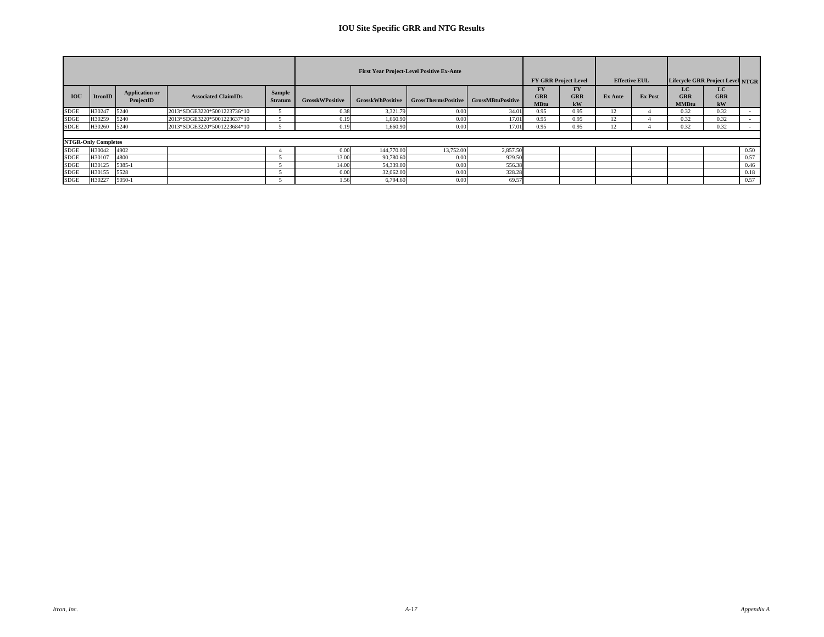|             |                            |                                    |                             |                          |                        |                         | <b>First Year Project-Level Positive Ex-Ante</b> |          |                                        | <b>FY GRR Project Level</b> |         | <b>Effective EUL</b> | <b>Lifecycle GRR Project Level NTGR</b> |                         |      |
|-------------|----------------------------|------------------------------------|-----------------------------|--------------------------|------------------------|-------------------------|--------------------------------------------------|----------|----------------------------------------|-----------------------------|---------|----------------------|-----------------------------------------|-------------------------|------|
| <b>IOU</b>  | ItronID                    | <b>Application or</b><br>ProjectID | <b>Associated ClaimIDs</b>  | Sample<br><b>Stratum</b> | <b>GrosskWPositive</b> | <b>GrosskWhPositive</b> | GrossThermsPositive   GrossMBtuPositive          |          | <b>FY</b><br><b>GRR</b><br><b>MBtu</b> | FY<br><b>GRR</b><br>kW      | Ex Ante | Ex Post              | LC<br><b>GRR</b><br><b>MMBtu</b>        | LC.<br><b>GRR</b><br>kW |      |
| <b>SDGE</b> | H30247                     | 5240                               | 2013*SDGE3220*5001223736*10 |                          | 0.38                   | 3,321.79                | 0.00                                             | 34.01    | 0.95                                   | 0.95                        |         |                      | 0.32                                    | 0.32                    |      |
| <b>SDGE</b> | H30259                     | 5240                               | 2013*SDGE3220*5001223637*10 |                          | 0.19                   | 1,660.90                | 0.00                                             | 17.01    | 0.95                                   | 0.95                        |         |                      | 0.32                                    | 0.32                    |      |
| <b>SDGE</b> | H30260                     | 5240                               | 2013*SDGE3220*5001223684*10 |                          | 0.19                   | 1,660.90                | 0.00                                             | 17.01    | 0.95                                   | 0.95                        | Е.      |                      | 0.32                                    | 0.32                    |      |
|             |                            |                                    |                             |                          |                        |                         |                                                  |          |                                        |                             |         |                      |                                         |                         |      |
|             | <b>NTGR-Only Completes</b> |                                    |                             |                          |                        |                         |                                                  |          |                                        |                             |         |                      |                                         |                         |      |
| SDGE        | H30042                     | 4902                               |                             |                          | 0.00                   | 144,770.00              | 13,752.00                                        | 2,857.50 |                                        |                             |         |                      |                                         |                         | 0.50 |
| <b>SDGE</b> | H30107                     | 4800                               |                             |                          | 13.00                  | 90,780.60               | 0.00                                             | 929.50   |                                        |                             |         |                      |                                         |                         | 0.57 |
| <b>SDGE</b> | H30125                     | 5385-1                             |                             |                          | 14.00                  | 54,339.00               | 0.00                                             | 556.38   |                                        |                             |         |                      |                                         |                         | 0.46 |
| <b>SDGE</b> | H30155                     | 5528                               |                             |                          | 0.00                   | 32,062.00               | 0.00                                             | 328.28   |                                        |                             |         |                      |                                         |                         | 0.18 |
| SDGE        | H30227                     | 5050-1                             |                             |                          | 1.56                   | 6,794.60                | 0.00                                             | 69.57    |                                        |                             |         |                      |                                         |                         | 0.57 |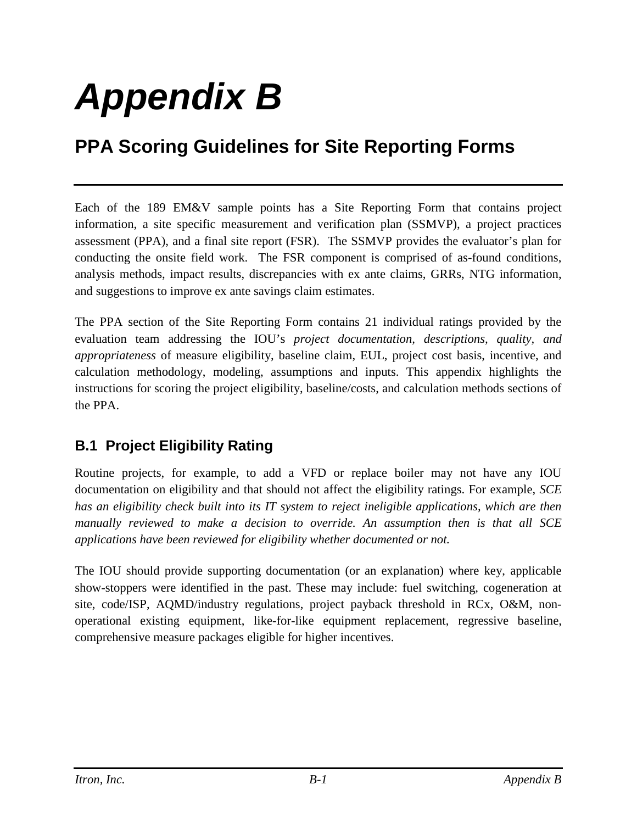# *Appendix B*

## **PPA Scoring Guidelines for Site Reporting Forms**

Each of the 189 EM&V sample points has a Site Reporting Form that contains project information, a site specific measurement and verification plan (SSMVP), a project practices assessment (PPA), and a final site report (FSR). The SSMVP provides the evaluator's plan for conducting the onsite field work. The FSR component is comprised of as-found conditions, analysis methods, impact results, discrepancies with ex ante claims, GRRs, NTG information, and suggestions to improve ex ante savings claim estimates.

The PPA section of the Site Reporting Form contains 21 individual ratings provided by the evaluation team addressing the IOU's *project documentation, descriptions, quality, and appropriateness* of measure eligibility, baseline claim, EUL, project cost basis, incentive, and calculation methodology, modeling, assumptions and inputs. This appendix highlights the instructions for scoring the project eligibility, baseline/costs, and calculation methods sections of the PPA.

#### **B.1 Project Eligibility Rating**

Routine projects, for example, to add a VFD or replace boiler may not have any IOU documentation on eligibility and that should not affect the eligibility ratings. For example, *SCE has an eligibility check built into its IT system to reject ineligible applications, which are then manually reviewed to make a decision to override. An assumption then is that all SCE applications have been reviewed for eligibility whether documented or not.*

The IOU should provide supporting documentation (or an explanation) where key, applicable show-stoppers were identified in the past. These may include: fuel switching, cogeneration at site, code/ISP, AQMD/industry regulations, project payback threshold in RCx, O&M, nonoperational existing equipment, like-for-like equipment replacement, regressive baseline, comprehensive measure packages eligible for higher incentives.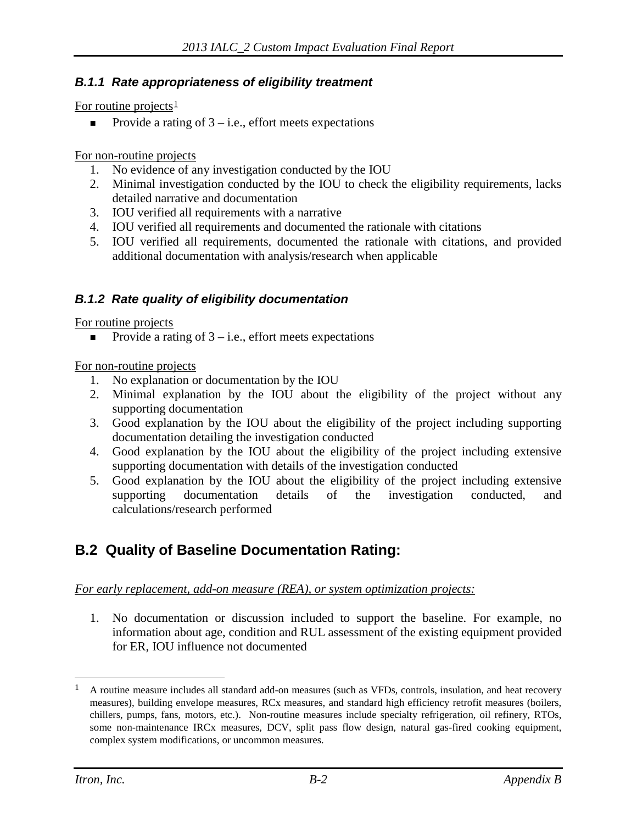#### *B.1.1 Rate appropriateness of eligibility treatment*

For routine projects $\frac{1}{2}$  $\frac{1}{2}$  $\frac{1}{2}$ 

Provide a rating of  $3 - i.e.,$  effort meets expectations

For non-routine projects

- 1. No evidence of any investigation conducted by the IOU
- 2. Minimal investigation conducted by the IOU to check the eligibility requirements, lacks detailed narrative and documentation
- 3. IOU verified all requirements with a narrative
- 4. IOU verified all requirements and documented the rationale with citations
- 5. IOU verified all requirements, documented the rationale with citations, and provided additional documentation with analysis/research when applicable

#### *B.1.2 Rate quality of eligibility documentation*

For routine projects

Provide a rating of  $3 - i.e.,$  effort meets expectations

For non-routine projects

- 1. No explanation or documentation by the IOU
- 2. Minimal explanation by the IOU about the eligibility of the project without any supporting documentation
- 3. Good explanation by the IOU about the eligibility of the project including supporting documentation detailing the investigation conducted
- 4. Good explanation by the IOU about the eligibility of the project including extensive supporting documentation with details of the investigation conducted
- 5. Good explanation by the IOU about the eligibility of the project including extensive supporting documentation details of the investigation conducted, and calculations/research performed

#### **B.2 Quality of Baseline Documentation Rating:**

#### *For early replacement, add-on measure (REA), or system optimization projects:*

1. No documentation or discussion included to support the baseline. For example, no information about age, condition and RUL assessment of the existing equipment provided for ER, IOU influence not documented

 $\overline{a}$ 

<span id="page-20-0"></span><sup>&</sup>lt;sup>1</sup> A routine measure includes all standard add-on measures (such as VFDs, controls, insulation, and heat recovery measures), building envelope measures, RCx measures, and standard high efficiency retrofit measures (boilers, chillers, pumps, fans, motors, etc.). Non-routine measures include specialty refrigeration, oil refinery, RTOs, some non-maintenance IRCx measures, DCV, split pass flow design, natural gas-fired cooking equipment, complex system modifications, or uncommon measures.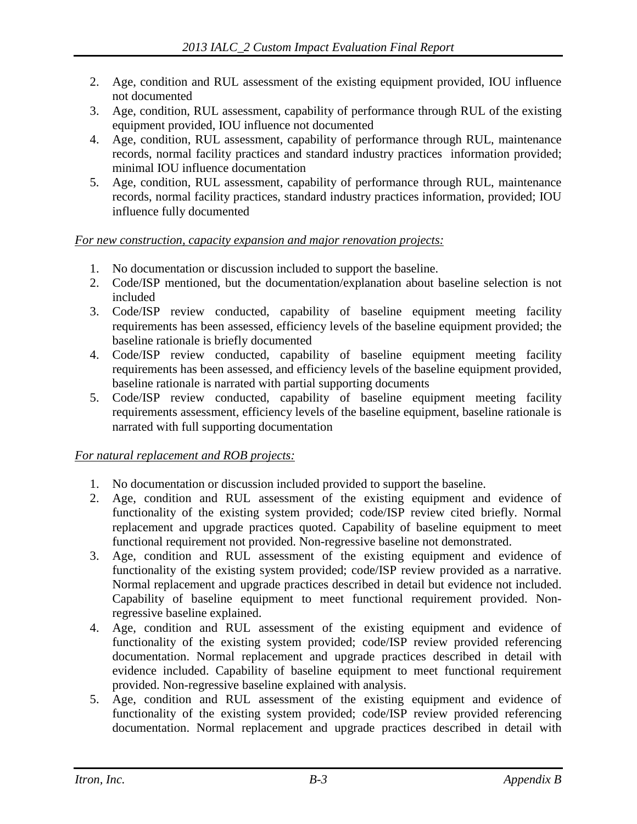- 2. Age, condition and RUL assessment of the existing equipment provided, IOU influence not documented
- 3. Age, condition, RUL assessment, capability of performance through RUL of the existing equipment provided, IOU influence not documented
- 4. Age, condition, RUL assessment, capability of performance through RUL, maintenance records, normal facility practices and standard industry practices information provided; minimal IOU influence documentation
- 5. Age, condition, RUL assessment, capability of performance through RUL, maintenance records, normal facility practices, standard industry practices information, provided; IOU influence fully documented

*For new construction, capacity expansion and major renovation projects:*

- 1. No documentation or discussion included to support the baseline.
- 2. Code/ISP mentioned, but the documentation/explanation about baseline selection is not included
- 3. Code/ISP review conducted, capability of baseline equipment meeting facility requirements has been assessed, efficiency levels of the baseline equipment provided; the baseline rationale is briefly documented
- 4. Code/ISP review conducted, capability of baseline equipment meeting facility requirements has been assessed, and efficiency levels of the baseline equipment provided, baseline rationale is narrated with partial supporting documents
- 5. Code/ISP review conducted, capability of baseline equipment meeting facility requirements assessment, efficiency levels of the baseline equipment, baseline rationale is narrated with full supporting documentation

#### *For natural replacement and ROB projects:*

- 1. No documentation or discussion included provided to support the baseline.
- 2. Age, condition and RUL assessment of the existing equipment and evidence of functionality of the existing system provided; code/ISP review cited briefly. Normal replacement and upgrade practices quoted. Capability of baseline equipment to meet functional requirement not provided. Non-regressive baseline not demonstrated.
- 3. Age, condition and RUL assessment of the existing equipment and evidence of functionality of the existing system provided; code/ISP review provided as a narrative. Normal replacement and upgrade practices described in detail but evidence not included. Capability of baseline equipment to meet functional requirement provided. Nonregressive baseline explained.
- 4. Age, condition and RUL assessment of the existing equipment and evidence of functionality of the existing system provided; code/ISP review provided referencing documentation. Normal replacement and upgrade practices described in detail with evidence included. Capability of baseline equipment to meet functional requirement provided. Non-regressive baseline explained with analysis.
- 5. Age, condition and RUL assessment of the existing equipment and evidence of functionality of the existing system provided; code/ISP review provided referencing documentation. Normal replacement and upgrade practices described in detail with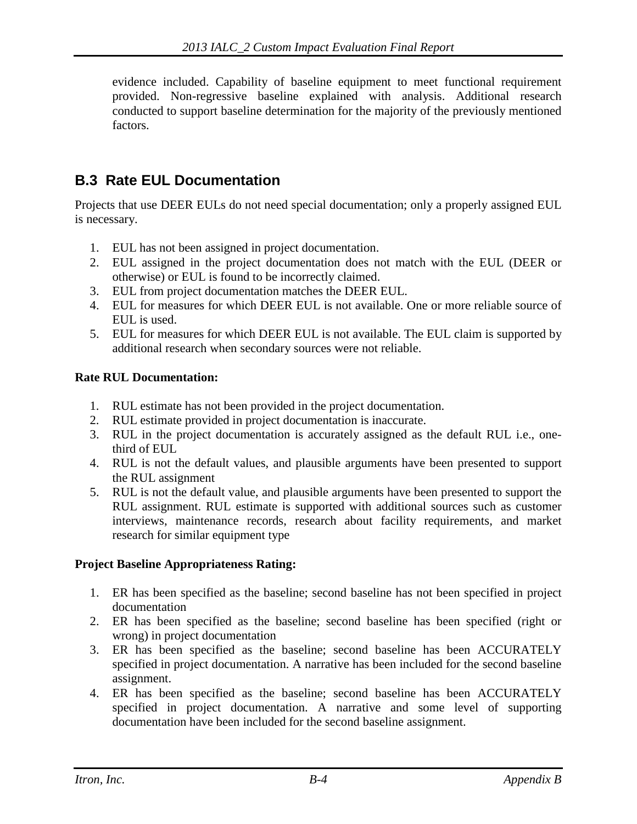evidence included. Capability of baseline equipment to meet functional requirement provided. Non-regressive baseline explained with analysis. Additional research conducted to support baseline determination for the majority of the previously mentioned factors.

#### **B.3 Rate EUL Documentation**

Projects that use DEER EULs do not need special documentation; only a properly assigned EUL is necessary.

- 1. EUL has not been assigned in project documentation.
- 2. EUL assigned in the project documentation does not match with the EUL (DEER or otherwise) or EUL is found to be incorrectly claimed.
- 3. EUL from project documentation matches the DEER EUL.
- 4. EUL for measures for which DEER EUL is not available. One or more reliable source of EUL is used.
- 5. EUL for measures for which DEER EUL is not available. The EUL claim is supported by additional research when secondary sources were not reliable.

#### **Rate RUL Documentation:**

- 1. RUL estimate has not been provided in the project documentation.
- 2. RUL estimate provided in project documentation is inaccurate.
- 3. RUL in the project documentation is accurately assigned as the default RUL i.e., onethird of EUL
- 4. RUL is not the default values, and plausible arguments have been presented to support the RUL assignment
- 5. RUL is not the default value, and plausible arguments have been presented to support the RUL assignment. RUL estimate is supported with additional sources such as customer interviews, maintenance records, research about facility requirements, and market research for similar equipment type

#### **Project Baseline Appropriateness Rating:**

- 1. ER has been specified as the baseline; second baseline has not been specified in project documentation
- 2. ER has been specified as the baseline; second baseline has been specified (right or wrong) in project documentation
- 3. ER has been specified as the baseline; second baseline has been ACCURATELY specified in project documentation. A narrative has been included for the second baseline assignment.
- 4. ER has been specified as the baseline; second baseline has been ACCURATELY specified in project documentation. A narrative and some level of supporting documentation have been included for the second baseline assignment.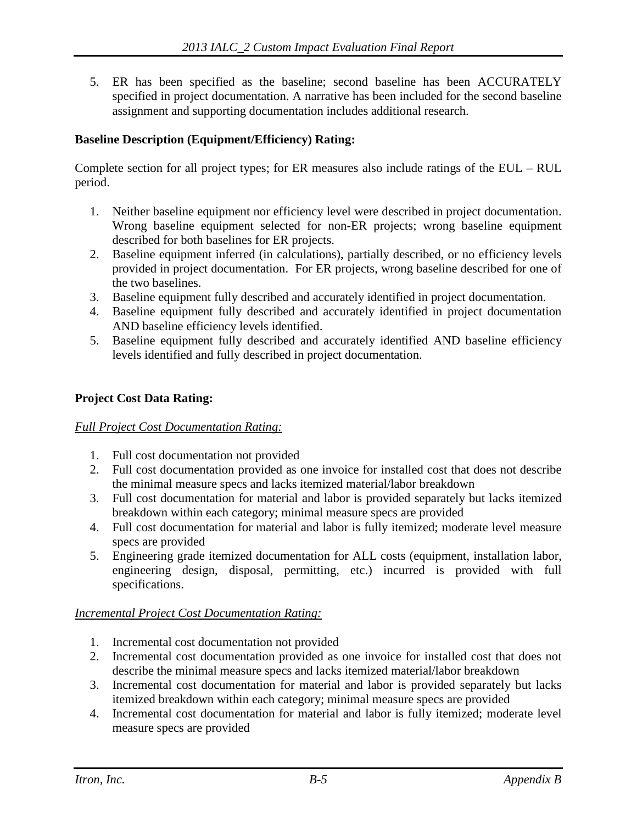5. ER has been specified as the baseline; second baseline has been ACCURATELY specified in project documentation. A narrative has been included for the second baseline assignment and supporting documentation includes additional research.

#### **Baseline Description (Equipment/Efficiency) Rating:**

Complete section for all project types; for ER measures also include ratings of the EUL – RUL period.

- 1. Neither baseline equipment nor efficiency level were described in project documentation. Wrong baseline equipment selected for non-ER projects; wrong baseline equipment described for both baselines for ER projects.
- 2. Baseline equipment inferred (in calculations), partially described, or no efficiency levels provided in project documentation. For ER projects, wrong baseline described for one of the two baselines.
- 3. Baseline equipment fully described and accurately identified in project documentation.
- 4. Baseline equipment fully described and accurately identified in project documentation AND baseline efficiency levels identified.
- 5. Baseline equipment fully described and accurately identified AND baseline efficiency levels identified and fully described in project documentation.

#### **Project Cost Data Rating:**

#### *Full Project Cost Documentation Rating:*

- 1. Full cost documentation not provided
- 2. Full cost documentation provided as one invoice for installed cost that does not describe the minimal measure specs and lacks itemized material/labor breakdown
- 3. Full cost documentation for material and labor is provided separately but lacks itemized breakdown within each category; minimal measure specs are provided
- 4. Full cost documentation for material and labor is fully itemized; moderate level measure specs are provided
- 5. Engineering grade itemized documentation for ALL costs (equipment, installation labor, engineering design, disposal, permitting, etc.) incurred is provided with full specifications.

#### *Incremental Project Cost Documentation Rating:*

- 1. Incremental cost documentation not provided
- 2. Incremental cost documentation provided as one invoice for installed cost that does not describe the minimal measure specs and lacks itemized material/labor breakdown
- 3. Incremental cost documentation for material and labor is provided separately but lacks itemized breakdown within each category; minimal measure specs are provided
- 4. Incremental cost documentation for material and labor is fully itemized; moderate level measure specs are provided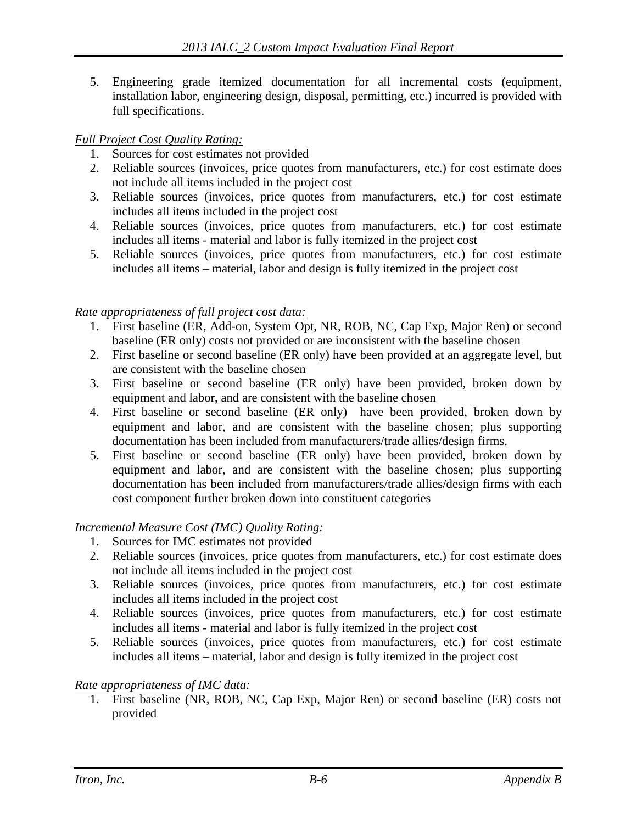5. Engineering grade itemized documentation for all incremental costs (equipment, installation labor, engineering design, disposal, permitting, etc.) incurred is provided with full specifications.

#### *Full Project Cost Quality Rating:*

- 1. Sources for cost estimates not provided
- 2. Reliable sources (invoices, price quotes from manufacturers, etc.) for cost estimate does not include all items included in the project cost
- 3. Reliable sources (invoices, price quotes from manufacturers, etc.) for cost estimate includes all items included in the project cost
- 4. Reliable sources (invoices, price quotes from manufacturers, etc.) for cost estimate includes all items - material and labor is fully itemized in the project cost
- 5. Reliable sources (invoices, price quotes from manufacturers, etc.) for cost estimate includes all items – material, labor and design is fully itemized in the project cost

#### *Rate appropriateness of full project cost data:*

- 1. First baseline (ER, Add-on, System Opt, NR, ROB, NC, Cap Exp, Major Ren) or second baseline (ER only) costs not provided or are inconsistent with the baseline chosen
- 2. First baseline or second baseline (ER only) have been provided at an aggregate level, but are consistent with the baseline chosen
- 3. First baseline or second baseline (ER only) have been provided, broken down by equipment and labor, and are consistent with the baseline chosen
- 4. First baseline or second baseline (ER only) have been provided, broken down by equipment and labor, and are consistent with the baseline chosen; plus supporting documentation has been included from manufacturers/trade allies/design firms.
- 5. First baseline or second baseline (ER only) have been provided, broken down by equipment and labor, and are consistent with the baseline chosen; plus supporting documentation has been included from manufacturers/trade allies/design firms with each cost component further broken down into constituent categories

#### *Incremental Measure Cost (IMC) Quality Rating:*

- 1. Sources for IMC estimates not provided
- 2. Reliable sources (invoices, price quotes from manufacturers, etc.) for cost estimate does not include all items included in the project cost
- 3. Reliable sources (invoices, price quotes from manufacturers, etc.) for cost estimate includes all items included in the project cost
- 4. Reliable sources (invoices, price quotes from manufacturers, etc.) for cost estimate includes all items - material and labor is fully itemized in the project cost
- 5. Reliable sources (invoices, price quotes from manufacturers, etc.) for cost estimate includes all items – material, labor and design is fully itemized in the project cost

#### *Rate appropriateness of IMC data:*

1. First baseline (NR, ROB, NC, Cap Exp, Major Ren) or second baseline (ER) costs not provided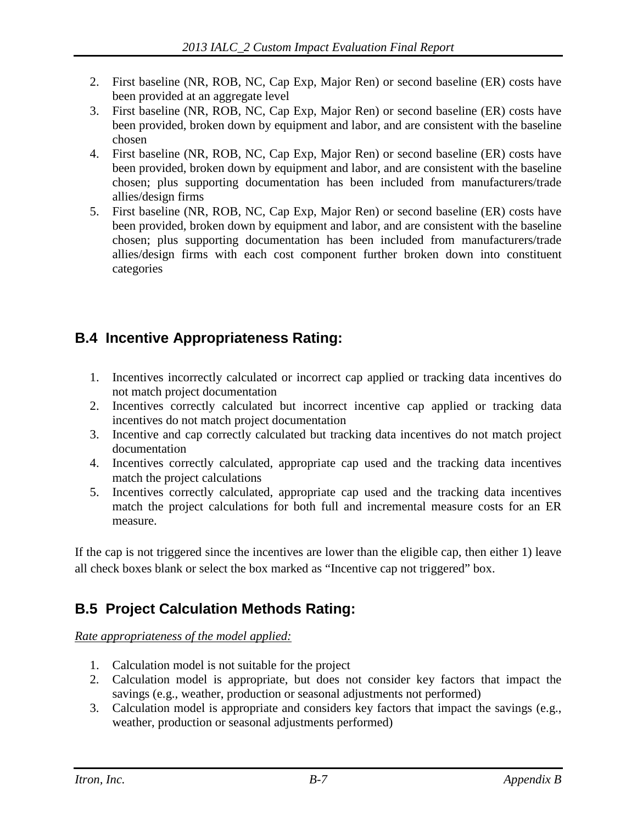- 2. First baseline (NR, ROB, NC, Cap Exp, Major Ren) or second baseline (ER) costs have been provided at an aggregate level
- 3. First baseline (NR, ROB, NC, Cap Exp, Major Ren) or second baseline (ER) costs have been provided, broken down by equipment and labor, and are consistent with the baseline chosen
- 4. First baseline (NR, ROB, NC, Cap Exp, Major Ren) or second baseline (ER) costs have been provided, broken down by equipment and labor, and are consistent with the baseline chosen; plus supporting documentation has been included from manufacturers/trade allies/design firms
- 5. First baseline (NR, ROB, NC, Cap Exp, Major Ren) or second baseline (ER) costs have been provided, broken down by equipment and labor, and are consistent with the baseline chosen; plus supporting documentation has been included from manufacturers/trade allies/design firms with each cost component further broken down into constituent categories

### **B.4 Incentive Appropriateness Rating:**

- 1. Incentives incorrectly calculated or incorrect cap applied or tracking data incentives do not match project documentation
- 2. Incentives correctly calculated but incorrect incentive cap applied or tracking data incentives do not match project documentation
- 3. Incentive and cap correctly calculated but tracking data incentives do not match project documentation
- 4. Incentives correctly calculated, appropriate cap used and the tracking data incentives match the project calculations
- 5. Incentives correctly calculated, appropriate cap used and the tracking data incentives match the project calculations for both full and incremental measure costs for an ER measure.

If the cap is not triggered since the incentives are lower than the eligible cap, then either 1) leave all check boxes blank or select the box marked as "Incentive cap not triggered" box.

### **B.5 Project Calculation Methods Rating:**

#### *Rate appropriateness of the model applied:*

- 1. Calculation model is not suitable for the project
- 2. Calculation model is appropriate, but does not consider key factors that impact the savings (e.g., weather, production or seasonal adjustments not performed)
- 3. Calculation model is appropriate and considers key factors that impact the savings (e.g., weather, production or seasonal adjustments performed)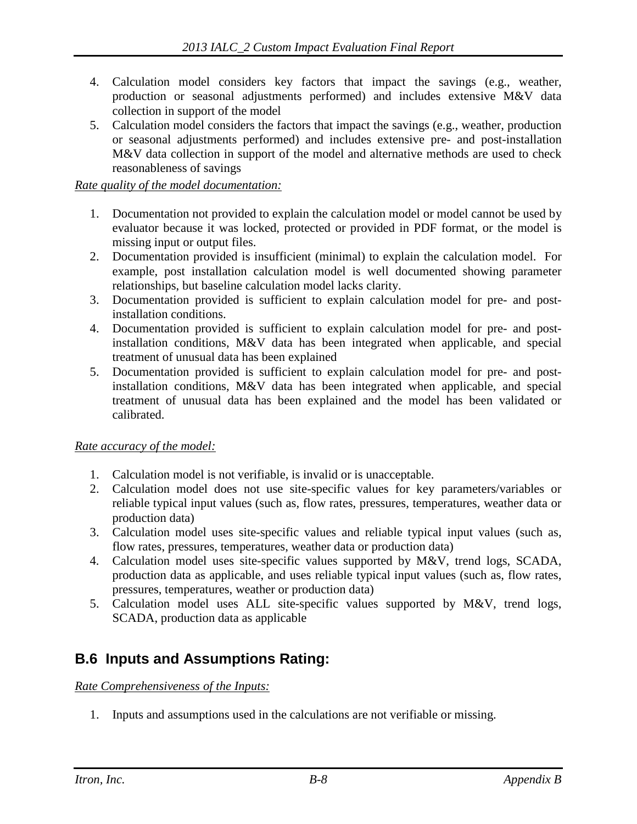- 4. Calculation model considers key factors that impact the savings (e.g., weather, production or seasonal adjustments performed) and includes extensive M&V data collection in support of the model
- 5. Calculation model considers the factors that impact the savings (e.g., weather, production or seasonal adjustments performed) and includes extensive pre- and post-installation M&V data collection in support of the model and alternative methods are used to check reasonableness of savings

*Rate quality of the model documentation:*

- 1. Documentation not provided to explain the calculation model or model cannot be used by evaluator because it was locked, protected or provided in PDF format, or the model is missing input or output files.
- 2. Documentation provided is insufficient (minimal) to explain the calculation model. For example, post installation calculation model is well documented showing parameter relationships, but baseline calculation model lacks clarity.
- 3. Documentation provided is sufficient to explain calculation model for pre- and postinstallation conditions.
- 4. Documentation provided is sufficient to explain calculation model for pre- and postinstallation conditions, M&V data has been integrated when applicable, and special treatment of unusual data has been explained
- 5. Documentation provided is sufficient to explain calculation model for pre- and postinstallation conditions, M&V data has been integrated when applicable, and special treatment of unusual data has been explained and the model has been validated or calibrated.

#### *Rate accuracy of the model:*

- 1. Calculation model is not verifiable, is invalid or is unacceptable.
- 2. Calculation model does not use site-specific values for key parameters/variables or reliable typical input values (such as, flow rates, pressures, temperatures, weather data or production data)
- 3. Calculation model uses site-specific values and reliable typical input values (such as, flow rates, pressures, temperatures, weather data or production data)
- 4. Calculation model uses site-specific values supported by M&V, trend logs, SCADA, production data as applicable, and uses reliable typical input values (such as, flow rates, pressures, temperatures, weather or production data)
- 5. Calculation model uses ALL site-specific values supported by M&V, trend logs, SCADA, production data as applicable

#### **B.6 Inputs and Assumptions Rating:**

*Rate Comprehensiveness of the Inputs:*

1. Inputs and assumptions used in the calculations are not verifiable or missing.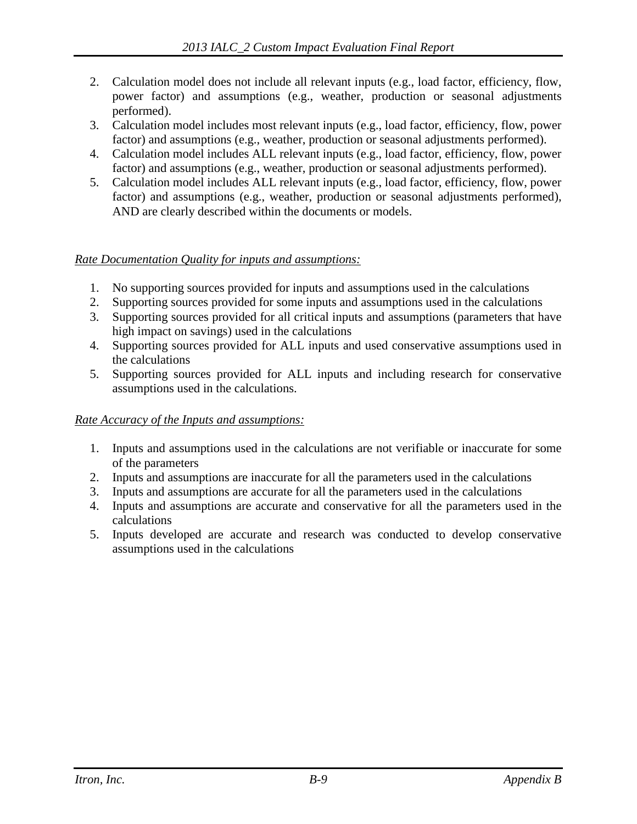- 2. Calculation model does not include all relevant inputs (e.g., load factor, efficiency, flow, power factor) and assumptions (e.g., weather, production or seasonal adjustments performed).
- 3. Calculation model includes most relevant inputs (e.g., load factor, efficiency, flow, power factor) and assumptions (e.g., weather, production or seasonal adjustments performed).
- 4. Calculation model includes ALL relevant inputs (e.g., load factor, efficiency, flow, power factor) and assumptions (e.g., weather, production or seasonal adjustments performed).
- 5. Calculation model includes ALL relevant inputs (e.g., load factor, efficiency, flow, power factor) and assumptions (e.g., weather, production or seasonal adjustments performed), AND are clearly described within the documents or models.

#### *Rate Documentation Quality for inputs and assumptions:*

- 1. No supporting sources provided for inputs and assumptions used in the calculations
- 2. Supporting sources provided for some inputs and assumptions used in the calculations
- 3. Supporting sources provided for all critical inputs and assumptions (parameters that have high impact on savings) used in the calculations
- 4. Supporting sources provided for ALL inputs and used conservative assumptions used in the calculations
- 5. Supporting sources provided for ALL inputs and including research for conservative assumptions used in the calculations.

#### *Rate Accuracy of the Inputs and assumptions:*

- 1. Inputs and assumptions used in the calculations are not verifiable or inaccurate for some of the parameters
- 2. Inputs and assumptions are inaccurate for all the parameters used in the calculations
- 3. Inputs and assumptions are accurate for all the parameters used in the calculations
- 4. Inputs and assumptions are accurate and conservative for all the parameters used in the calculations
- 5. Inputs developed are accurate and research was conducted to develop conservative assumptions used in the calculations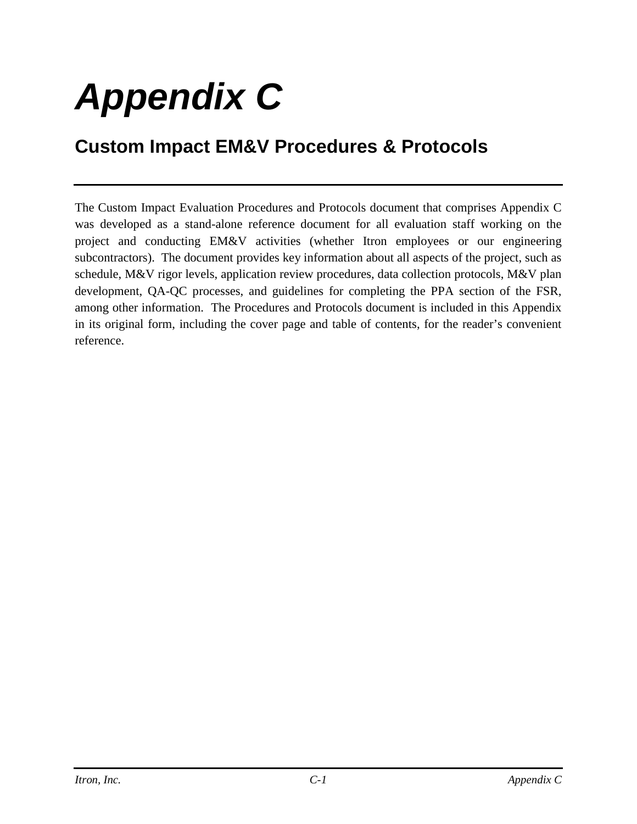# *Appendix C*

## **Custom Impact EM&V Procedures & Protocols**

The Custom Impact Evaluation Procedures and Protocols document that comprises Appendix C was developed as a stand-alone reference document for all evaluation staff working on the project and conducting EM&V activities (whether Itron employees or our engineering subcontractors). The document provides key information about all aspects of the project, such as schedule, M&V rigor levels, application review procedures, data collection protocols, M&V plan development, QA-QC processes, and guidelines for completing the PPA section of the FSR, among other information. The Procedures and Protocols document is included in this Appendix in its original form, including the cover page and table of contents, for the reader's convenient reference.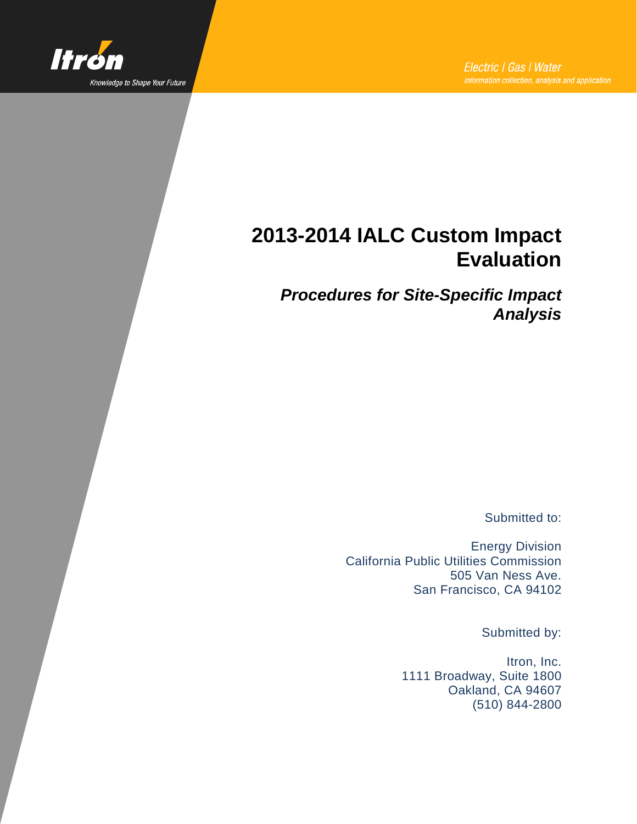

## **2013-2014 IALC Custom Impact Evaluation**

*Procedures for Site-Specific Impact Analysis*

Submitted to:

Energy Division California Public Utilities Commission 505 Van Ness Ave. San Francisco, CA 94102

Submitted by:

Itron, Inc. 1111 Broadway, Suite 1800 Oakland, CA 94607 (510) 844-2800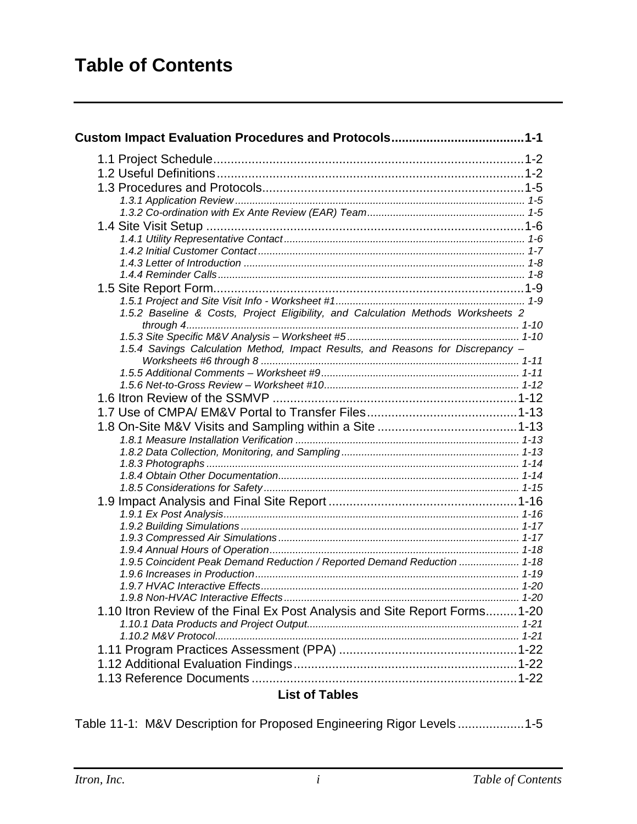| 1.5.2 Baseline & Costs, Project Eligibility, and Calculation Methods Worksheets 2 |  |
|-----------------------------------------------------------------------------------|--|
|                                                                                   |  |
|                                                                                   |  |
| 1.5.4 Savings Calculation Method, Impact Results, and Reasons for Discrepancy -   |  |
|                                                                                   |  |
|                                                                                   |  |
|                                                                                   |  |
|                                                                                   |  |
|                                                                                   |  |
|                                                                                   |  |
|                                                                                   |  |
|                                                                                   |  |
|                                                                                   |  |
|                                                                                   |  |
|                                                                                   |  |
|                                                                                   |  |
|                                                                                   |  |
|                                                                                   |  |
|                                                                                   |  |
| 1.9.5 Coincident Peak Demand Reduction / Reported Demand Reduction  1-18          |  |
|                                                                                   |  |
|                                                                                   |  |
|                                                                                   |  |
| 1.10 Itron Review of the Final Ex Post Analysis and Site Report Forms1-20         |  |
|                                                                                   |  |
|                                                                                   |  |
|                                                                                   |  |
|                                                                                   |  |
| $\cdots$                                                                          |  |

#### **List of Tables**

Table 11-1: M&V Description for Proposed Engineering Rigor Levels ...................1-5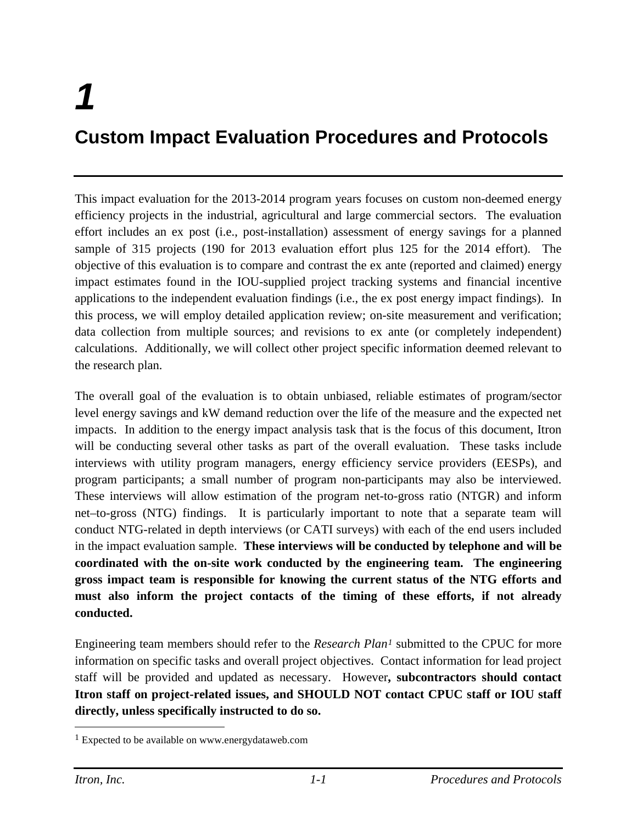# *1* **Custom Impact Evaluation Procedures and Protocols**

This impact evaluation for the 2013-2014 program years focuses on custom non-deemed energy efficiency projects in the industrial, agricultural and large commercial sectors. The evaluation effort includes an ex post (i.e., post-installation) assessment of energy savings for a planned sample of 315 projects (190 for 2013 evaluation effort plus 125 for the 2014 effort). The objective of this evaluation is to compare and contrast the ex ante (reported and claimed) energy impact estimates found in the IOU-supplied project tracking systems and financial incentive applications to the independent evaluation findings (i.e., the ex post energy impact findings). In this process, we will employ detailed application review; on-site measurement and verification; data collection from multiple sources; and revisions to ex ante (or completely independent) calculations. Additionally, we will collect other project specific information deemed relevant to the research plan.

The overall goal of the evaluation is to obtain unbiased, reliable estimates of program/sector level energy savings and kW demand reduction over the life of the measure and the expected net impacts. In addition to the energy impact analysis task that is the focus of this document, Itron will be conducting several other tasks as part of the overall evaluation. These tasks include interviews with utility program managers, energy efficiency service providers (EESPs), and program participants; a small number of program non-participants may also be interviewed. These interviews will allow estimation of the program net-to-gross ratio (NTGR) and inform net–to-gross (NTG) findings. It is particularly important to note that a separate team will conduct NTG-related in depth interviews (or CATI surveys) with each of the end users included in the impact evaluation sample. **These interviews will be conducted by telephone and will be coordinated with the on-site work conducted by the engineering team. The engineering gross impact team is responsible for knowing the current status of the NTG efforts and must also inform the project contacts of the timing of these efforts, if not already conducted.** 

Engineering team members should refer to the *Research Plan[1](#page-31-0)* submitted to the CPUC for more information on specific tasks and overall project objectives. Contact information for lead project staff will be provided and updated as necessary. However**, subcontractors should contact Itron staff on project-related issues, and SHOULD NOT contact CPUC staff or IOU staff directly, unless specifically instructed to do so.**

 $\overline{a}$ 

<span id="page-31-0"></span><sup>1</sup> Expected to be available on www.energydataweb.com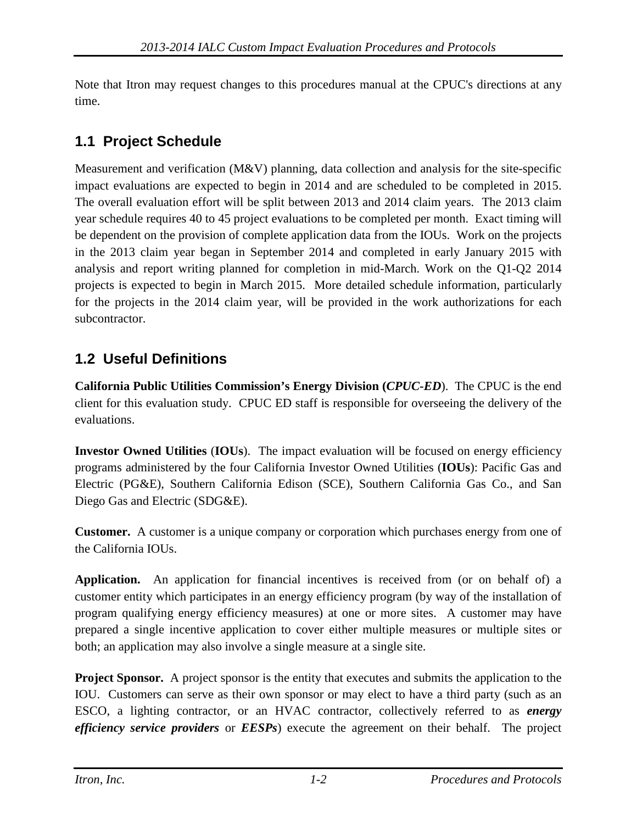Note that Itron may request changes to this procedures manual at the CPUC's directions at any time.

## **1.1 Project Schedule**

Measurement and verification (M&V) planning, data collection and analysis for the site-specific impact evaluations are expected to begin in 2014 and are scheduled to be completed in 2015. The overall evaluation effort will be split between 2013 and 2014 claim years. The 2013 claim year schedule requires 40 to 45 project evaluations to be completed per month. Exact timing will be dependent on the provision of complete application data from the IOUs. Work on the projects in the 2013 claim year began in September 2014 and completed in early January 2015 with analysis and report writing planned for completion in mid-March. Work on the Q1-Q2 2014 projects is expected to begin in March 2015. More detailed schedule information, particularly for the projects in the 2014 claim year, will be provided in the work authorizations for each subcontractor.

### **1.2 Useful Definitions**

**California Public Utilities Commission's Energy Division (***CPUC-ED*). The CPUC is the end client for this evaluation study. CPUC ED staff is responsible for overseeing the delivery of the evaluations.

**Investor Owned Utilities** (**IOUs**). The impact evaluation will be focused on energy efficiency programs administered by the four California Investor Owned Utilities (**IOUs**): Pacific Gas and Electric (PG&E), Southern California Edison (SCE), Southern California Gas Co., and San Diego Gas and Electric (SDG&E).

**Customer.** A customer is a unique company or corporation which purchases energy from one of the California IOUs.

**Application.** An application for financial incentives is received from (or on behalf of) a customer entity which participates in an energy efficiency program (by way of the installation of program qualifying energy efficiency measures) at one or more sites. A customer may have prepared a single incentive application to cover either multiple measures or multiple sites or both; an application may also involve a single measure at a single site.

**Project Sponsor.** A project sponsor is the entity that executes and submits the application to the IOU. Customers can serve as their own sponsor or may elect to have a third party (such as an ESCO, a lighting contractor, or an HVAC contractor, collectively referred to as *energy efficiency service providers* or *EESPs*) execute the agreement on their behalf. The project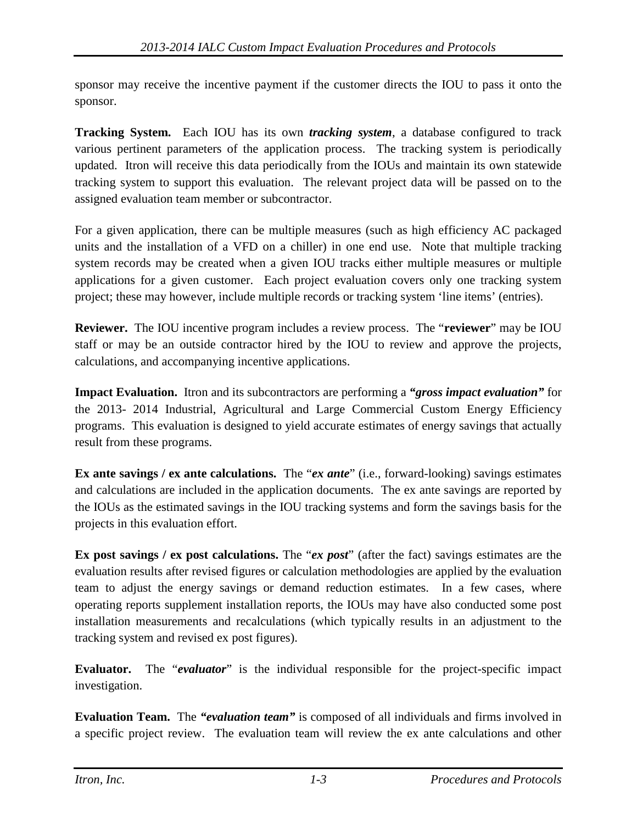sponsor may receive the incentive payment if the customer directs the IOU to pass it onto the sponsor.

**Tracking System.** Each IOU has its own *tracking system*, a database configured to track various pertinent parameters of the application process. The tracking system is periodically updated. Itron will receive this data periodically from the IOUs and maintain its own statewide tracking system to support this evaluation. The relevant project data will be passed on to the assigned evaluation team member or subcontractor.

For a given application, there can be multiple measures (such as high efficiency AC packaged units and the installation of a VFD on a chiller) in one end use. Note that multiple tracking system records may be created when a given IOU tracks either multiple measures or multiple applications for a given customer. Each project evaluation covers only one tracking system project; these may however, include multiple records or tracking system 'line items' (entries).

**Reviewer.** The IOU incentive program includes a review process. The "**reviewer**" may be IOU staff or may be an outside contractor hired by the IOU to review and approve the projects, calculations, and accompanying incentive applications.

**Impact Evaluation.** Itron and its subcontractors are performing a *"gross impact evaluation"* for the 2013- 2014 Industrial, Agricultural and Large Commercial Custom Energy Efficiency programs. This evaluation is designed to yield accurate estimates of energy savings that actually result from these programs.

**Ex ante savings / ex ante calculations.** The "*ex ante*" (i.e., forward-looking) savings estimates and calculations are included in the application documents. The ex ante savings are reported by the IOUs as the estimated savings in the IOU tracking systems and form the savings basis for the projects in this evaluation effort.

**Ex post savings / ex post calculations.** The "*ex post*" (after the fact) savings estimates are the evaluation results after revised figures or calculation methodologies are applied by the evaluation team to adjust the energy savings or demand reduction estimates. In a few cases, where operating reports supplement installation reports, the IOUs may have also conducted some post installation measurements and recalculations (which typically results in an adjustment to the tracking system and revised ex post figures).

**Evaluator.** The "*evaluator*" is the individual responsible for the project-specific impact investigation.

**Evaluation Team.** The *"evaluation team"* is composed of all individuals and firms involved in a specific project review. The evaluation team will review the ex ante calculations and other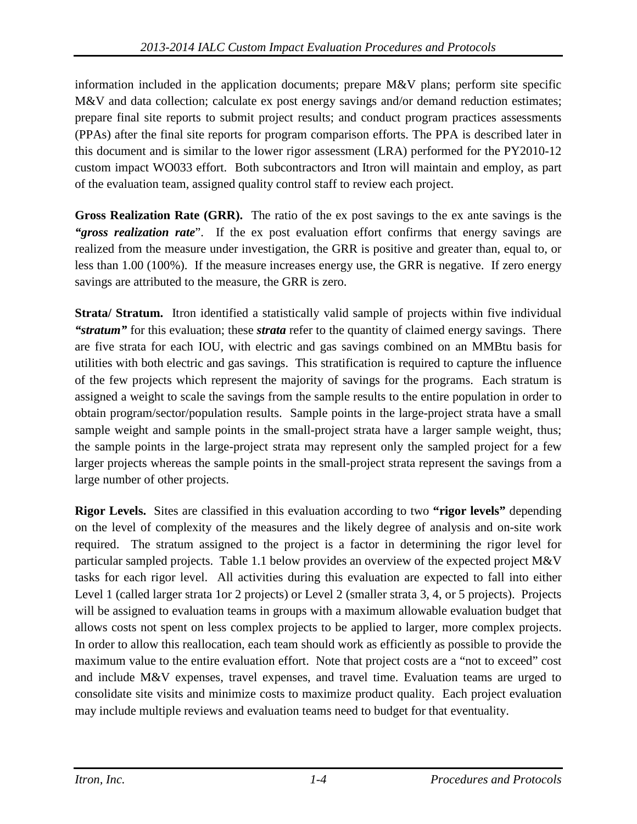information included in the application documents; prepare M&V plans; perform site specific M&V and data collection; calculate ex post energy savings and/or demand reduction estimates; prepare final site reports to submit project results; and conduct program practices assessments (PPAs) after the final site reports for program comparison efforts. The PPA is described later in this document and is similar to the lower rigor assessment (LRA) performed for the PY2010-12 custom impact WO033 effort. Both subcontractors and Itron will maintain and employ, as part of the evaluation team, assigned quality control staff to review each project.

**Gross Realization Rate (GRR).** The ratio of the ex post savings to the ex ante savings is the *"gross realization rate*". If the ex post evaluation effort confirms that energy savings are realized from the measure under investigation, the GRR is positive and greater than, equal to, or less than 1.00 (100%). If the measure increases energy use, the GRR is negative. If zero energy savings are attributed to the measure, the GRR is zero.

**Strata/ Stratum.** Itron identified a statistically valid sample of projects within five individual *"stratum"* for this evaluation; these *strata* refer to the quantity of claimed energy savings. There are five strata for each IOU, with electric and gas savings combined on an MMBtu basis for utilities with both electric and gas savings. This stratification is required to capture the influence of the few projects which represent the majority of savings for the programs. Each stratum is assigned a weight to scale the savings from the sample results to the entire population in order to obtain program/sector/population results. Sample points in the large-project strata have a small sample weight and sample points in the small-project strata have a larger sample weight, thus; the sample points in the large-project strata may represent only the sampled project for a few larger projects whereas the sample points in the small-project strata represent the savings from a large number of other projects.

**Rigor Levels.** Sites are classified in this evaluation according to two **"rigor levels"** depending on the level of complexity of the measures and the likely degree of analysis and on-site work required. The stratum assigned to the project is a factor in determining the rigor level for particular sampled projects. Table 1.1 below provides an overview of the expected project M&V tasks for each rigor level. All activities during this evaluation are expected to fall into either Level 1 (called larger strata 1or 2 projects) or Level 2 (smaller strata 3, 4, or 5 projects). Projects will be assigned to evaluation teams in groups with a maximum allowable evaluation budget that allows costs not spent on less complex projects to be applied to larger, more complex projects. In order to allow this reallocation, each team should work as efficiently as possible to provide the maximum value to the entire evaluation effort. Note that project costs are a "not to exceed" cost and include M&V expenses, travel expenses, and travel time. Evaluation teams are urged to consolidate site visits and minimize costs to maximize product quality. Each project evaluation may include multiple reviews and evaluation teams need to budget for that eventuality.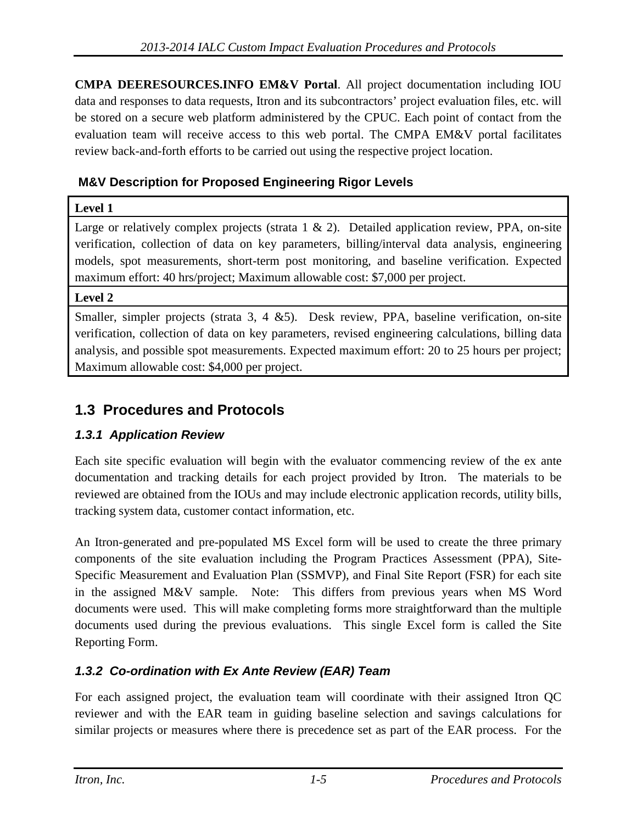**CMPA DEERESOURCES.INFO EM&V Portal**. All project documentation including IOU data and responses to data requests, Itron and its subcontractors' project evaluation files, etc. will be stored on a secure web platform administered by the CPUC. Each point of contact from the evaluation team will receive access to this web portal. The CMPA EM&V portal facilitates review back-and-forth efforts to be carried out using the respective project location.

#### **M&V Description for Proposed Engineering Rigor Levels**

#### **Level 1**

Large or relatively complex projects (strata 1 & 2). Detailed application review, PPA, on-site verification, collection of data on key parameters, billing/interval data analysis, engineering models, spot measurements, short-term post monitoring, and baseline verification. Expected maximum effort: 40 hrs/project; Maximum allowable cost: \$7,000 per project.

#### **Level 2**

Smaller, simpler projects (strata 3, 4 &5). Desk review, PPA, baseline verification, on-site verification, collection of data on key parameters, revised engineering calculations, billing data analysis, and possible spot measurements. Expected maximum effort: 20 to 25 hours per project; Maximum allowable cost: \$4,000 per project.

#### **1.3 Procedures and Protocols**

#### *1.3.1 Application Review*

Each site specific evaluation will begin with the evaluator commencing review of the ex ante documentation and tracking details for each project provided by Itron. The materials to be reviewed are obtained from the IOUs and may include electronic application records, utility bills, tracking system data, customer contact information, etc.

An Itron-generated and pre-populated MS Excel form will be used to create the three primary components of the site evaluation including the Program Practices Assessment (PPA), Site-Specific Measurement and Evaluation Plan (SSMVP), and Final Site Report (FSR) for each site in the assigned M&V sample. Note: This differs from previous years when MS Word documents were used. This will make completing forms more straightforward than the multiple documents used during the previous evaluations. This single Excel form is called the Site Reporting Form.

#### *1.3.2 Co-ordination with Ex Ante Review (EAR) Team*

For each assigned project, the evaluation team will coordinate with their assigned Itron QC reviewer and with the EAR team in guiding baseline selection and savings calculations for similar projects or measures where there is precedence set as part of the EAR process. For the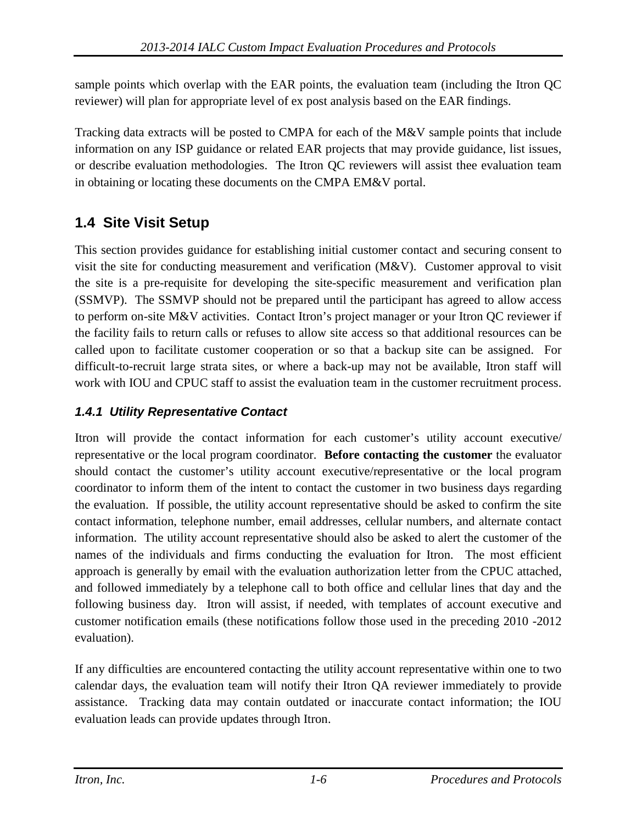sample points which overlap with the EAR points, the evaluation team (including the Itron QC reviewer) will plan for appropriate level of ex post analysis based on the EAR findings.

Tracking data extracts will be posted to CMPA for each of the M&V sample points that include information on any ISP guidance or related EAR projects that may provide guidance, list issues, or describe evaluation methodologies. The Itron QC reviewers will assist thee evaluation team in obtaining or locating these documents on the CMPA EM&V portal.

### **1.4 Site Visit Setup**

This section provides guidance for establishing initial customer contact and securing consent to visit the site for conducting measurement and verification (M&V). Customer approval to visit the site is a pre-requisite for developing the site-specific measurement and verification plan (SSMVP). The SSMVP should not be prepared until the participant has agreed to allow access to perform on-site M&V activities. Contact Itron's project manager or your Itron QC reviewer if the facility fails to return calls or refuses to allow site access so that additional resources can be called upon to facilitate customer cooperation or so that a backup site can be assigned. For difficult-to-recruit large strata sites, or where a back-up may not be available, Itron staff will work with IOU and CPUC staff to assist the evaluation team in the customer recruitment process.

#### *1.4.1 Utility Representative Contact*

Itron will provide the contact information for each customer's utility account executive/ representative or the local program coordinator. **Before contacting the customer** the evaluator should contact the customer's utility account executive/representative or the local program coordinator to inform them of the intent to contact the customer in two business days regarding the evaluation. If possible, the utility account representative should be asked to confirm the site contact information, telephone number, email addresses, cellular numbers, and alternate contact information. The utility account representative should also be asked to alert the customer of the names of the individuals and firms conducting the evaluation for Itron. The most efficient approach is generally by email with the evaluation authorization letter from the CPUC attached, and followed immediately by a telephone call to both office and cellular lines that day and the following business day. Itron will assist, if needed, with templates of account executive and customer notification emails (these notifications follow those used in the preceding 2010 -2012 evaluation).

If any difficulties are encountered contacting the utility account representative within one to two calendar days, the evaluation team will notify their Itron QA reviewer immediately to provide assistance. Tracking data may contain outdated or inaccurate contact information; the IOU evaluation leads can provide updates through Itron.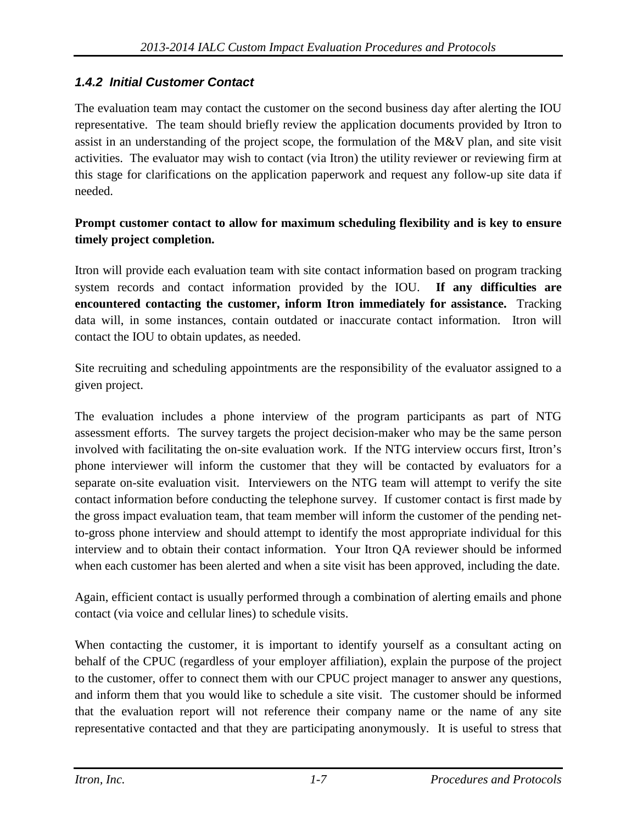#### *1.4.2 Initial Customer Contact*

The evaluation team may contact the customer on the second business day after alerting the IOU representative. The team should briefly review the application documents provided by Itron to assist in an understanding of the project scope, the formulation of the M&V plan, and site visit activities. The evaluator may wish to contact (via Itron) the utility reviewer or reviewing firm at this stage for clarifications on the application paperwork and request any follow-up site data if needed.

#### **Prompt customer contact to allow for maximum scheduling flexibility and is key to ensure timely project completion.**

Itron will provide each evaluation team with site contact information based on program tracking system records and contact information provided by the IOU. **If any difficulties are encountered contacting the customer, inform Itron immediately for assistance.** Tracking data will, in some instances, contain outdated or inaccurate contact information. Itron will contact the IOU to obtain updates, as needed.

Site recruiting and scheduling appointments are the responsibility of the evaluator assigned to a given project.

The evaluation includes a phone interview of the program participants as part of NTG assessment efforts. The survey targets the project decision-maker who may be the same person involved with facilitating the on-site evaluation work. If the NTG interview occurs first, Itron's phone interviewer will inform the customer that they will be contacted by evaluators for a separate on-site evaluation visit. Interviewers on the NTG team will attempt to verify the site contact information before conducting the telephone survey. If customer contact is first made by the gross impact evaluation team, that team member will inform the customer of the pending netto-gross phone interview and should attempt to identify the most appropriate individual for this interview and to obtain their contact information. Your Itron QA reviewer should be informed when each customer has been alerted and when a site visit has been approved, including the date.

Again, efficient contact is usually performed through a combination of alerting emails and phone contact (via voice and cellular lines) to schedule visits.

When contacting the customer, it is important to identify yourself as a consultant acting on behalf of the CPUC (regardless of your employer affiliation), explain the purpose of the project to the customer, offer to connect them with our CPUC project manager to answer any questions, and inform them that you would like to schedule a site visit. The customer should be informed that the evaluation report will not reference their company name or the name of any site representative contacted and that they are participating anonymously. It is useful to stress that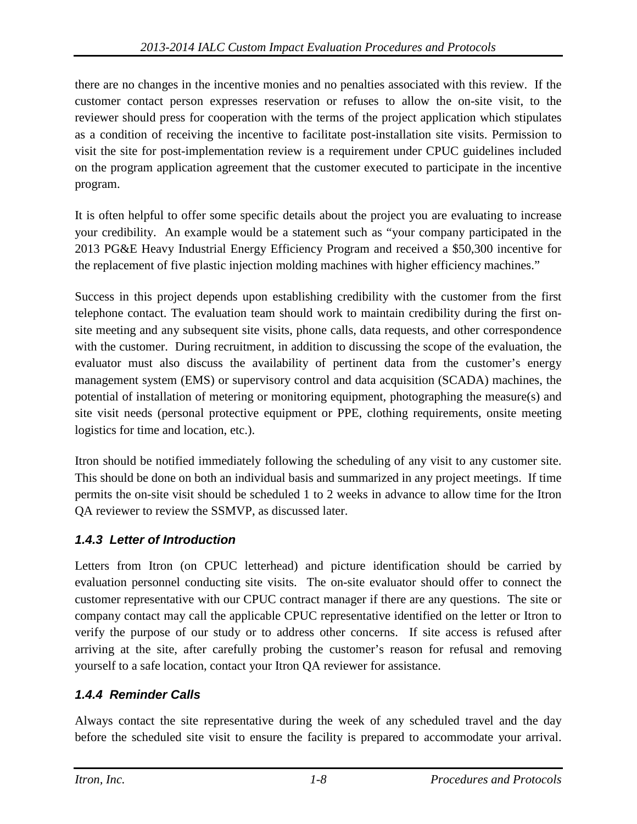there are no changes in the incentive monies and no penalties associated with this review. If the customer contact person expresses reservation or refuses to allow the on-site visit, to the reviewer should press for cooperation with the terms of the project application which stipulates as a condition of receiving the incentive to facilitate post-installation site visits. Permission to visit the site for post-implementation review is a requirement under CPUC guidelines included on the program application agreement that the customer executed to participate in the incentive program.

It is often helpful to offer some specific details about the project you are evaluating to increase your credibility. An example would be a statement such as "your company participated in the 2013 PG&E Heavy Industrial Energy Efficiency Program and received a \$50,300 incentive for the replacement of five plastic injection molding machines with higher efficiency machines."

Success in this project depends upon establishing credibility with the customer from the first telephone contact. The evaluation team should work to maintain credibility during the first onsite meeting and any subsequent site visits, phone calls, data requests, and other correspondence with the customer. During recruitment, in addition to discussing the scope of the evaluation, the evaluator must also discuss the availability of pertinent data from the customer's energy management system (EMS) or supervisory control and data acquisition (SCADA) machines, the potential of installation of metering or monitoring equipment, photographing the measure(s) and site visit needs (personal protective equipment or PPE, clothing requirements, onsite meeting logistics for time and location, etc.).

Itron should be notified immediately following the scheduling of any visit to any customer site. This should be done on both an individual basis and summarized in any project meetings. If time permits the on-site visit should be scheduled 1 to 2 weeks in advance to allow time for the Itron QA reviewer to review the SSMVP, as discussed later.

#### *1.4.3 Letter of Introduction*

Letters from Itron (on CPUC letterhead) and picture identification should be carried by evaluation personnel conducting site visits. The on-site evaluator should offer to connect the customer representative with our CPUC contract manager if there are any questions. The site or company contact may call the applicable CPUC representative identified on the letter or Itron to verify the purpose of our study or to address other concerns. If site access is refused after arriving at the site, after carefully probing the customer's reason for refusal and removing yourself to a safe location, contact your Itron QA reviewer for assistance.

#### *1.4.4 Reminder Calls*

Always contact the site representative during the week of any scheduled travel and the day before the scheduled site visit to ensure the facility is prepared to accommodate your arrival.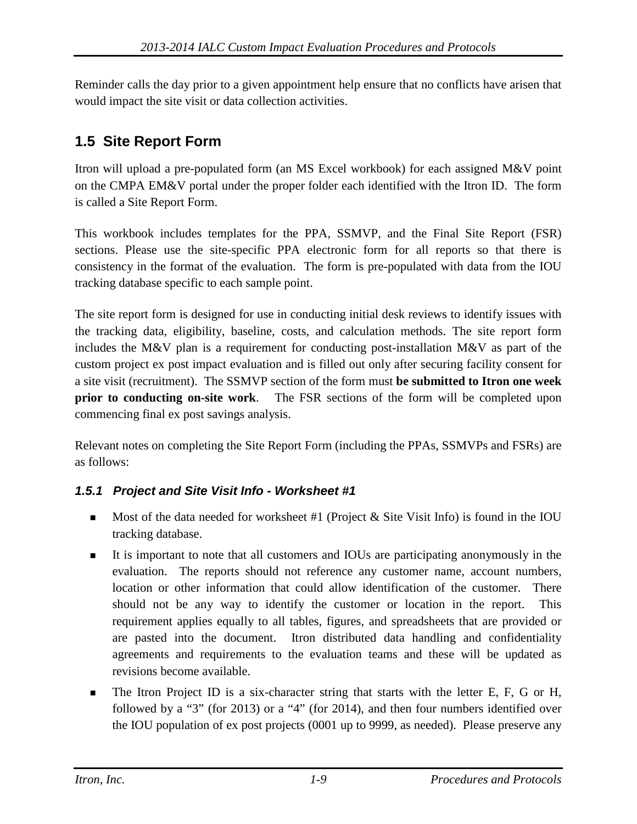Reminder calls the day prior to a given appointment help ensure that no conflicts have arisen that would impact the site visit or data collection activities.

## **1.5 Site Report Form**

Itron will upload a pre-populated form (an MS Excel workbook) for each assigned M&V point on the CMPA EM&V portal under the proper folder each identified with the Itron ID. The form is called a Site Report Form.

This workbook includes templates for the PPA, SSMVP, and the Final Site Report (FSR) sections. Please use the site-specific PPA electronic form for all reports so that there is consistency in the format of the evaluation. The form is pre-populated with data from the IOU tracking database specific to each sample point.

The site report form is designed for use in conducting initial desk reviews to identify issues with the tracking data, eligibility, baseline, costs, and calculation methods. The site report form includes the M&V plan is a requirement for conducting post-installation M&V as part of the custom project ex post impact evaluation and is filled out only after securing facility consent for a site visit (recruitment). The SSMVP section of the form must **be submitted to Itron one week prior to conducting on-site work**. The FSR sections of the form will be completed upon commencing final ex post savings analysis.

Relevant notes on completing the Site Report Form (including the PPAs, SSMVPs and FSRs) are as follows:

#### *1.5.1 Project and Site Visit Info - Worksheet #1*

- Most of the data needed for worksheet #1 (Project  $\&$  Site Visit Info) is found in the IOU tracking database.
- It is important to note that all customers and IOUs are participating anonymously in the evaluation. The reports should not reference any customer name, account numbers, location or other information that could allow identification of the customer. There should not be any way to identify the customer or location in the report. This requirement applies equally to all tables, figures, and spreadsheets that are provided or are pasted into the document. Itron distributed data handling and confidentiality agreements and requirements to the evaluation teams and these will be updated as revisions become available.
- The Itron Project ID is a six-character string that starts with the letter E, F, G or H, followed by a "3" (for 2013) or a "4" (for 2014), and then four numbers identified over the IOU population of ex post projects (0001 up to 9999, as needed). Please preserve any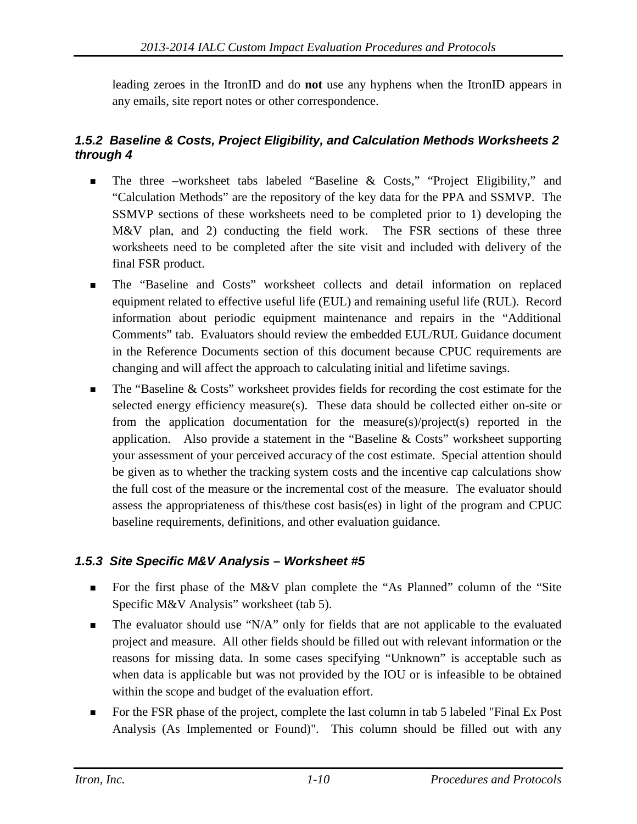leading zeroes in the ItronID and do **not** use any hyphens when the ItronID appears in any emails, site report notes or other correspondence.

#### *1.5.2 Baseline & Costs, Project Eligibility, and Calculation Methods Worksheets 2 through 4*

- The three –worksheet tabs labeled "Baseline & Costs," "Project Eligibility," and "Calculation Methods" are the repository of the key data for the PPA and SSMVP. The SSMVP sections of these worksheets need to be completed prior to 1) developing the M&V plan, and 2) conducting the field work. The FSR sections of these three worksheets need to be completed after the site visit and included with delivery of the final FSR product.
- The "Baseline and Costs" worksheet collects and detail information on replaced equipment related to effective useful life (EUL) and remaining useful life (RUL). Record information about periodic equipment maintenance and repairs in the "Additional Comments" tab. Evaluators should review the embedded EUL/RUL Guidance document in the Reference Documents section of this document because CPUC requirements are changing and will affect the approach to calculating initial and lifetime savings.
- The "Baseline & Costs" worksheet provides fields for recording the cost estimate for the selected energy efficiency measure(s). These data should be collected either on-site or from the application documentation for the measure(s)/project(s) reported in the application. Also provide a statement in the "Baseline & Costs" worksheet supporting your assessment of your perceived accuracy of the cost estimate. Special attention should be given as to whether the tracking system costs and the incentive cap calculations show the full cost of the measure or the incremental cost of the measure. The evaluator should assess the appropriateness of this/these cost basis(es) in light of the program and CPUC baseline requirements, definitions, and other evaluation guidance.

#### *1.5.3 Site Specific M&V Analysis – Worksheet #5*

- For the first phase of the M&V plan complete the "As Planned" column of the "Site Specific M&V Analysis" worksheet (tab 5).
- $\blacksquare$  The evaluator should use "N/A" only for fields that are not applicable to the evaluated project and measure. All other fields should be filled out with relevant information or the reasons for missing data. In some cases specifying "Unknown" is acceptable such as when data is applicable but was not provided by the IOU or is infeasible to be obtained within the scope and budget of the evaluation effort.
- For the FSR phase of the project, complete the last column in tab 5 labeled "Final Ex Post" Analysis (As Implemented or Found)". This column should be filled out with any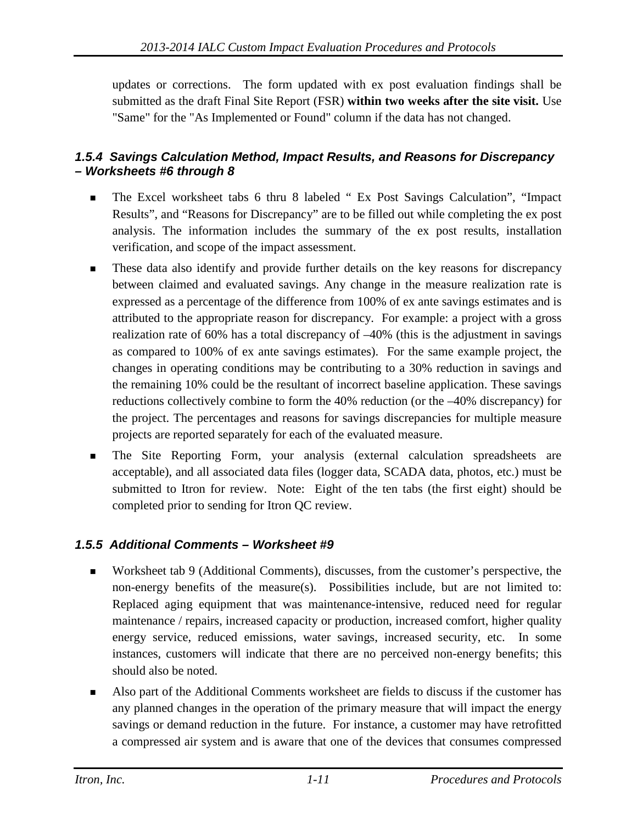updates or corrections. The form updated with ex post evaluation findings shall be submitted as the draft Final Site Report (FSR) **within two weeks after the site visit.** Use "Same" for the "As Implemented or Found" column if the data has not changed.

#### *1.5.4 Savings Calculation Method, Impact Results, and Reasons for Discrepancy – Worksheets #6 through 8*

- The Excel worksheet tabs 6 thru 8 labeled " Ex Post Savings Calculation", "Impact Results", and "Reasons for Discrepancy" are to be filled out while completing the ex post analysis. The information includes the summary of the ex post results, installation verification, and scope of the impact assessment.
- **These data also identify and provide further details on the key reasons for discrepancy** between claimed and evaluated savings. Any change in the measure realization rate is expressed as a percentage of the difference from 100% of ex ante savings estimates and is attributed to the appropriate reason for discrepancy. For example: a project with a gross realization rate of 60% has a total discrepancy of –40% (this is the adjustment in savings as compared to 100% of ex ante savings estimates). For the same example project, the changes in operating conditions may be contributing to a 30% reduction in savings and the remaining 10% could be the resultant of incorrect baseline application. These savings reductions collectively combine to form the 40% reduction (or the –40% discrepancy) for the project. The percentages and reasons for savings discrepancies for multiple measure projects are reported separately for each of the evaluated measure.
- The Site Reporting Form, your analysis (external calculation spreadsheets are acceptable), and all associated data files (logger data, SCADA data, photos, etc.) must be submitted to Itron for review. Note: Eight of the ten tabs (the first eight) should be completed prior to sending for Itron QC review.

#### *1.5.5 Additional Comments – Worksheet #9*

- Worksheet tab 9 (Additional Comments), discusses, from the customer's perspective, the non-energy benefits of the measure(s). Possibilities include, but are not limited to: Replaced aging equipment that was maintenance-intensive, reduced need for regular maintenance / repairs, increased capacity or production, increased comfort, higher quality energy service, reduced emissions, water savings, increased security, etc. In some instances, customers will indicate that there are no perceived non-energy benefits; this should also be noted.
- Also part of the Additional Comments worksheet are fields to discuss if the customer has any planned changes in the operation of the primary measure that will impact the energy savings or demand reduction in the future. For instance, a customer may have retrofitted a compressed air system and is aware that one of the devices that consumes compressed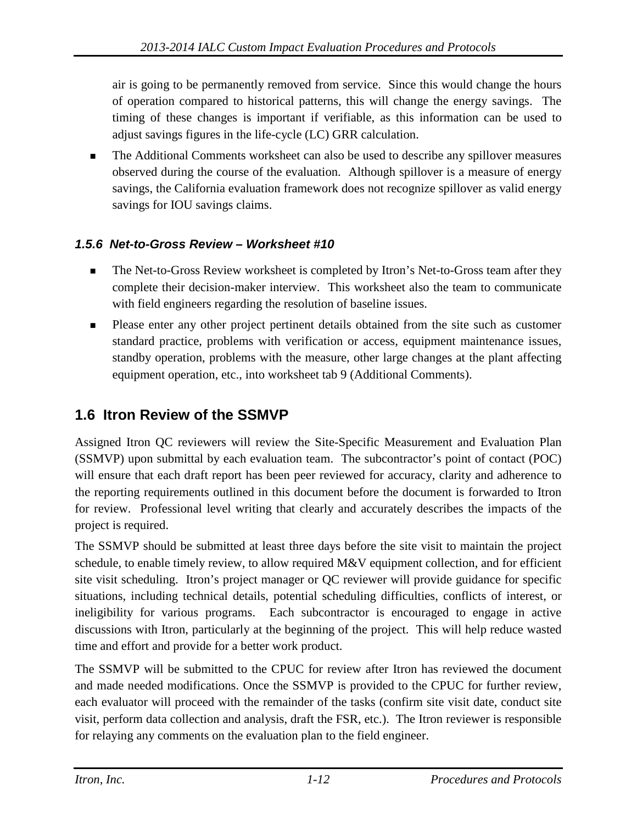air is going to be permanently removed from service. Since this would change the hours of operation compared to historical patterns, this will change the energy savings. The timing of these changes is important if verifiable, as this information can be used to adjust savings figures in the life-cycle (LC) GRR calculation.

 The Additional Comments worksheet can also be used to describe any spillover measures observed during the course of the evaluation. Although spillover is a measure of energy savings, the California evaluation framework does not recognize spillover as valid energy savings for IOU savings claims.

#### *1.5.6 Net-to-Gross Review – Worksheet #10*

- The Net-to-Gross Review worksheet is completed by Itron's Net-to-Gross team after they complete their decision-maker interview. This worksheet also the team to communicate with field engineers regarding the resolution of baseline issues.
- **Please enter any other project pertinent details obtained from the site such as customer** standard practice, problems with verification or access, equipment maintenance issues, standby operation, problems with the measure, other large changes at the plant affecting equipment operation, etc., into worksheet tab 9 (Additional Comments).

## **1.6 Itron Review of the SSMVP**

Assigned Itron QC reviewers will review the Site-Specific Measurement and Evaluation Plan (SSMVP) upon submittal by each evaluation team. The subcontractor's point of contact (POC) will ensure that each draft report has been peer reviewed for accuracy, clarity and adherence to the reporting requirements outlined in this document before the document is forwarded to Itron for review. Professional level writing that clearly and accurately describes the impacts of the project is required.

The SSMVP should be submitted at least three days before the site visit to maintain the project schedule, to enable timely review, to allow required M&V equipment collection, and for efficient site visit scheduling. Itron's project manager or QC reviewer will provide guidance for specific situations, including technical details, potential scheduling difficulties, conflicts of interest, or ineligibility for various programs. Each subcontractor is encouraged to engage in active discussions with Itron, particularly at the beginning of the project. This will help reduce wasted time and effort and provide for a better work product.

The SSMVP will be submitted to the CPUC for review after Itron has reviewed the document and made needed modifications. Once the SSMVP is provided to the CPUC for further review, each evaluator will proceed with the remainder of the tasks (confirm site visit date, conduct site visit, perform data collection and analysis, draft the FSR, etc.). The Itron reviewer is responsible for relaying any comments on the evaluation plan to the field engineer.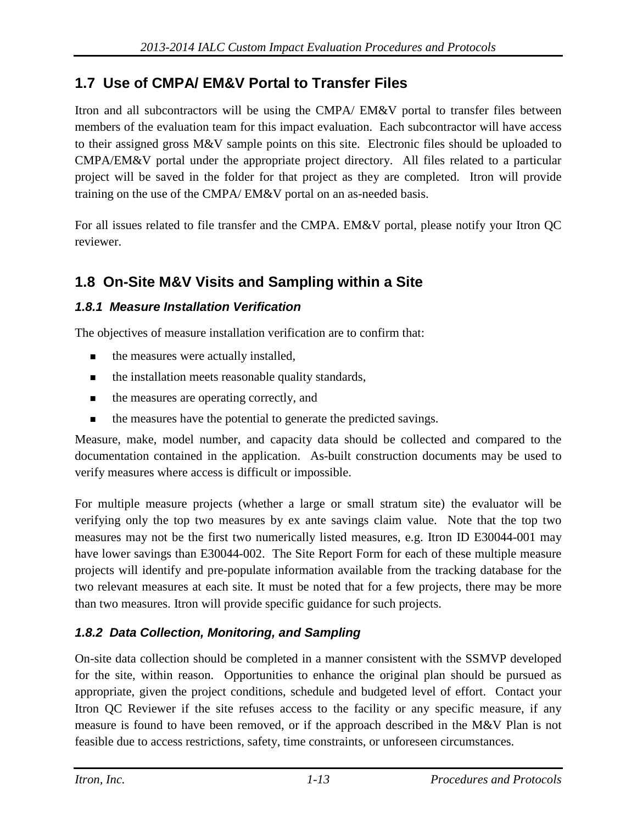### **1.7 Use of CMPA/ EM&V Portal to Transfer Files**

Itron and all subcontractors will be using the CMPA/ EM&V portal to transfer files between members of the evaluation team for this impact evaluation. Each subcontractor will have access to their assigned gross M&V sample points on this site. Electronic files should be uploaded to CMPA/EM&V portal under the appropriate project directory. All files related to a particular project will be saved in the folder for that project as they are completed. Itron will provide training on the use of the CMPA/ EM&V portal on an as-needed basis.

For all issues related to file transfer and the CMPA. EM&V portal, please notify your Itron QC reviewer.

### **1.8 On-Site M&V Visits and Sampling within a Site**

#### *1.8.1 Measure Installation Verification*

The objectives of measure installation verification are to confirm that:

- the measures were actually installed,
- $\blacksquare$  the installation meets reasonable quality standards,
- the measures are operating correctly, and
- the measures have the potential to generate the predicted savings.

Measure, make, model number, and capacity data should be collected and compared to the documentation contained in the application. As-built construction documents may be used to verify measures where access is difficult or impossible.

For multiple measure projects (whether a large or small stratum site) the evaluator will be verifying only the top two measures by ex ante savings claim value. Note that the top two measures may not be the first two numerically listed measures, e.g. Itron ID E30044-001 may have lower savings than E30044-002. The Site Report Form for each of these multiple measure projects will identify and pre-populate information available from the tracking database for the two relevant measures at each site. It must be noted that for a few projects, there may be more than two measures. Itron will provide specific guidance for such projects.

#### *1.8.2 Data Collection, Monitoring, and Sampling*

On-site data collection should be completed in a manner consistent with the SSMVP developed for the site, within reason. Opportunities to enhance the original plan should be pursued as appropriate, given the project conditions, schedule and budgeted level of effort. Contact your Itron QC Reviewer if the site refuses access to the facility or any specific measure, if any measure is found to have been removed, or if the approach described in the M&V Plan is not feasible due to access restrictions, safety, time constraints, or unforeseen circumstances.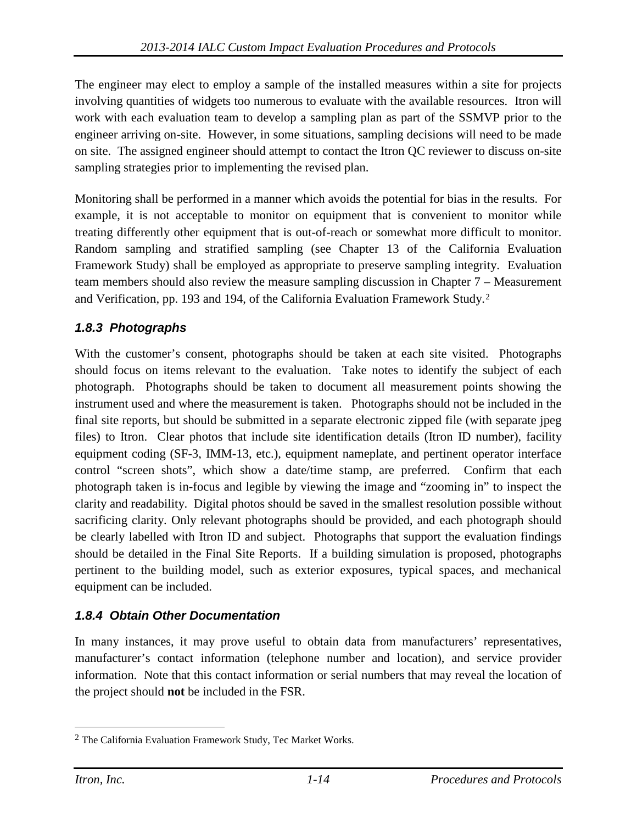The engineer may elect to employ a sample of the installed measures within a site for projects involving quantities of widgets too numerous to evaluate with the available resources. Itron will work with each evaluation team to develop a sampling plan as part of the SSMVP prior to the engineer arriving on-site. However, in some situations, sampling decisions will need to be made on site. The assigned engineer should attempt to contact the Itron QC reviewer to discuss on-site sampling strategies prior to implementing the revised plan.

Monitoring shall be performed in a manner which avoids the potential for bias in the results. For example, it is not acceptable to monitor on equipment that is convenient to monitor while treating differently other equipment that is out-of-reach or somewhat more difficult to monitor. Random sampling and stratified sampling (see Chapter 13 of the California Evaluation Framework Study) shall be employed as appropriate to preserve sampling integrity. Evaluation team members should also review the measure sampling discussion in Chapter 7 – Measurement and Verification, pp. 193 and 194, of the California Evaluation Framework Study.[2](#page-44-0)

#### *1.8.3 Photographs*

With the customer's consent, photographs should be taken at each site visited. Photographs should focus on items relevant to the evaluation. Take notes to identify the subject of each photograph. Photographs should be taken to document all measurement points showing the instrument used and where the measurement is taken. Photographs should not be included in the final site reports, but should be submitted in a separate electronic zipped file (with separate jpeg files) to Itron. Clear photos that include site identification details (Itron ID number), facility equipment coding (SF-3, IMM-13, etc.), equipment nameplate, and pertinent operator interface control "screen shots", which show a date/time stamp, are preferred. Confirm that each photograph taken is in-focus and legible by viewing the image and "zooming in" to inspect the clarity and readability. Digital photos should be saved in the smallest resolution possible without sacrificing clarity. Only relevant photographs should be provided, and each photograph should be clearly labelled with Itron ID and subject. Photographs that support the evaluation findings should be detailed in the Final Site Reports. If a building simulation is proposed, photographs pertinent to the building model, such as exterior exposures, typical spaces, and mechanical equipment can be included.

#### *1.8.4 Obtain Other Documentation*

In many instances, it may prove useful to obtain data from manufacturers' representatives, manufacturer's contact information (telephone number and location), and service provider information. Note that this contact information or serial numbers that may reveal the location of the project should **not** be included in the FSR.

 $\overline{a}$ 

<span id="page-44-0"></span><sup>2</sup> The California Evaluation Framework Study, Tec Market Works.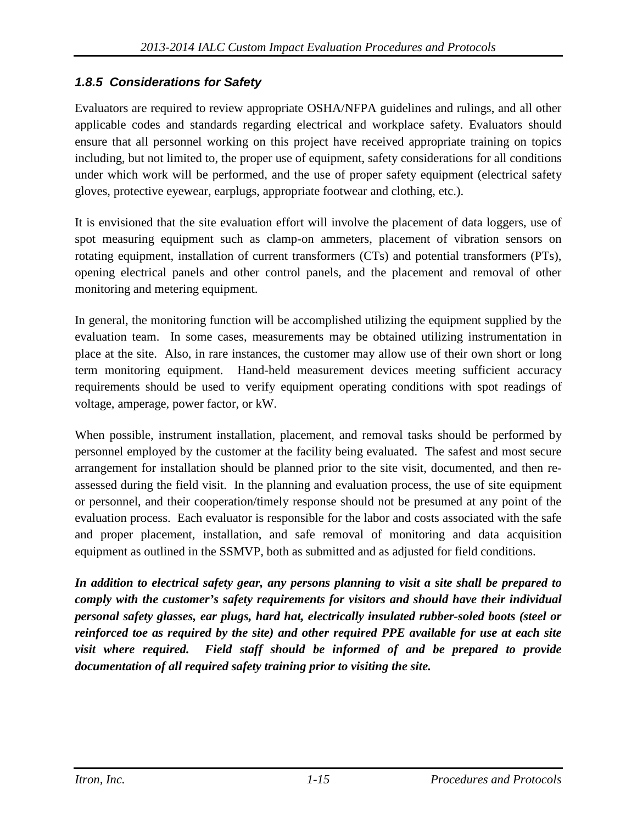#### *1.8.5 Considerations for Safety*

Evaluators are required to review appropriate OSHA/NFPA guidelines and rulings, and all other applicable codes and standards regarding electrical and workplace safety. Evaluators should ensure that all personnel working on this project have received appropriate training on topics including, but not limited to, the proper use of equipment, safety considerations for all conditions under which work will be performed, and the use of proper safety equipment (electrical safety gloves, protective eyewear, earplugs, appropriate footwear and clothing, etc.).

It is envisioned that the site evaluation effort will involve the placement of data loggers, use of spot measuring equipment such as clamp-on ammeters, placement of vibration sensors on rotating equipment, installation of current transformers (CTs) and potential transformers (PTs), opening electrical panels and other control panels, and the placement and removal of other monitoring and metering equipment.

In general, the monitoring function will be accomplished utilizing the equipment supplied by the evaluation team. In some cases, measurements may be obtained utilizing instrumentation in place at the site. Also, in rare instances, the customer may allow use of their own short or long term monitoring equipment. Hand-held measurement devices meeting sufficient accuracy requirements should be used to verify equipment operating conditions with spot readings of voltage, amperage, power factor, or kW.

When possible, instrument installation, placement, and removal tasks should be performed by personnel employed by the customer at the facility being evaluated. The safest and most secure arrangement for installation should be planned prior to the site visit, documented, and then reassessed during the field visit. In the planning and evaluation process, the use of site equipment or personnel, and their cooperation/timely response should not be presumed at any point of the evaluation process. Each evaluator is responsible for the labor and costs associated with the safe and proper placement, installation, and safe removal of monitoring and data acquisition equipment as outlined in the SSMVP, both as submitted and as adjusted for field conditions.

*In addition to electrical safety gear, any persons planning to visit a site shall be prepared to comply with the customer's safety requirements for visitors and should have their individual personal safety glasses, ear plugs, hard hat, electrically insulated rubber-soled boots (steel or reinforced toe as required by the site) and other required PPE available for use at each site visit where required. Field staff should be informed of and be prepared to provide documentation of all required safety training prior to visiting the site.*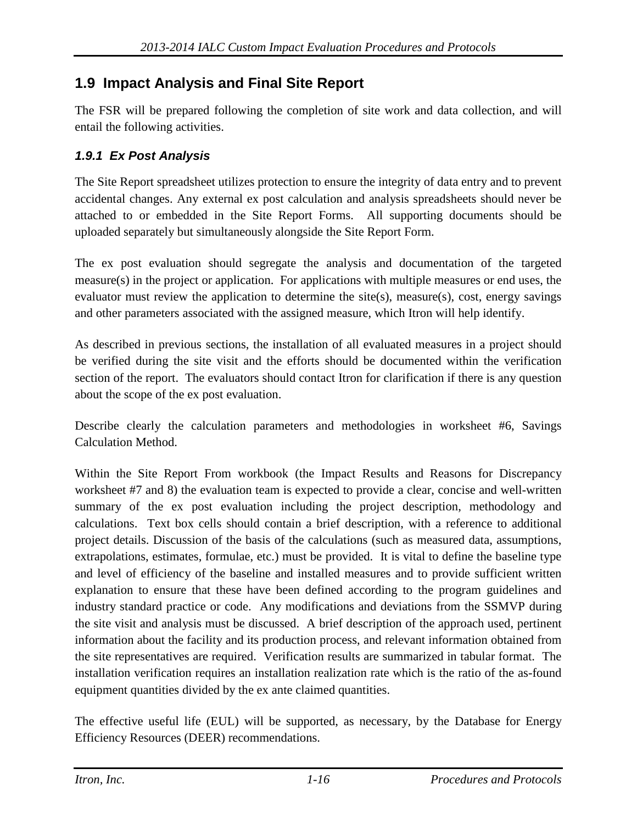#### **1.9 Impact Analysis and Final Site Report**

The FSR will be prepared following the completion of site work and data collection, and will entail the following activities.

#### *1.9.1 Ex Post Analysis*

The Site Report spreadsheet utilizes protection to ensure the integrity of data entry and to prevent accidental changes. Any external ex post calculation and analysis spreadsheets should never be attached to or embedded in the Site Report Forms. All supporting documents should be uploaded separately but simultaneously alongside the Site Report Form.

The ex post evaluation should segregate the analysis and documentation of the targeted measure(s) in the project or application. For applications with multiple measures or end uses, the evaluator must review the application to determine the site(s), measure(s), cost, energy savings and other parameters associated with the assigned measure, which Itron will help identify.

As described in previous sections, the installation of all evaluated measures in a project should be verified during the site visit and the efforts should be documented within the verification section of the report. The evaluators should contact Itron for clarification if there is any question about the scope of the ex post evaluation.

Describe clearly the calculation parameters and methodologies in worksheet #6, Savings Calculation Method.

Within the Site Report From workbook (the Impact Results and Reasons for Discrepancy worksheet #7 and 8) the evaluation team is expected to provide a clear, concise and well-written summary of the ex post evaluation including the project description, methodology and calculations. Text box cells should contain a brief description, with a reference to additional project details. Discussion of the basis of the calculations (such as measured data, assumptions, extrapolations, estimates, formulae, etc.) must be provided. It is vital to define the baseline type and level of efficiency of the baseline and installed measures and to provide sufficient written explanation to ensure that these have been defined according to the program guidelines and industry standard practice or code. Any modifications and deviations from the SSMVP during the site visit and analysis must be discussed. A brief description of the approach used, pertinent information about the facility and its production process, and relevant information obtained from the site representatives are required. Verification results are summarized in tabular format. The installation verification requires an installation realization rate which is the ratio of the as-found equipment quantities divided by the ex ante claimed quantities.

The effective useful life (EUL) will be supported, as necessary, by the Database for Energy Efficiency Resources (DEER) recommendations.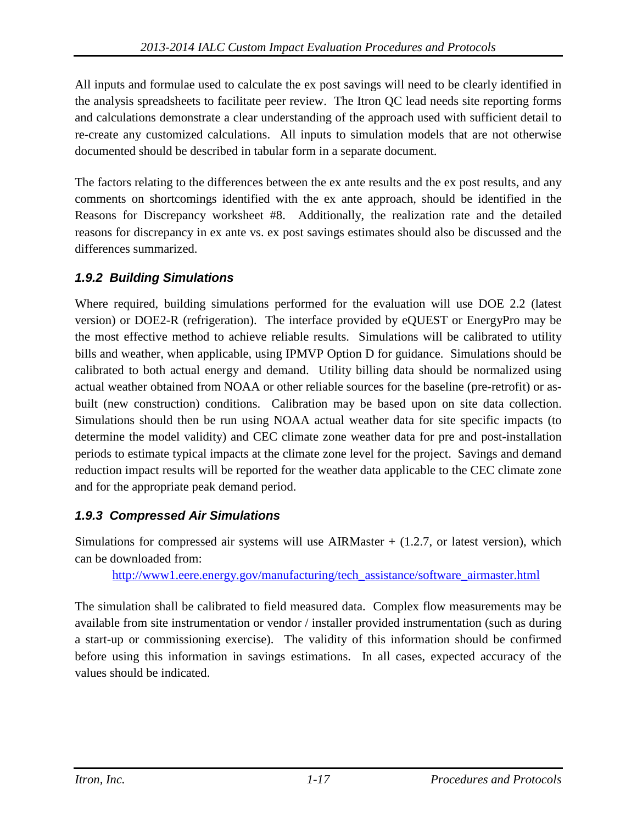All inputs and formulae used to calculate the ex post savings will need to be clearly identified in the analysis spreadsheets to facilitate peer review. The Itron QC lead needs site reporting forms and calculations demonstrate a clear understanding of the approach used with sufficient detail to re-create any customized calculations. All inputs to simulation models that are not otherwise documented should be described in tabular form in a separate document.

The factors relating to the differences between the ex ante results and the ex post results, and any comments on shortcomings identified with the ex ante approach, should be identified in the Reasons for Discrepancy worksheet #8. Additionally, the realization rate and the detailed reasons for discrepancy in ex ante vs. ex post savings estimates should also be discussed and the differences summarized.

#### *1.9.2 Building Simulations*

Where required, building simulations performed for the evaluation will use DOE 2.2 (latest version) or DOE2-R (refrigeration). The interface provided by eQUEST or EnergyPro may be the most effective method to achieve reliable results. Simulations will be calibrated to utility bills and weather, when applicable, using IPMVP Option D for guidance. Simulations should be calibrated to both actual energy and demand. Utility billing data should be normalized using actual weather obtained from NOAA or other reliable sources for the baseline (pre-retrofit) or asbuilt (new construction) conditions. Calibration may be based upon on site data collection. Simulations should then be run using NOAA actual weather data for site specific impacts (to determine the model validity) and CEC climate zone weather data for pre and post-installation periods to estimate typical impacts at the climate zone level for the project. Savings and demand reduction impact results will be reported for the weather data applicable to the CEC climate zone and for the appropriate peak demand period.

#### *1.9.3 Compressed Air Simulations*

Simulations for compressed air systems will use AIRMaster  $+$  (1.2.7, or latest version), which can be downloaded from:

[http://www1.eere.energy.gov/manufacturing/tech\\_assistance/software\\_airmaster.html](http://www1.eere.energy.gov/manufacturing/tech_assistance/software_airmaster.html)

The simulation shall be calibrated to field measured data. Complex flow measurements may be available from site instrumentation or vendor / installer provided instrumentation (such as during a start-up or commissioning exercise). The validity of this information should be confirmed before using this information in savings estimations. In all cases, expected accuracy of the values should be indicated.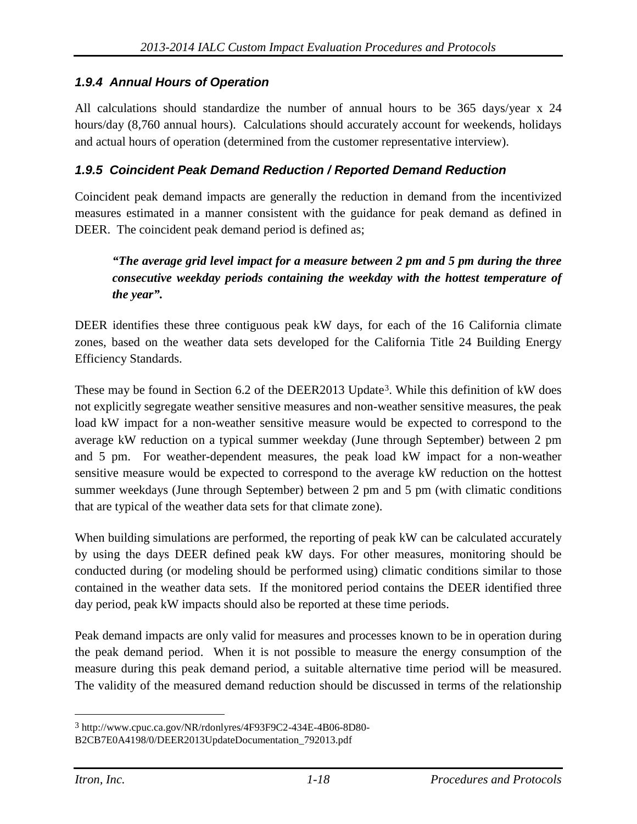#### *1.9.4 Annual Hours of Operation*

All calculations should standardize the number of annual hours to be 365 days/year x 24 hours/day (8,760 annual hours). Calculations should accurately account for weekends, holidays and actual hours of operation (determined from the customer representative interview).

#### *1.9.5 Coincident Peak Demand Reduction / Reported Demand Reduction*

Coincident peak demand impacts are generally the reduction in demand from the incentivized measures estimated in a manner consistent with the guidance for peak demand as defined in DEER. The coincident peak demand period is defined as;

#### *"The average grid level impact for a measure between 2 pm and 5 pm during the three consecutive weekday periods containing the weekday with the hottest temperature of the year".*

DEER identifies these three contiguous peak kW days, for each of the 16 California climate zones, based on the weather data sets developed for the California Title 24 Building Energy Efficiency Standards.

These may be found in Section 6.2 of the DEER2013 Update[3](#page-48-0). While this definition of kW does not explicitly segregate weather sensitive measures and non-weather sensitive measures, the peak load kW impact for a non-weather sensitive measure would be expected to correspond to the average kW reduction on a typical summer weekday (June through September) between 2 pm and 5 pm. For weather-dependent measures, the peak load kW impact for a non-weather sensitive measure would be expected to correspond to the average kW reduction on the hottest summer weekdays (June through September) between 2 pm and 5 pm (with climatic conditions that are typical of the weather data sets for that climate zone).

When building simulations are performed, the reporting of peak kW can be calculated accurately by using the days DEER defined peak kW days. For other measures, monitoring should be conducted during (or modeling should be performed using) climatic conditions similar to those contained in the weather data sets. If the monitored period contains the DEER identified three day period, peak kW impacts should also be reported at these time periods.

Peak demand impacts are only valid for measures and processes known to be in operation during the peak demand period. When it is not possible to measure the energy consumption of the measure during this peak demand period, a suitable alternative time period will be measured. The validity of the measured demand reduction should be discussed in terms of the relationship

 $\overline{a}$ 

<span id="page-48-0"></span><sup>3</sup> http://www.cpuc.ca.gov/NR/rdonlyres/4F93F9C2-434E-4B06-8D80-

B2CB7E0A4198/0/DEER2013UpdateDocumentation\_792013.pdf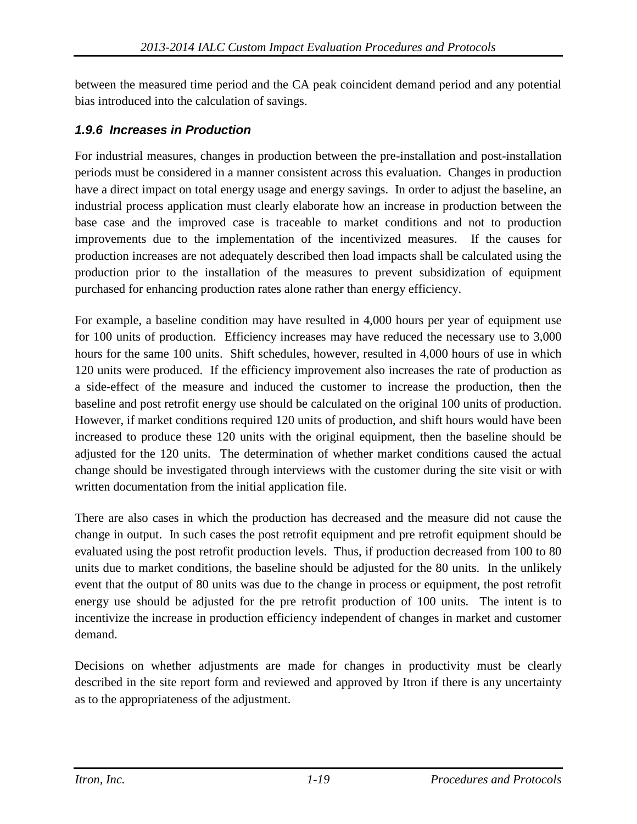between the measured time period and the CA peak coincident demand period and any potential bias introduced into the calculation of savings.

#### *1.9.6 Increases in Production*

For industrial measures, changes in production between the pre-installation and post-installation periods must be considered in a manner consistent across this evaluation. Changes in production have a direct impact on total energy usage and energy savings. In order to adjust the baseline, an industrial process application must clearly elaborate how an increase in production between the base case and the improved case is traceable to market conditions and not to production improvements due to the implementation of the incentivized measures. If the causes for production increases are not adequately described then load impacts shall be calculated using the production prior to the installation of the measures to prevent subsidization of equipment purchased for enhancing production rates alone rather than energy efficiency.

For example, a baseline condition may have resulted in 4,000 hours per year of equipment use for 100 units of production. Efficiency increases may have reduced the necessary use to 3,000 hours for the same 100 units. Shift schedules, however, resulted in 4,000 hours of use in which 120 units were produced. If the efficiency improvement also increases the rate of production as a side-effect of the measure and induced the customer to increase the production, then the baseline and post retrofit energy use should be calculated on the original 100 units of production. However, if market conditions required 120 units of production, and shift hours would have been increased to produce these 120 units with the original equipment, then the baseline should be adjusted for the 120 units. The determination of whether market conditions caused the actual change should be investigated through interviews with the customer during the site visit or with written documentation from the initial application file.

There are also cases in which the production has decreased and the measure did not cause the change in output. In such cases the post retrofit equipment and pre retrofit equipment should be evaluated using the post retrofit production levels. Thus, if production decreased from 100 to 80 units due to market conditions, the baseline should be adjusted for the 80 units. In the unlikely event that the output of 80 units was due to the change in process or equipment, the post retrofit energy use should be adjusted for the pre retrofit production of 100 units. The intent is to incentivize the increase in production efficiency independent of changes in market and customer demand.

Decisions on whether adjustments are made for changes in productivity must be clearly described in the site report form and reviewed and approved by Itron if there is any uncertainty as to the appropriateness of the adjustment.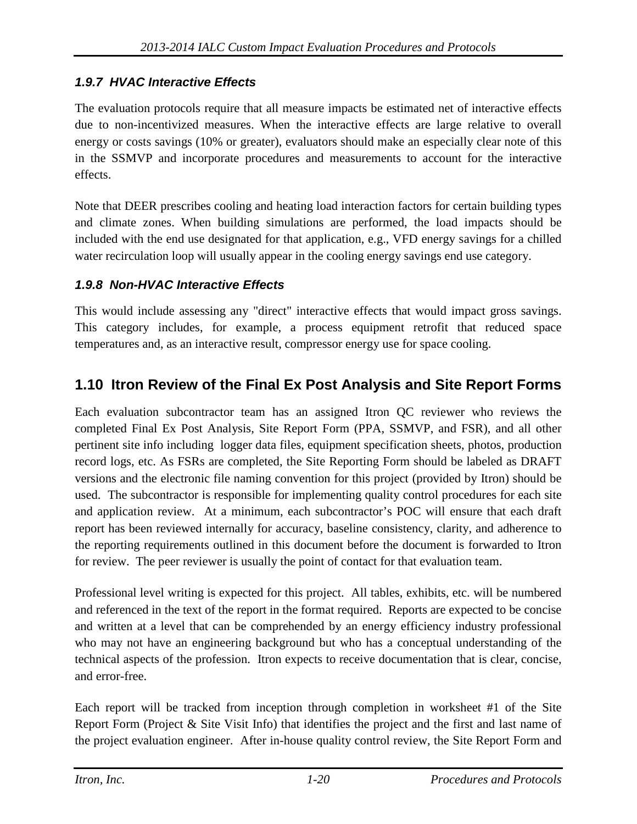#### *1.9.7 HVAC Interactive Effects*

The evaluation protocols require that all measure impacts be estimated net of interactive effects due to non-incentivized measures. When the interactive effects are large relative to overall energy or costs savings (10% or greater), evaluators should make an especially clear note of this in the SSMVP and incorporate procedures and measurements to account for the interactive effects.

Note that DEER prescribes cooling and heating load interaction factors for certain building types and climate zones. When building simulations are performed, the load impacts should be included with the end use designated for that application, e.g., VFD energy savings for a chilled water recirculation loop will usually appear in the cooling energy savings end use category.

#### *1.9.8 Non-HVAC Interactive Effects*

This would include assessing any "direct" interactive effects that would impact gross savings. This category includes, for example, a process equipment retrofit that reduced space temperatures and, as an interactive result, compressor energy use for space cooling.

#### **1.10 Itron Review of the Final Ex Post Analysis and Site Report Forms**

Each evaluation subcontractor team has an assigned Itron QC reviewer who reviews the completed Final Ex Post Analysis, Site Report Form (PPA, SSMVP, and FSR), and all other pertinent site info including logger data files, equipment specification sheets, photos, production record logs, etc. As FSRs are completed, the Site Reporting Form should be labeled as DRAFT versions and the electronic file naming convention for this project (provided by Itron) should be used. The subcontractor is responsible for implementing quality control procedures for each site and application review. At a minimum, each subcontractor's POC will ensure that each draft report has been reviewed internally for accuracy, baseline consistency, clarity, and adherence to the reporting requirements outlined in this document before the document is forwarded to Itron for review. The peer reviewer is usually the point of contact for that evaluation team.

Professional level writing is expected for this project. All tables, exhibits, etc. will be numbered and referenced in the text of the report in the format required. Reports are expected to be concise and written at a level that can be comprehended by an energy efficiency industry professional who may not have an engineering background but who has a conceptual understanding of the technical aspects of the profession. Itron expects to receive documentation that is clear, concise, and error-free.

Each report will be tracked from inception through completion in worksheet #1 of the Site Report Form (Project & Site Visit Info) that identifies the project and the first and last name of the project evaluation engineer. After in-house quality control review, the Site Report Form and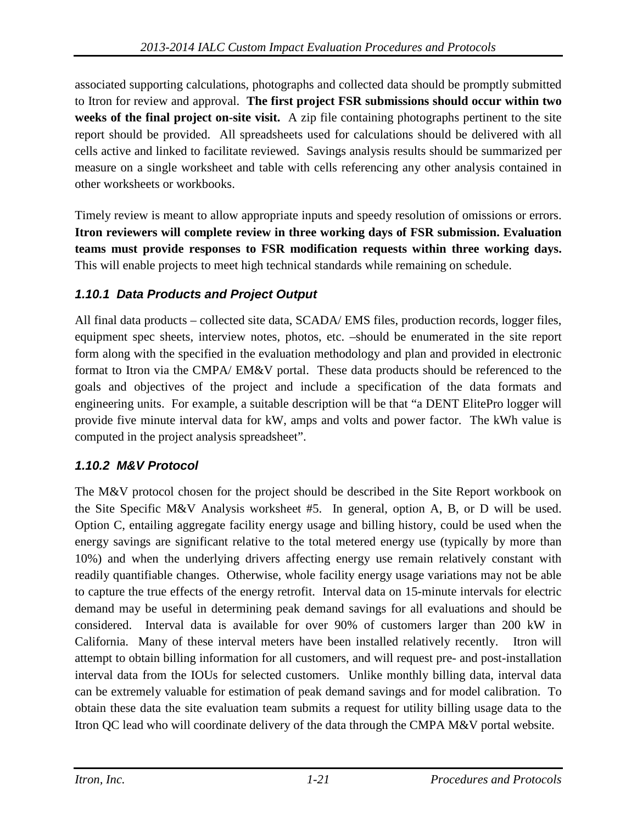associated supporting calculations, photographs and collected data should be promptly submitted to Itron for review and approval. **The first project FSR submissions should occur within two weeks of the final project on-site visit.** A zip file containing photographs pertinent to the site report should be provided. All spreadsheets used for calculations should be delivered with all cells active and linked to facilitate reviewed. Savings analysis results should be summarized per measure on a single worksheet and table with cells referencing any other analysis contained in other worksheets or workbooks.

Timely review is meant to allow appropriate inputs and speedy resolution of omissions or errors. **Itron reviewers will complete review in three working days of FSR submission. Evaluation teams must provide responses to FSR modification requests within three working days.**  This will enable projects to meet high technical standards while remaining on schedule.

#### *1.10.1 Data Products and Project Output*

All final data products – collected site data, SCADA/ EMS files, production records, logger files, equipment spec sheets, interview notes, photos, etc. –should be enumerated in the site report form along with the specified in the evaluation methodology and plan and provided in electronic format to Itron via the CMPA/ EM&V portal. These data products should be referenced to the goals and objectives of the project and include a specification of the data formats and engineering units. For example, a suitable description will be that "a DENT ElitePro logger will provide five minute interval data for kW, amps and volts and power factor. The kWh value is computed in the project analysis spreadsheet".

#### *1.10.2 M&V Protocol*

The M&V protocol chosen for the project should be described in the Site Report workbook on the Site Specific M&V Analysis worksheet #5. In general, option A, B, or D will be used. Option C, entailing aggregate facility energy usage and billing history, could be used when the energy savings are significant relative to the total metered energy use (typically by more than 10%) and when the underlying drivers affecting energy use remain relatively constant with readily quantifiable changes. Otherwise, whole facility energy usage variations may not be able to capture the true effects of the energy retrofit. Interval data on 15-minute intervals for electric demand may be useful in determining peak demand savings for all evaluations and should be considered. Interval data is available for over 90% of customers larger than 200 kW in California. Many of these interval meters have been installed relatively recently. Itron will attempt to obtain billing information for all customers, and will request pre- and post-installation interval data from the IOUs for selected customers. Unlike monthly billing data, interval data can be extremely valuable for estimation of peak demand savings and for model calibration. To obtain these data the site evaluation team submits a request for utility billing usage data to the Itron QC lead who will coordinate delivery of the data through the CMPA M&V portal website.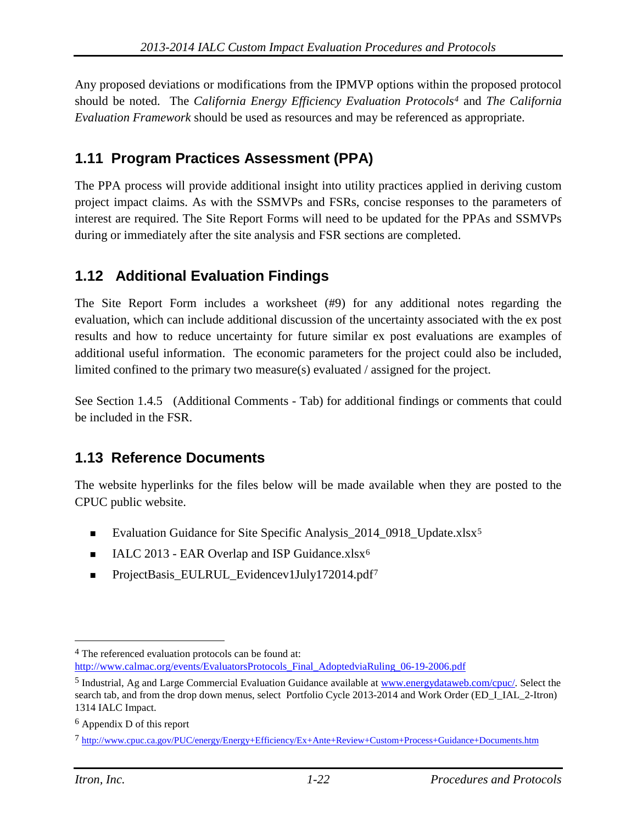Any proposed deviations or modifications from the IPMVP options within the proposed protocol should be noted. The *California Energy Efficiency Evaluation Protocols[4](#page-52-0)* and *The California Evaluation Framework* should be used as resources and may be referenced as appropriate.

### **1.11 Program Practices Assessment (PPA)**

The PPA process will provide additional insight into utility practices applied in deriving custom project impact claims. As with the SSMVPs and FSRs, concise responses to the parameters of interest are required. The Site Report Forms will need to be updated for the PPAs and SSMVPs during or immediately after the site analysis and FSR sections are completed.

#### **1.12 Additional Evaluation Findings**

The Site Report Form includes a worksheet (#9) for any additional notes regarding the evaluation, which can include additional discussion of the uncertainty associated with the ex post results and how to reduce uncertainty for future similar ex post evaluations are examples of additional useful information. The economic parameters for the project could also be included, limited confined to the primary two measure(s) evaluated / assigned for the project.

See Section 1.4.5 (Additional Comments - Tab) for additional findings or comments that could be included in the FSR.

#### **1.13 Reference Documents**

The website hyperlinks for the files below will be made available when they are posted to the CPUC public website.

- Evaluation Guidance for Site Specific Analysis\_2014\_0918\_Update.xlsx[5](#page-52-1)
- $\blacksquare$  IALC 2013 EAR Overlap and ISP Guidance.xlsx<sup>[6](#page-52-2)</sup>
- ProjectBasis\_EULRUL\_Evidencev1July1[7](#page-52-3)2014.pdf7

 $\overline{a}$ 

<span id="page-52-0"></span><sup>4</sup> The referenced evaluation protocols can be found at:

[http://www.calmac.org/events/EvaluatorsProtocols\\_Final\\_AdoptedviaRuling\\_06-19-2006.pdf](http://www.calmac.org/events/EvaluatorsProtocols_Final_AdoptedviaRuling_06-19-2006.pdf)

<span id="page-52-1"></span><sup>5</sup> Industrial, Ag and Large Commercial Evaluation Guidance available at [www.energydataweb.com/cpuc/.](http://www.energydataweb.com/cpuc/) Select the search tab, and from the drop down menus, select Portfolio Cycle 2013-2014 and Work Order (ED\_I\_IAL\_2-Itron) 1314 IALC Impact.

<span id="page-52-2"></span><sup>6</sup> Appendix D of this report

<span id="page-52-3"></span><sup>7</sup> <http://www.cpuc.ca.gov/PUC/energy/Energy+Efficiency/Ex+Ante+Review+Custom+Process+Guidance+Documents.htm>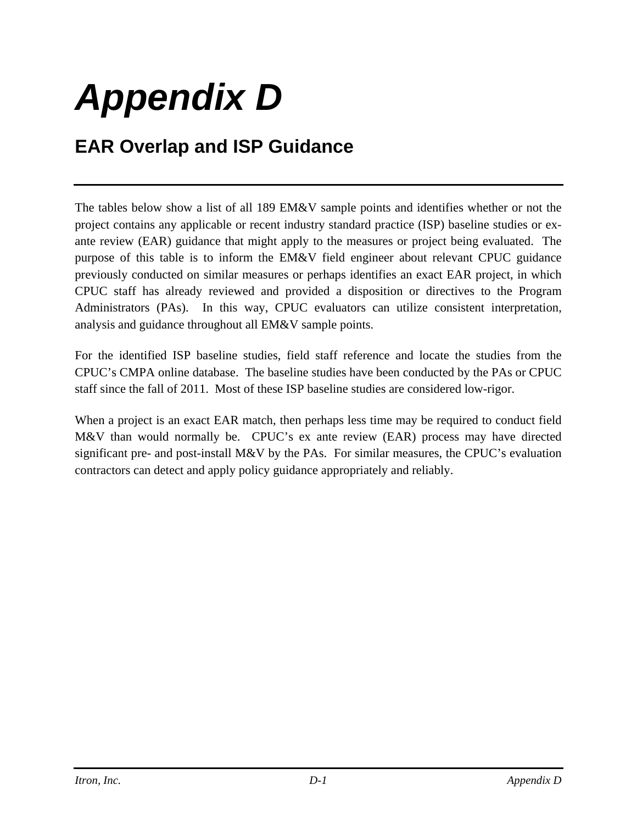# *Appendix D*

## **EAR Overlap and ISP Guidance**

The tables below show a list of all 189 EM&V sample points and identifies whether or not the project contains any applicable or recent industry standard practice (ISP) baseline studies or exante review (EAR) guidance that might apply to the measures or project being evaluated. The purpose of this table is to inform the EM&V field engineer about relevant CPUC guidance previously conducted on similar measures or perhaps identifies an exact EAR project, in which CPUC staff has already reviewed and provided a disposition or directives to the Program Administrators (PAs). In this way, CPUC evaluators can utilize consistent interpretation, analysis and guidance throughout all EM&V sample points.

For the identified ISP baseline studies, field staff reference and locate the studies from the CPUC's CMPA online database. The baseline studies have been conducted by the PAs or CPUC staff since the fall of 2011. Most of these ISP baseline studies are considered low-rigor.

When a project is an exact EAR match, then perhaps less time may be required to conduct field M&V than would normally be. CPUC's ex ante review (EAR) process may have directed significant pre- and post-install M&V by the PAs. For similar measures, the CPUC's evaluation contractors can detect and apply policy guidance appropriately and reliably.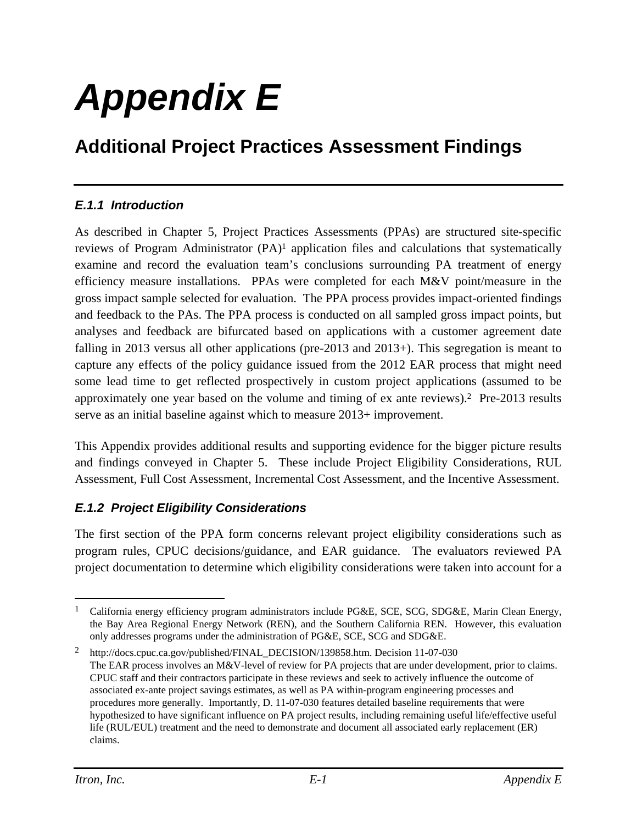# *Appendix E*

## **Additional Project Practices Assessment Findings**

#### *E.1.1 Introduction*

As described in Chapter 5, Project Practices Assessments (PPAs) are structured site-specific reviews of Program Administrator (PA)<sup>1</sup> application files and calculations that systematically examine and record the evaluation team's conclusions surrounding PA treatment of energy efficiency measure installations. PPAs were completed for each M&V point/measure in the gross impact sample selected for evaluation. The PPA process provides impact-oriented findings and feedback to the PAs. The PPA process is conducted on all sampled gross impact points, but analyses and feedback are bifurcated based on applications with a customer agreement date falling in 2013 versus all other applications (pre-2013 and 2013+). This segregation is meant to capture any effects of the policy guidance issued from the 2012 EAR process that might need some lead time to get reflected prospectively in custom project applications (assumed to be approximately one year based on the volume and timing of ex ante reviews).2 Pre-2013 results serve as an initial baseline against which to measure 2013+ improvement.

This Appendix provides additional results and supporting evidence for the bigger picture results and findings conveyed in Chapter 5. These include Project Eligibility Considerations, RUL Assessment, Full Cost Assessment, Incremental Cost Assessment, and the Incentive Assessment.

#### *E.1.2 Project Eligibility Considerations*

The first section of the PPA form concerns relevant project eligibility considerations such as program rules, CPUC decisions/guidance, and EAR guidance. The evaluators reviewed PA project documentation to determine which eligibility considerations were taken into account for a

 $\overline{a}$ <sup>1</sup> California energy efficiency program administrators include PG&E, SCE, SCG, SDG&E, Marin Clean Energy, the Bay Area Regional Energy Network (REN), and the Southern California REN. However, this evaluation only addresses programs under the administration of PG&E, SCE, SCG and SDG&E.

<sup>2</sup> http://docs.cpuc.ca.gov/published/FINAL\_DECISION/139858.htm. Decision 11-07-030 The EAR process involves an M&V-level of review for PA projects that are under development, prior to claims. CPUC staff and their contractors participate in these reviews and seek to actively influence the outcome of associated ex-ante project savings estimates, as well as PA within-program engineering processes and procedures more generally. Importantly, D. 11-07-030 features detailed baseline requirements that were hypothesized to have significant influence on PA project results, including remaining useful life/effective useful life (RUL/EUL) treatment and the need to demonstrate and document all associated early replacement (ER) claims.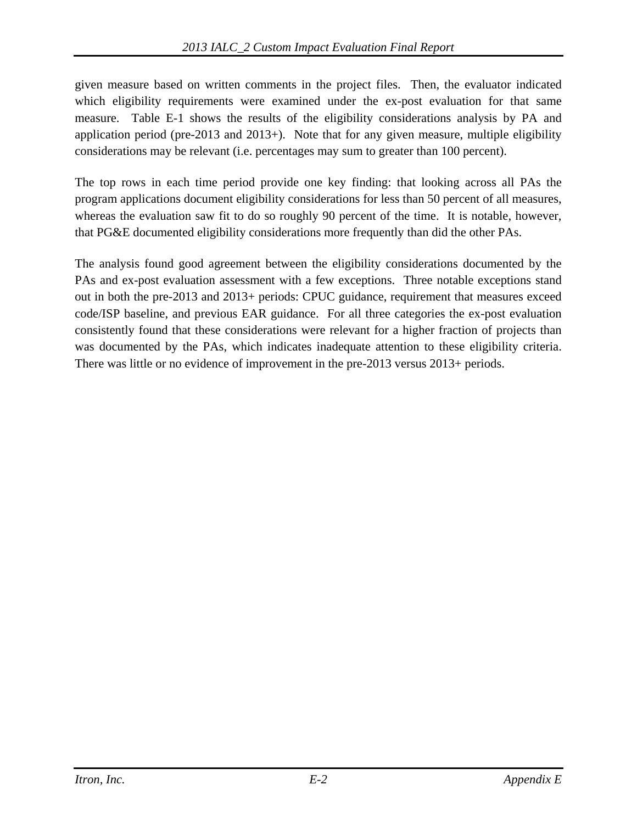given measure based on written comments in the project files. Then, the evaluator indicated which eligibility requirements were examined under the ex-post evaluation for that same measure. Table E-1 shows the results of the eligibility considerations analysis by PA and application period (pre-2013 and  $2013+$ ). Note that for any given measure, multiple eligibility considerations may be relevant (i.e. percentages may sum to greater than 100 percent).

The top rows in each time period provide one key finding: that looking across all PAs the program applications document eligibility considerations for less than 50 percent of all measures, whereas the evaluation saw fit to do so roughly 90 percent of the time. It is notable, however, that PG&E documented eligibility considerations more frequently than did the other PAs.

The analysis found good agreement between the eligibility considerations documented by the PAs and ex-post evaluation assessment with a few exceptions. Three notable exceptions stand out in both the pre-2013 and 2013+ periods: CPUC guidance, requirement that measures exceed code/ISP baseline, and previous EAR guidance. For all three categories the ex-post evaluation consistently found that these considerations were relevant for a higher fraction of projects than was documented by the PAs, which indicates inadequate attention to these eligibility criteria. There was little or no evidence of improvement in the pre-2013 versus 2013+ periods.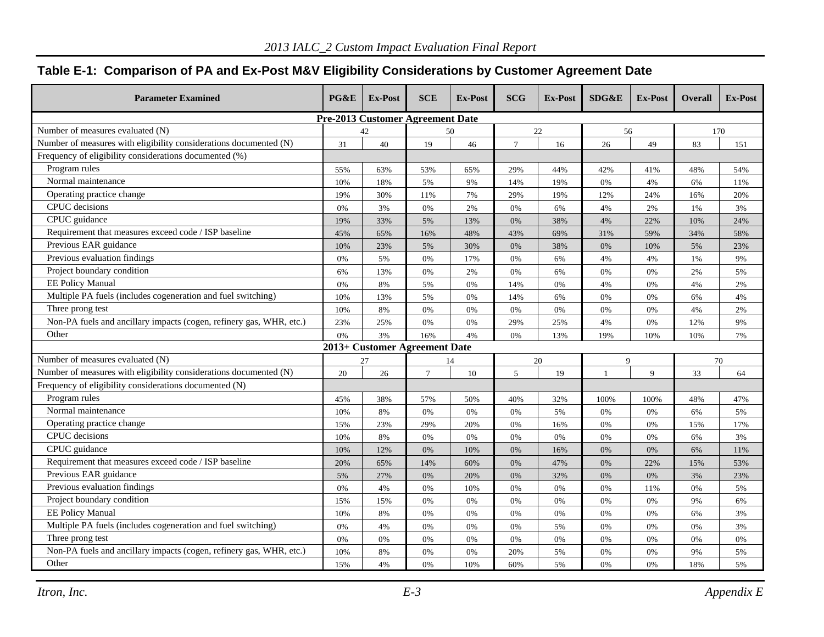#### **Table E-1: Comparison of PA and Ex-Post M&V Eligibility Considerations by Customer Agreement Date**

| <b>Parameter Examined</b>                                           | PG&E | <b>Ex-Post</b>                          | <b>SCE</b>      | <b>Ex-Post</b> | <b>SCG</b> | Ex-Post | SDG&E          | <b>Ex-Post</b> | <b>Overall</b> | Ex-Post |
|---------------------------------------------------------------------|------|-----------------------------------------|-----------------|----------------|------------|---------|----------------|----------------|----------------|---------|
|                                                                     |      | <b>Pre-2013 Customer Agreement Date</b> |                 |                |            |         |                |                |                |         |
| Number of measures evaluated (N)                                    |      | 42                                      |                 | 50             |            | 22      | 56             |                |                | 170     |
| Number of measures with eligibility considerations documented (N)   | 31   | 40                                      | 19              | 46             | $\tau$     | 16      | 26             | 49             | 83             | 151     |
| Frequency of eligibility considerations documented (%)              |      |                                         |                 |                |            |         |                |                |                |         |
| Program rules                                                       | 55%  | 63%                                     | 53%             | 65%            | 29%        | 44%     | 42%            | 41%            | 48%            | 54%     |
| Normal maintenance                                                  | 10%  | 18%                                     | 5%              | 9%             | 14%        | 19%     | 0%             | 4%             | 6%             | 11%     |
| Operating practice change                                           | 19%  | 30%                                     | 11%             | 7%             | 29%        | 19%     | 12%            | 24%            | 16%            | 20%     |
| CPUC decisions                                                      | 0%   | 3%                                      | 0%              | 2%             | 0%         | 6%      | 4%             | 2%             | 1%             | 3%      |
| CPUC guidance                                                       | 19%  | 33%                                     | 5%              | 13%            | 0%         | 38%     | 4%             | 22%            | 10%            | 24%     |
| Requirement that measures exceed code / ISP baseline                | 45%  | 65%                                     | 16%             | 48%            | 43%        | 69%     | 31%            | 59%            | 34%            | 58%     |
| Previous EAR guidance                                               | 10%  | 23%                                     | 5%              | 30%            | 0%         | 38%     | 0%             | 10%            | 5%             | 23%     |
| Previous evaluation findings                                        | 0%   | 5%                                      | 0%              | 17%            | 0%         | 6%      | 4%             | 4%             | 1%             | 9%      |
| Project boundary condition                                          | 6%   | 13%                                     | 0%              | 2%             | $0\%$      | 6%      | $0\%$          | 0%             | 2%             | 5%      |
| <b>EE Policy Manual</b>                                             | 0%   | 8%                                      | 5%              | 0%             | 14%        | 0%      | 4%             | 0%             | 4%             | 2%      |
| Multiple PA fuels (includes cogeneration and fuel switching)        | 10%  | 13%                                     | 5%              | 0%             | 14%        | 6%      | 0%             | 0%             | 6%             | 4%      |
| Three prong test                                                    | 10%  | 8%                                      | 0%              | 0%             | $0\%$      | 0%      | 0%             | 0%             | 4%             | 2%      |
| Non-PA fuels and ancillary impacts (cogen, refinery gas, WHR, etc.) | 23%  | 25%                                     | 0%              | 0%             | 29%        | 25%     | 4%             | 0%             | 12%            | 9%      |
| Other                                                               | 0%   | 3%                                      | 16%             | 4%             | 0%         | 13%     | 19%            | 10%            | 10%            | 7%      |
|                                                                     |      | 2013+ Customer Agreement Date           |                 |                |            |         |                |                |                |         |
| Number of measures evaluated (N)                                    |      | 27                                      |                 | 14             |            | 20      | $\mathbf{Q}$   |                |                | 70      |
| Number of measures with eligibility considerations documented (N)   | 20   | 26                                      | $7\phantom{.0}$ | 10             | 5          | 19      | $\overline{1}$ | $\mathbf Q$    | 33             | 64      |
| Frequency of eligibility considerations documented (N)              |      |                                         |                 |                |            |         |                |                |                |         |
| Program rules                                                       | 45%  | 38%                                     | 57%             | 50%            | 40%        | 32%     | 100%           | 100%           | 48%            | 47%     |
| Normal maintenance                                                  | 10%  | 8%                                      | 0%              | 0%             | $0\%$      | 5%      | 0%             | 0%             | 6%             | 5%      |
| Operating practice change                                           | 15%  | 23%                                     | 29%             | 20%            | 0%         | 16%     | 0%             | 0%             | 15%            | 17%     |
| CPUC decisions                                                      | 10%  | 8%                                      | 0%              | 0%             | 0%         | 0%      | 0%             | 0%             | 6%             | 3%      |
| CPUC guidance                                                       | 10%  | 12%                                     | 0%              | 10%            | 0%         | 16%     | 0%             | 0%             | 6%             | 11%     |
| Requirement that measures exceed code / ISP baseline                | 20%  | 65%                                     | 14%             | 60%            | 0%         | 47%     | 0%             | 22%            | 15%            | 53%     |
| Previous EAR guidance                                               | 5%   | 27%                                     | 0%              | 20%            | 0%         | 32%     | 0%             | 0%             | 3%             | 23%     |
| Previous evaluation findings                                        | 0%   | 4%                                      | 0%              | 10%            | 0%         | 0%      | $0\%$          | 11%            | 0%             | 5%      |
| Project boundary condition                                          | 15%  | 15%                                     | 0%              | 0%             | 0%         | 0%      | 0%             | 0%             | 9%             | 6%      |
| EE Policy Manual                                                    | 10%  | 8%                                      | 0%              | 0%             | 0%         | 0%      | 0%             | 0%             | 6%             | 3%      |
| Multiple PA fuels (includes cogeneration and fuel switching)        | 0%   | 4%                                      | 0%              | 0%             | 0%         | 5%      | $0\%$          | 0%             | 0%             | 3%      |
| Three prong test                                                    | 0%   | 0%                                      | 0%              | 0%             | 0%         | 0%      | 0%             | 0%             | 0%             | 0%      |
| Non-PA fuels and ancillary impacts (cogen, refinery gas, WHR, etc.) | 10%  | $8\%$                                   | 0%              | $0\%$          | 20%        | 5%      | $0\%$          | 0%             | 9%             | 5%      |
| Other                                                               | 15%  | 4%                                      | 0%              | 10%            | 60%        | 5%      | 0%             | 0%             | 18%            | 5%      |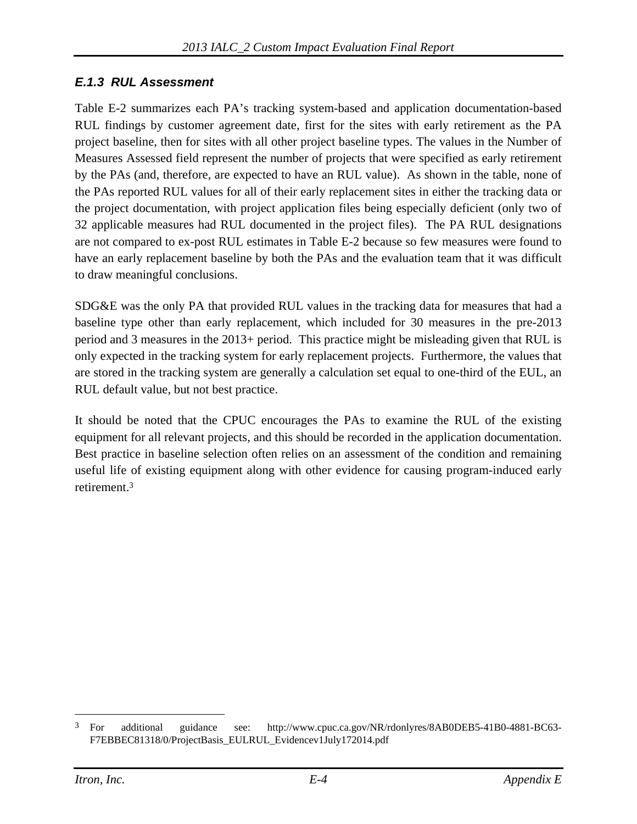#### *E.1.3 RUL Assessment*

Table E-2 summarizes each PA's tracking system-based and application documentation-based RUL findings by customer agreement date, first for the sites with early retirement as the PA project baseline, then for sites with all other project baseline types. The values in the Number of Measures Assessed field represent the number of projects that were specified as early retirement by the PAs (and, therefore, are expected to have an RUL value). As shown in the table, none of the PAs reported RUL values for all of their early replacement sites in either the tracking data or the project documentation, with project application files being especially deficient (only two of 32 applicable measures had RUL documented in the project files). The PA RUL designations are not compared to ex-post RUL estimates in Table E-2 because so few measures were found to have an early replacement baseline by both the PAs and the evaluation team that it was difficult to draw meaningful conclusions.

SDG&E was the only PA that provided RUL values in the tracking data for measures that had a baseline type other than early replacement, which included for 30 measures in the pre-2013 period and 3 measures in the 2013+ period. This practice might be misleading given that RUL is only expected in the tracking system for early replacement projects. Furthermore, the values that are stored in the tracking system are generally a calculation set equal to one-third of the EUL, an RUL default value, but not best practice.

It should be noted that the CPUC encourages the PAs to examine the RUL of the existing equipment for all relevant projects, and this should be recorded in the application documentation. Best practice in baseline selection often relies on an assessment of the condition and remaining useful life of existing equipment along with other evidence for causing program-induced early retirement.3

 $\overline{a}$ 

<sup>3</sup> For additional guidance see: http://www.cpuc.ca.gov/NR/rdonlyres/8AB0DEB5-41B0-4881-BC63- F7EBBEC81318/0/ProjectBasis\_EULRUL\_Evidencev1July172014.pdf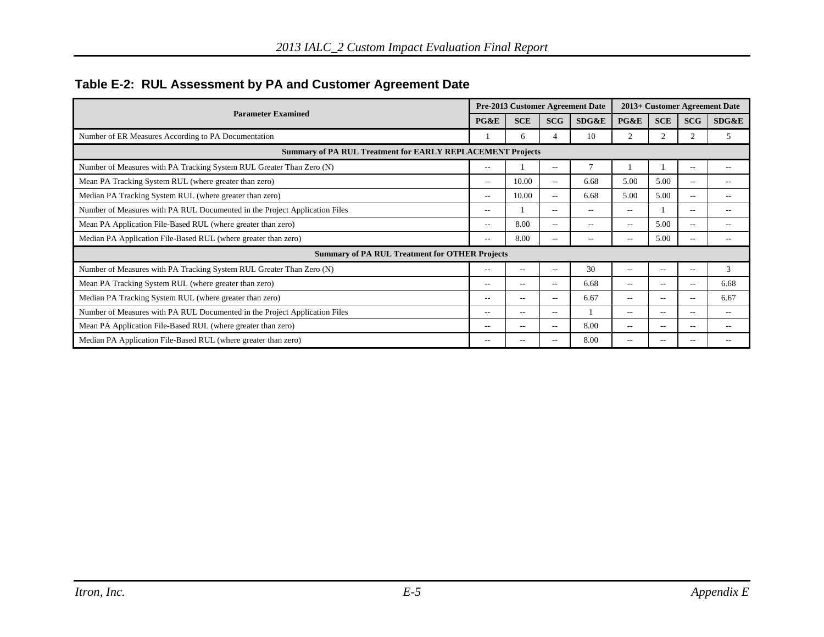|                                                                            |       |            |            | Pre-2013 Customer Agreement Date |                |                |                | 2013+ Customer Agreement Date |
|----------------------------------------------------------------------------|-------|------------|------------|----------------------------------|----------------|----------------|----------------|-------------------------------|
| <b>Parameter Examined</b>                                                  | PG&E  | <b>SCE</b> | <b>SCG</b> | SDG&E                            | PG&E           | <b>SCE</b>     | <b>SCG</b>     | SDG&E                         |
| Number of ER Measures According to PA Documentation                        |       | 6          |            | 10                               | $\overline{c}$ | $\mathfrak{D}$ | $\overline{c}$ | 5                             |
| Summary of PA RUL Treatment for EARLY REPLACEMENT Projects                 |       |            |            |                                  |                |                |                |                               |
| Number of Measures with PA Tracking System RUL Greater Than Zero (N)       | $- -$ |            | $- -$      | 7                                |                |                | $-$            |                               |
| Mean PA Tracking System RUL (where greater than zero)                      | $- -$ | 10.00      | $\sim$     | 6.68                             | 5.00           | 5.00           | --             | --                            |
| Median PA Tracking System RUL (where greater than zero)                    | $- -$ | 10.00      | $- -$      | 6.68                             | 5.00           | 5.00           | $-$            | --                            |
| Number of Measures with PA RUL Documented in the Project Application Files | $-1$  |            | $- -$      | $- -$                            | $-$            |                | $- -$          | --                            |
| Mean PA Application File-Based RUL (where greater than zero)               | $- -$ | 8.00       | $- -$      | $- -$                            | $- -$          | 5.00           | $-$            | $ -$                          |
| Median PA Application File-Based RUL (where greater than zero)             | $- -$ | 8.00       | $- -$      | $- -$                            | $ -$           | 5.00           | $-$            | $-$                           |
| <b>Summary of PA RUL Treatment for OTHER Projects</b>                      |       |            |            |                                  |                |                |                |                               |
| Number of Measures with PA Tracking System RUL Greater Than Zero (N)       | $- -$ | $- -$      | $- -$      | 30                               | $ -$           | $-$            | $-$            | 3                             |
| Mean PA Tracking System RUL (where greater than zero)                      | --    | --         | --         | 6.68                             | $-$            | --             | $-$            | 6.68                          |
| Median PA Tracking System RUL (where greater than zero)                    | $- -$ | $- -$      | $- -$      | 6.67                             | $- -$          | $-$            | $-$            | 6.67                          |
| Number of Measures with PA RUL Documented in the Project Application Files | $- -$ | $-$        | $- -$      |                                  | $- -$          | --             | $-$            | $ -$                          |
| Mean PA Application File-Based RUL (where greater than zero)               | $- -$ | --         | $- -$      | 8.00                             | $- -$          | --             | $- -$          | $-$                           |
| Median PA Application File-Based RUL (where greater than zero)             | $- -$ | --         |            | 8.00                             | $\overline{a}$ |                | --             |                               |

#### **Table E-2: RUL Assessment by PA and Customer Agreement Date**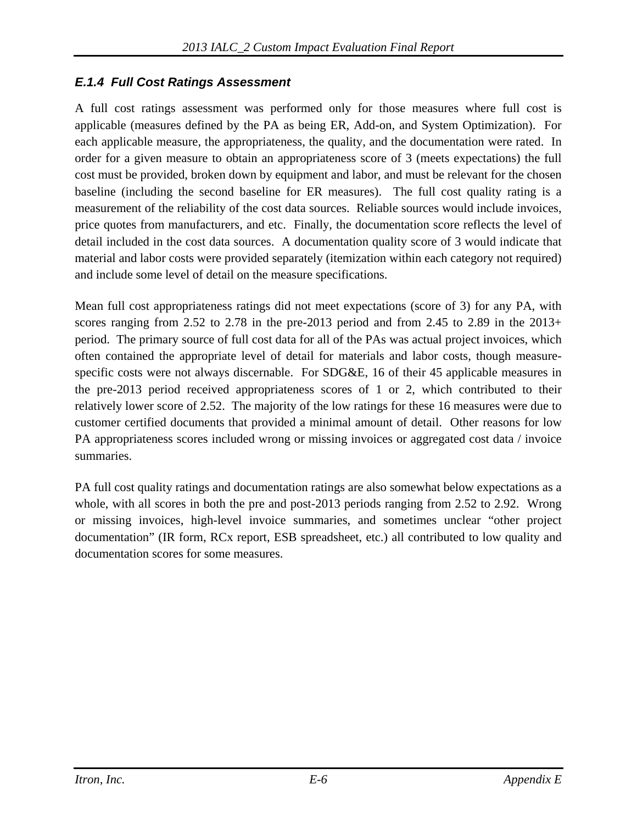#### *E.1.4 Full Cost Ratings Assessment*

A full cost ratings assessment was performed only for those measures where full cost is applicable (measures defined by the PA as being ER, Add-on, and System Optimization). For each applicable measure, the appropriateness, the quality, and the documentation were rated. In order for a given measure to obtain an appropriateness score of 3 (meets expectations) the full cost must be provided, broken down by equipment and labor, and must be relevant for the chosen baseline (including the second baseline for ER measures). The full cost quality rating is a measurement of the reliability of the cost data sources. Reliable sources would include invoices, price quotes from manufacturers, and etc. Finally, the documentation score reflects the level of detail included in the cost data sources. A documentation quality score of 3 would indicate that material and labor costs were provided separately (itemization within each category not required) and include some level of detail on the measure specifications.

Mean full cost appropriateness ratings did not meet expectations (score of 3) for any PA, with scores ranging from 2.52 to 2.78 in the pre-2013 period and from 2.45 to 2.89 in the 2013+ period. The primary source of full cost data for all of the PAs was actual project invoices, which often contained the appropriate level of detail for materials and labor costs, though measurespecific costs were not always discernable. For SDG&E, 16 of their 45 applicable measures in the pre-2013 period received appropriateness scores of 1 or 2, which contributed to their relatively lower score of 2.52. The majority of the low ratings for these 16 measures were due to customer certified documents that provided a minimal amount of detail. Other reasons for low PA appropriateness scores included wrong or missing invoices or aggregated cost data / invoice summaries.

PA full cost quality ratings and documentation ratings are also somewhat below expectations as a whole, with all scores in both the pre and post-2013 periods ranging from 2.52 to 2.92. Wrong or missing invoices, high-level invoice summaries, and sometimes unclear "other project documentation" (IR form, RCx report, ESB spreadsheet, etc.) all contributed to low quality and documentation scores for some measures.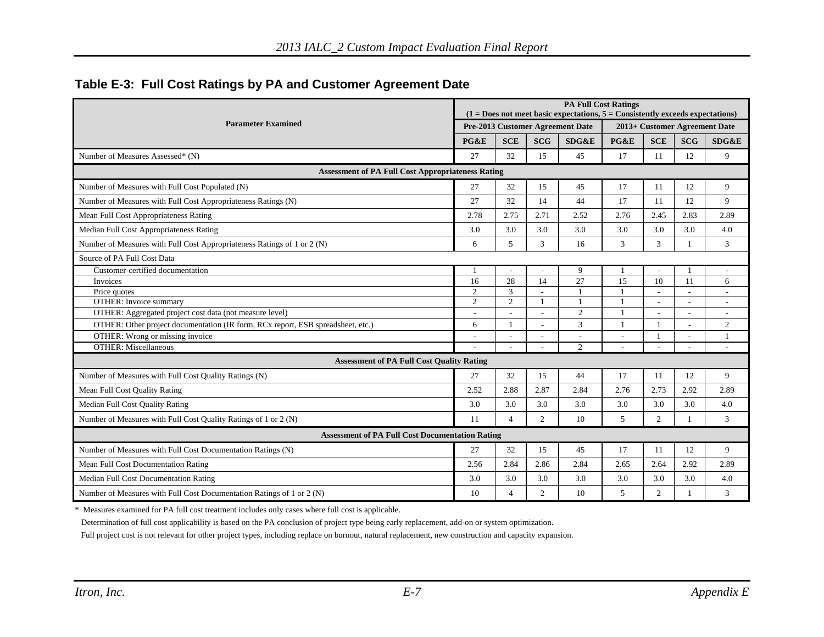|                                                                                 |                                  | <b>PA Full Cost Ratings</b><br>$(1 = Does not meet basic expectations, 5 = Consistently exceeds expectations)$ |                |                          |                               |                          |                          |                          |  |  |
|---------------------------------------------------------------------------------|----------------------------------|----------------------------------------------------------------------------------------------------------------|----------------|--------------------------|-------------------------------|--------------------------|--------------------------|--------------------------|--|--|
| <b>Parameter Examined</b>                                                       | Pre-2013 Customer Agreement Date |                                                                                                                |                |                          | 2013+ Customer Agreement Date |                          |                          |                          |  |  |
|                                                                                 |                                  | <b>SCE</b>                                                                                                     | <b>SCG</b>     | SDG&E                    | PG&E                          | <b>SCE</b>               | <b>SCG</b>               | SDG&E                    |  |  |
| Number of Measures Assessed* (N)                                                | 27                               | 32                                                                                                             | 15             | 45                       | 17                            | 11                       | 12                       | 9                        |  |  |
| <b>Assessment of PA Full Cost Appropriateness Rating</b>                        |                                  |                                                                                                                |                |                          |                               |                          |                          |                          |  |  |
| Number of Measures with Full Cost Populated (N)                                 | 27                               | 32                                                                                                             | 15             | 45                       | 17                            | 11                       | 12                       | 9                        |  |  |
| Number of Measures with Full Cost Appropriateness Ratings (N)                   | 27                               | 32                                                                                                             | 14             | 44                       | 17                            | 11                       | 12                       | 9                        |  |  |
| Mean Full Cost Appropriateness Rating                                           | 2.78                             | 2.75                                                                                                           | 2.71           | 2.52                     | 2.76                          | 2.45                     | 2.83                     | 2.89                     |  |  |
| Median Full Cost Appropriateness Rating                                         | 3.0                              | 3.0                                                                                                            | 3.0            | 3.0                      | 3.0                           | 3.0                      | 3.0                      | 4.0                      |  |  |
| Number of Measures with Full Cost Appropriateness Ratings of 1 or 2 (N)         | 6                                | 5                                                                                                              | 3              | 16                       | 3                             | 3                        | $\mathbf{1}$             | 3                        |  |  |
| Source of PA Full Cost Data                                                     |                                  |                                                                                                                |                |                          |                               |                          |                          |                          |  |  |
| Customer-certified documentation                                                | -1                               |                                                                                                                |                | 9                        | $\overline{1}$                | $\overline{\phantom{a}}$ | 1                        | $\overline{\phantom{a}}$ |  |  |
| Invoices                                                                        | 16                               | 28                                                                                                             | 14             | 27                       | 15                            | 10                       | 11                       | 6                        |  |  |
| Price quotes                                                                    | $\overline{2}$                   | $\overline{3}$                                                                                                 |                |                          |                               |                          | $\overline{a}$           |                          |  |  |
| <b>OTHER:</b> Invoice summary                                                   | $\overline{2}$                   | $\overline{c}$                                                                                                 |                |                          |                               | $\overline{\phantom{a}}$ | $\overline{\phantom{a}}$ | $\overline{a}$           |  |  |
| OTHER: Aggregated project cost data (not measure level)                         |                                  |                                                                                                                |                | $\overline{2}$           |                               |                          |                          |                          |  |  |
| OTHER: Other project documentation (IR form, RCx report, ESB spreadsheet, etc.) | 6                                |                                                                                                                |                | 3                        |                               |                          | $\overline{\phantom{a}}$ | 2                        |  |  |
| OTHER: Wrong or missing invoice                                                 | $\overline{a}$                   |                                                                                                                |                | $\overline{\phantom{a}}$ | $\overline{\phantom{a}}$      | $\overline{1}$           | $\overline{\phantom{a}}$ | $\mathbf{1}$             |  |  |
| <b>OTHER: Miscellaneous</b>                                                     |                                  |                                                                                                                |                | $\overline{2}$           | L.                            |                          | ÷.                       | ÷                        |  |  |
| <b>Assessment of PA Full Cost Quality Rating</b>                                |                                  |                                                                                                                |                |                          |                               |                          |                          |                          |  |  |
| Number of Measures with Full Cost Quality Ratings (N)                           | 27                               | 32                                                                                                             | 15             | 44                       | 17                            | 11                       | 12                       | 9                        |  |  |
| Mean Full Cost Quality Rating                                                   | 2.52                             | 2.88                                                                                                           | 2.87           | 2.84                     | 2.76                          | 2.73                     | 2.92                     | 2.89                     |  |  |
| Median Full Cost Quality Rating                                                 | 3.0                              | 3.0                                                                                                            | 3.0            | 3.0                      | 3.0                           | 3.0                      | 3.0                      | 4.0                      |  |  |
| Number of Measures with Full Cost Quality Ratings of 1 or 2 (N)                 | 11                               | $\overline{4}$                                                                                                 | $\overline{2}$ | 10                       | 5                             | $\overline{2}$           | $\mathbf{1}$             | 3                        |  |  |
| <b>Assessment of PA Full Cost Documentation Rating</b>                          |                                  |                                                                                                                |                |                          |                               |                          |                          |                          |  |  |
| Number of Measures with Full Cost Documentation Ratings (N)                     | 27                               | 32                                                                                                             | 15             | 45                       | 17                            | 11                       | 12                       | 9                        |  |  |
| Mean Full Cost Documentation Rating                                             | 2.56                             | 2.84                                                                                                           | 2.86           | 2.84                     | 2.65                          | 2.64                     | 2.92                     | 2.89                     |  |  |
| Median Full Cost Documentation Rating                                           | 3.0                              | 3.0                                                                                                            | 3.0            | 3.0                      | 3.0                           | 3.0                      | 3.0                      | 4.0                      |  |  |
| Number of Measures with Full Cost Documentation Ratings of 1 or 2 (N)           | 10                               | $\overline{4}$                                                                                                 | 2              | 10                       | 5                             | $\overline{2}$           |                          | 3                        |  |  |

\* Measures examined for PA full cost treatment includes only cases where full cost is applicable.

Determination of full cost applicability is based on the PA conclusion of project type being early replacement, add-on or system optimization.

Full project cost is not relevant for other project types, including replace on burnout, natural replacement, new construction and capacity expansion.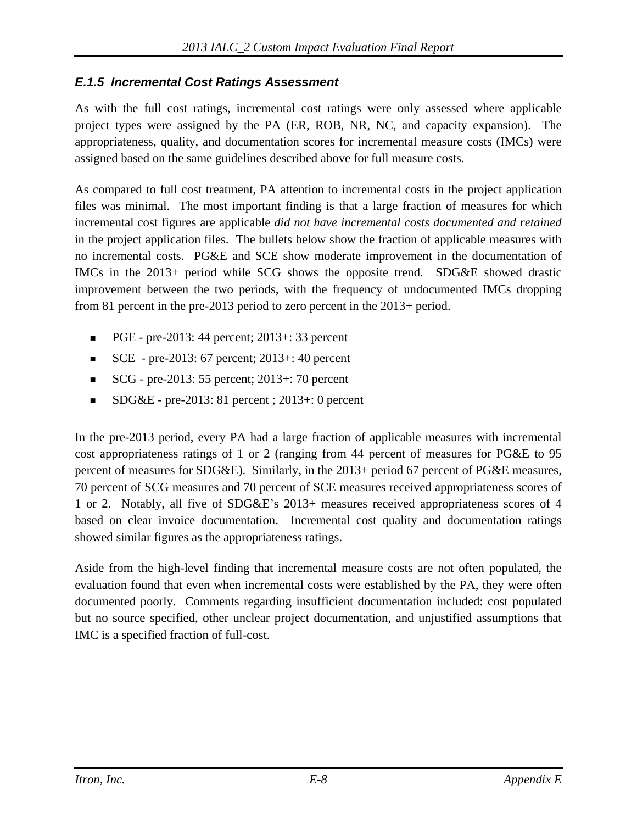#### *E.1.5 Incremental Cost Ratings Assessment*

As with the full cost ratings, incremental cost ratings were only assessed where applicable project types were assigned by the PA (ER, ROB, NR, NC, and capacity expansion). The appropriateness, quality, and documentation scores for incremental measure costs (IMCs) were assigned based on the same guidelines described above for full measure costs.

As compared to full cost treatment, PA attention to incremental costs in the project application files was minimal. The most important finding is that a large fraction of measures for which incremental cost figures are applicable *did not have incremental costs documented and retained*  in the project application files. The bullets below show the fraction of applicable measures with no incremental costs. PG&E and SCE show moderate improvement in the documentation of IMCs in the 2013+ period while SCG shows the opposite trend. SDG&E showed drastic improvement between the two periods, with the frequency of undocumented IMCs dropping from 81 percent in the pre-2013 period to zero percent in the 2013+ period.

- PGE pre-2013: 44 percent; 2013+: 33 percent
- $SCE$  pre-2013: 67 percent; 2013+: 40 percent
- SCG pre-2013: 55 percent;  $2013 \div 70$  percent
- $\blacksquare$  SDG&E pre-2013: 81 percent ; 2013+: 0 percent

In the pre-2013 period, every PA had a large fraction of applicable measures with incremental cost appropriateness ratings of 1 or 2 (ranging from 44 percent of measures for PG&E to 95 percent of measures for SDG&E). Similarly, in the 2013+ period 67 percent of PG&E measures, 70 percent of SCG measures and 70 percent of SCE measures received appropriateness scores of 1 or 2. Notably, all five of SDG&E's 2013+ measures received appropriateness scores of 4 based on clear invoice documentation. Incremental cost quality and documentation ratings showed similar figures as the appropriateness ratings.

Aside from the high-level finding that incremental measure costs are not often populated, the evaluation found that even when incremental costs were established by the PA, they were often documented poorly. Comments regarding insufficient documentation included: cost populated but no source specified, other unclear project documentation, and unjustified assumptions that IMC is a specified fraction of full-cost.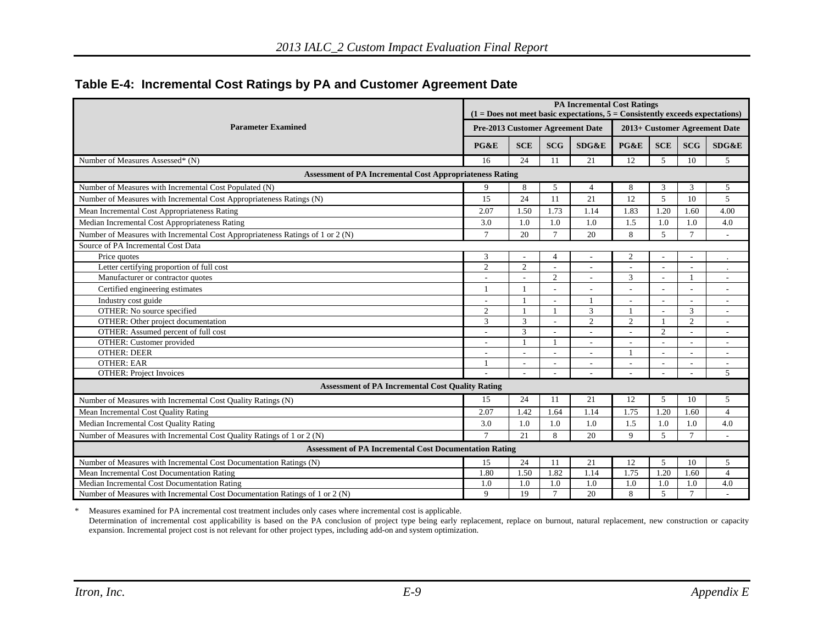|                                                                                | <b>PA Incremental Cost Ratings</b><br>$(1 = Does not meet basic expectations, 5 = Consistently exceeds expectations)$ |            |                               |                          |                |            |                |                |  |
|--------------------------------------------------------------------------------|-----------------------------------------------------------------------------------------------------------------------|------------|-------------------------------|--------------------------|----------------|------------|----------------|----------------|--|
| <b>Parameter Examined</b>                                                      | Pre-2013 Customer Agreement Date                                                                                      |            | 2013+ Customer Agreement Date |                          |                |            |                |                |  |
|                                                                                | PG&E                                                                                                                  | <b>SCE</b> | <b>SCG</b>                    | SDG&E                    | PG&E           | <b>SCE</b> | <b>SCG</b>     | SDG&E          |  |
| Number of Measures Assessed* (N)                                               | 16                                                                                                                    | 24         | 11                            | 21                       | 12             | 5          | 10             | 5              |  |
| <b>Assessment of PA Incremental Cost Appropriateness Rating</b>                |                                                                                                                       |            |                               |                          |                |            |                |                |  |
| Number of Measures with Incremental Cost Populated (N)                         | 9                                                                                                                     | 8          | 5                             | $\overline{4}$           | 8              | 3          | 3              | 5              |  |
| Number of Measures with Incremental Cost Appropriateness Ratings (N)           | 15                                                                                                                    | 24         | 11                            | 21                       | 12             | 5          | 10             | $\overline{5}$ |  |
| Mean Incremental Cost Appropriateness Rating                                   | 2.07                                                                                                                  | 1.50       | 1.73                          | 1.14                     | 1.83           | 1.20       | 1.60           | 4.00           |  |
| Median Incremental Cost Appropriateness Rating                                 | 3.0                                                                                                                   | 1.0        | 1.0                           | 1.0                      | 1.5            | 1.0        | 1.0            | 4.0            |  |
| Number of Measures with Incremental Cost Appropriateness Ratings of 1 or 2 (N) | $\tau$                                                                                                                | 20         | $\tau$                        | 20                       | 8              | 5          | $\tau$         | $\overline{a}$ |  |
| Source of PA Incremental Cost Data                                             |                                                                                                                       |            |                               |                          |                |            |                |                |  |
| Price quotes                                                                   | 3                                                                                                                     |            | $\overline{4}$                | $\overline{\phantom{a}}$ | 2              |            | ÷,             |                |  |
| Letter certifying proportion of full cost                                      | 2                                                                                                                     | 2          |                               | $\overline{\phantom{a}}$ |                |            |                |                |  |
| Manufacturer or contractor quotes                                              |                                                                                                                       |            | $\overline{2}$                | $\sim$                   | 3              |            |                | $\overline{a}$ |  |
| Certified engineering estimates                                                |                                                                                                                       |            |                               |                          |                |            |                |                |  |
| Industry cost guide                                                            |                                                                                                                       |            |                               |                          |                |            | ÷              | $\overline{a}$ |  |
| OTHER: No source specified                                                     | 2                                                                                                                     |            |                               | 3                        |                |            | 3              | ÷              |  |
| OTHER: Other project documentation                                             | 3                                                                                                                     | 3          |                               | 2                        | $\overline{2}$ |            | $\overline{c}$ | ÷              |  |
| OTHER: Assumed percent of full cost                                            |                                                                                                                       | 3          |                               |                          |                | 2          | $\overline{a}$ | $\overline{a}$ |  |
| OTHER: Customer provided                                                       |                                                                                                                       | 1          | $\mathbf{1}$                  | $\overline{\phantom{a}}$ |                |            | ÷,             | $\overline{a}$ |  |
| <b>OTHER: DEER</b>                                                             |                                                                                                                       |            |                               |                          |                |            | L,             | $\overline{a}$ |  |
| <b>OTHER: EAR</b>                                                              |                                                                                                                       |            |                               |                          |                |            |                | $\sim$         |  |
| <b>OTHER: Project Invoices</b>                                                 |                                                                                                                       | ÷          |                               |                          |                |            |                | $\overline{5}$ |  |
| <b>Assessment of PA Incremental Cost Quality Rating</b>                        |                                                                                                                       |            |                               |                          |                |            |                |                |  |
| Number of Measures with Incremental Cost Quality Ratings (N)                   | 15                                                                                                                    | 24         | 11                            | 21                       | 12             | 5          | 10             | 5              |  |
| Mean Incremental Cost Quality Rating                                           | 2.07                                                                                                                  | 1.42       | 1.64                          | 1.14                     | 1.75           | 1.20       | 1.60           | $\overline{4}$ |  |
| Median Incremental Cost Quality Rating                                         | 3.0                                                                                                                   | 1.0        | 1.0                           | 1.0                      | 1.5            | 1.0        | 1.0            | 4.0            |  |
| Number of Measures with Incremental Cost Quality Ratings of 1 or 2 (N)         | $\tau$                                                                                                                | 2.1        | 8                             | 20                       | $\mathbf Q$    | 5          | $\overline{7}$ |                |  |
| <b>Assessment of PA Incremental Cost Documentation Rating</b>                  |                                                                                                                       |            |                               |                          |                |            |                |                |  |
| Number of Measures with Incremental Cost Documentation Ratings (N)             | 15                                                                                                                    | 24         | 11                            | 21                       | 12             | 5          | 10             | 5              |  |
| Mean Incremental Cost Documentation Rating                                     | 1.80                                                                                                                  | 1.50       | 1.82                          | 1.14                     | 1.75           | 1.20       | 1.60           | $\overline{4}$ |  |
| Median Incremental Cost Documentation Rating                                   | 1.0                                                                                                                   | 1.0        | 1.0                           | 1.0                      | 1.0            | 1.0        | 1.0            | 4.0            |  |
| Number of Measures with Incremental Cost Documentation Ratings of 1 or 2 (N)   | 9                                                                                                                     | 19         | $7\phantom{.0}$               | 20                       | 8              | 5          | $\overline{7}$ | ÷              |  |

#### **Table E-4: Incremental Cost Ratings by PA and Customer Agreement Date**

\* Measures examined for PA incremental cost treatment includes only cases where incremental cost is applicable. Determination of incremental cost applicability is based on the PA conclusion of project type being early replacement, replace on burnout, natural replacement, new construction or capacity expansion. Incremental project cost is not relevant for other project types, including add-on and system optimization.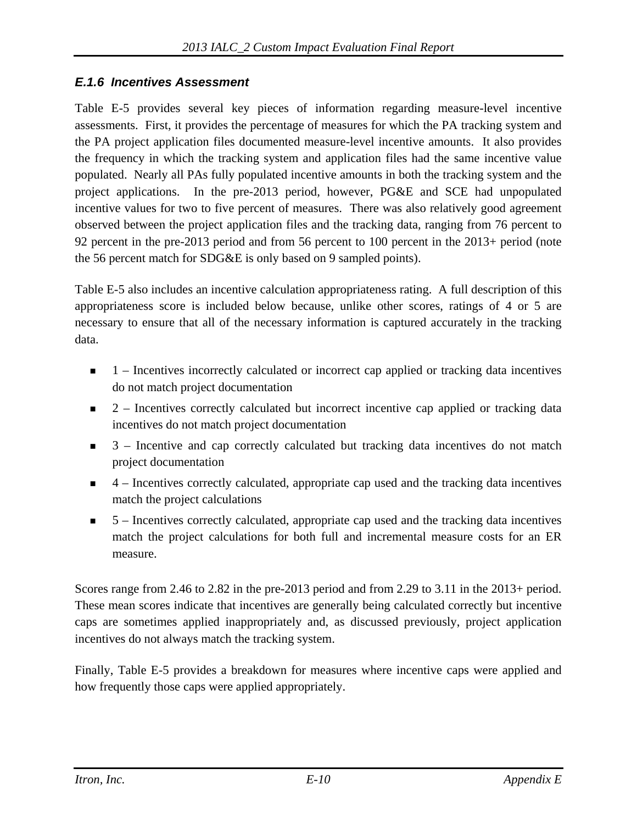#### *E.1.6 Incentives Assessment*

Table E-5 provides several key pieces of information regarding measure-level incentive assessments. First, it provides the percentage of measures for which the PA tracking system and the PA project application files documented measure-level incentive amounts. It also provides the frequency in which the tracking system and application files had the same incentive value populated. Nearly all PAs fully populated incentive amounts in both the tracking system and the project applications. In the pre-2013 period, however, PG&E and SCE had unpopulated incentive values for two to five percent of measures. There was also relatively good agreement observed between the project application files and the tracking data, ranging from 76 percent to 92 percent in the pre-2013 period and from 56 percent to 100 percent in the 2013+ period (note the 56 percent match for SDG&E is only based on 9 sampled points).

Table E-5 also includes an incentive calculation appropriateness rating. A full description of this appropriateness score is included below because, unlike other scores, ratings of 4 or 5 are necessary to ensure that all of the necessary information is captured accurately in the tracking data.

- $\blacksquare$  1 Incentives incorrectly calculated or incorrect cap applied or tracking data incentives do not match project documentation
- $\blacksquare$  2 Incentives correctly calculated but incorrect incentive cap applied or tracking data incentives do not match project documentation
- $\blacksquare$  3 Incentive and cap correctly calculated but tracking data incentives do not match project documentation
- $\blacksquare$  4 Incentives correctly calculated, appropriate cap used and the tracking data incentives match the project calculations
- $\blacksquare$  5 Incentives correctly calculated, appropriate cap used and the tracking data incentives match the project calculations for both full and incremental measure costs for an ER measure.

Scores range from 2.46 to 2.82 in the pre-2013 period and from 2.29 to 3.11 in the 2013+ period. These mean scores indicate that incentives are generally being calculated correctly but incentive caps are sometimes applied inappropriately and, as discussed previously, project application incentives do not always match the tracking system.

Finally, Table E-5 provides a breakdown for measures where incentive caps were applied and how frequently those caps were applied appropriately.